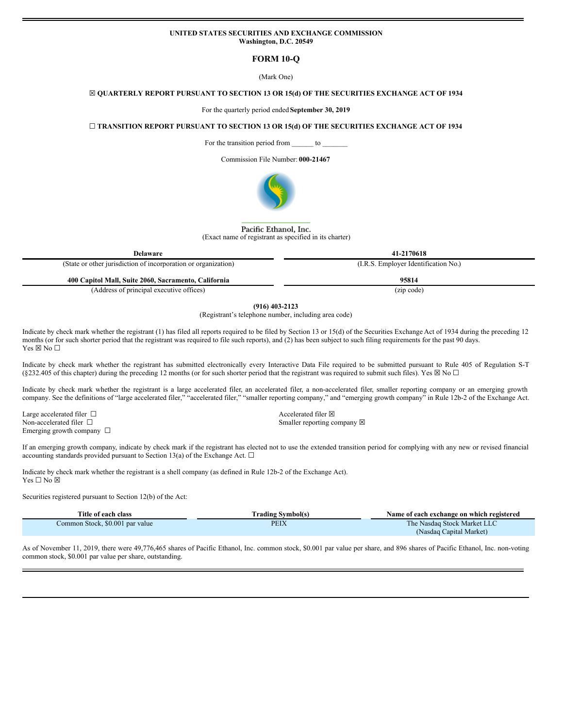## **UNITED STATES SECURITIES AND EXCHANGE COMMISSION Washington, D.C. 20549**

# **FORM 10-Q**

(Mark One)

☒ **QUARTERLY REPORT PURSUANT TO SECTION 13 OR 15(d) OF THE SECURITIES EXCHANGE ACT OF 1934**

For the quarterly period ended **September 30, 2019**

**☐ TRANSITION REPORT PURSUANT TO SECTION 13 OR 15(d) OF THE SECURITIES EXCHANGE ACT OF 1934**

For the transition period from to

Commission File Number: **000-21467**



Pacific Ethanol, Inc.

(Exact name of registrant as specified in its charter)

| <b>Delaware</b>                                                | 41-2170618                           |
|----------------------------------------------------------------|--------------------------------------|
| (State or other jurisdiction of incorporation or organization) | (I.R.S. Employer Identification No.) |
| 400 Capitol Mall, Suite 2060, Sacramento, California           | 95814                                |
| (Address of principal executive offices)                       | (zip code)                           |
|                                                                |                                      |

**(916) 403-2123**

(Registrant's telephone number, including area code)

Indicate by check mark whether the registrant (1) has filed all reports required to be filed by Section 13 or 15(d) of the Securities Exchange Act of 1934 during the preceding 12 months (or for such shorter period that the registrant was required to file such reports), and (2) has been subject to such filing requirements for the past 90 days.  $Yes \boxtimes No \square$ 

Indicate by check mark whether the registrant has submitted electronically every Interactive Data File required to be submitted pursuant to Rule 405 of Regulation S-T (§232.405 of this chapter) during the preceding 12 months (or for such shorter period that the registrant was required to submit such files). Yes  $\boxtimes$  No  $\Box$ 

Indicate by check mark whether the registrant is a large accelerated filer, an accelerated filer, a non-accelerated filer, smaller reporting company or an emerging growth company. See the definitions of "large accelerated filer," "accelerated filer," "smaller reporting company," and "emerging growth company" in Rule 12b-2 of the Exchange Act.

Large accelerated filer □ and a set of the set of the set of the Society of the Society of the Society of the Society of the Society of the Society of the Society of the Society of the Society of the Society of the Societ Emerging growth company  $\Box$ 

Smaller reporting company  $\boxtimes$ 

If an emerging growth company, indicate by check mark if the registrant has elected not to use the extended transition period for complying with any new or revised financial accounting standards provided pursuant to Section 13(a) of the Exchange Act.  $\Box$ 

Indicate by check mark whether the registrant is a shell company (as defined in Rule 12b-2 of the Exchange Act). Yes □ No ⊠

Securities registered pursuant to Section 12(b) of the Act:

| Title of each class             | [rading Svmbol(s) | Name of each exchange on which registered |
|---------------------------------|-------------------|-------------------------------------------|
| Common Stock, \$0.001 par value | <b>PEIX</b>       | The Nasdaq Stock Market LLC               |
|                                 |                   | (Nasdaq Capital Market)                   |

As of November 11, 2019, there were 49,776,465 shares of Pacific Ethanol, Inc. common stock, \$0.001 par value per share, and 896 shares of Pacific Ethanol, Inc. non-voting common stock, \$0.001 par value per share, outstanding.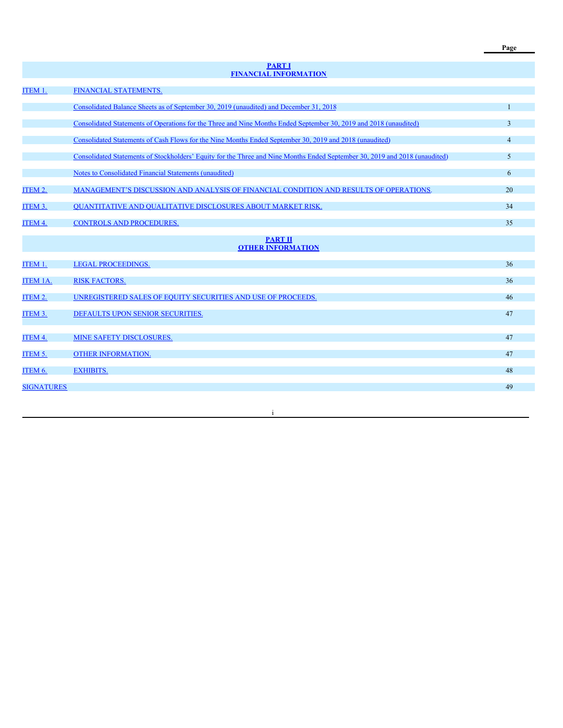|                   | <b>PART I</b><br><b>FINANCIAL INFORMATION</b>                                                                               |                |
|-------------------|-----------------------------------------------------------------------------------------------------------------------------|----------------|
| ITEM 1.           | FINANCIAL STATEMENTS.                                                                                                       |                |
|                   | Consolidated Balance Sheets as of September 30, 2019 (unaudited) and December 31, 2018                                      | $\mathbf{1}$   |
|                   | Consolidated Statements of Operations for the Three and Nine Months Ended September 30, 2019 and 2018 (unaudited)           | 3              |
|                   | Consolidated Statements of Cash Flows for the Nine Months Ended September 30, 2019 and 2018 (unaudited)                     | $\overline{4}$ |
|                   | Consolidated Statements of Stockholders' Equity for the Three and Nine Months Ended September 30, 2019 and 2018 (unaudited) | 5              |
|                   | Notes to Consolidated Financial Statements (unaudited)                                                                      | 6              |
| ITEM 2.           | MANAGEMENT'S DISCUSSION AND ANALYSIS OF FINANCIAL CONDITION AND RESULTS OF OPERATIONS.                                      | 20             |
| ITEM 3.           | <b>OUANTITATIVE AND OUALITATIVE DISCLOSURES ABOUT MARKET RISK.</b>                                                          | 34             |
| ITEM 4.           | <b>CONTROLS AND PROCEDURES.</b>                                                                                             | 35             |
|                   | <b>PART II</b><br><b>OTHER INFORMATION</b>                                                                                  |                |
| ITEM 1.           | <b>LEGAL PROCEEDINGS.</b>                                                                                                   | 36             |
| <b>ITEM 1A.</b>   | <b>RISK FACTORS.</b>                                                                                                        | 36             |
| ITEM 2.           | UNREGISTERED SALES OF EQUITY SECURITIES AND USE OF PROCEEDS.                                                                | 46             |
| ITEM 3.           | DEFAULTS UPON SENIOR SECURITIES.                                                                                            | 47             |
| ITEM 4.           | <b>MINE SAFETY DISCLOSURES.</b>                                                                                             | 47             |
| ITEM 5.           | <b>OTHER INFORMATION.</b>                                                                                                   | 47             |
| ITEM 6.           | <b>EXHIBITS.</b>                                                                                                            | 48             |
| <b>SIGNATURES</b> |                                                                                                                             | 49             |

i

**Page**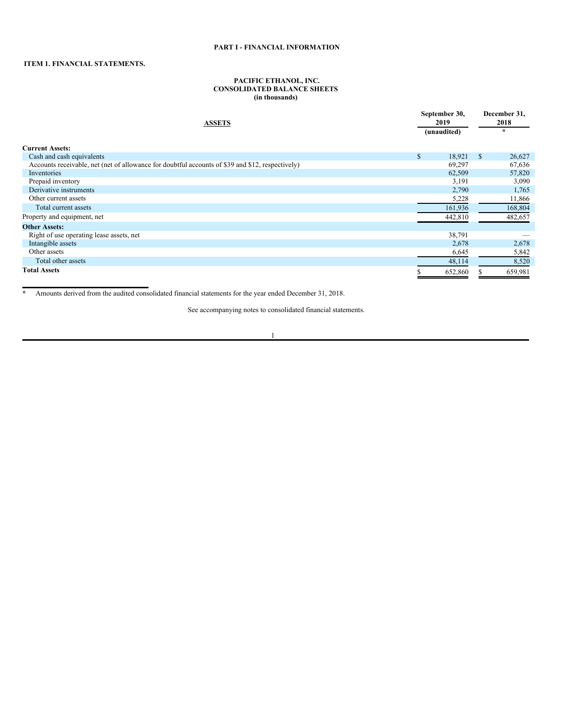# <span id="page-2-0"></span>**PART I - FINANCIAL INFORMATION**

# <span id="page-2-1"></span>**ITEM 1. FINANCIAL STATEMENTS.**

### <span id="page-2-2"></span>**PACIFIC ETHANOL, INC. CONSOLIDATED BALANCE SHEETS (in thousands)**

| <b>ASSETS</b>                                                                                    | September 30,<br>2019 | December 31,<br>2018 |         |
|--------------------------------------------------------------------------------------------------|-----------------------|----------------------|---------|
|                                                                                                  | (unaudited)           |                      |         |
| <b>Current Assets:</b>                                                                           |                       |                      |         |
| Cash and cash equivalents                                                                        | \$<br>18,921          | <sup>S</sup>         | 26,627  |
| Accounts receivable, net (net of allowance for doubtful accounts of \$39 and \$12, respectively) | 69,297                |                      | 67,636  |
| Inventories                                                                                      | 62,509                |                      | 57,820  |
| Prepaid inventory                                                                                | 3,191                 |                      | 3,090   |
| Derivative instruments                                                                           | 2,790                 |                      | 1,765   |
| Other current assets                                                                             | 5,228                 |                      | 11,866  |
| Total current assets                                                                             | 161,936               |                      | 168,804 |
| Property and equipment, net                                                                      | 442,810               |                      | 482,657 |
| <b>Other Assets:</b>                                                                             |                       |                      |         |
| Right of use operating lease assets, net                                                         | 38,791                |                      |         |
| Intangible assets                                                                                | 2,678                 |                      | 2,678   |
| Other assets                                                                                     | 6,645                 |                      | 5,842   |
| Total other assets                                                                               | 48,114                |                      | 8,520   |
| <b>Total Assets</b>                                                                              | 652,860               |                      | 659,981 |

**\*** Amounts derived from the audited consolidated financial statements for the year ended December 31, 2018.

See accompanying notes to consolidated financial statements.

1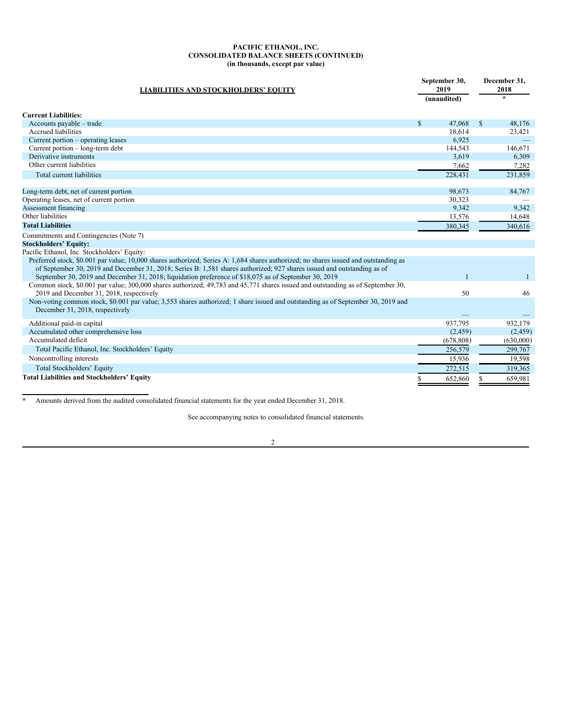### **PACIFIC ETHANOL, INC. CONSOLIDATED BALANCE SHEETS (CONTINUED) (in thousands, except par value)**

| <b>LIABILITIES AND STOCKHOLDERS' EQUITY</b>                                                                                                                                 |              | September 30,<br>2019<br>(unaudited) |              | December 31,<br>2018<br>$\star$ |
|-----------------------------------------------------------------------------------------------------------------------------------------------------------------------------|--------------|--------------------------------------|--------------|---------------------------------|
| <b>Current Liabilities:</b>                                                                                                                                                 |              |                                      |              |                                 |
| Accounts payable – trade                                                                                                                                                    | $\mathbb{S}$ | 47,068                               | $\mathbb{S}$ | 48.176                          |
| <b>Accrued liabilities</b>                                                                                                                                                  |              | 18,614                               |              | 23,421                          |
| Current portion – operating leases                                                                                                                                          |              | 6.925                                |              |                                 |
| Current portion – long-term debt                                                                                                                                            |              | 144,543                              |              | 146,671                         |
| Derivative instruments                                                                                                                                                      |              | 3.619                                |              | 6,309                           |
| Other current liabilities                                                                                                                                                   |              | 7.662                                |              | 7,282                           |
| Total current liabilities                                                                                                                                                   |              | 228.431                              |              | 231.859                         |
| Long-term debt, net of current portion                                                                                                                                      |              | 98,673                               |              | 84,767                          |
| Operating leases, net of current portion                                                                                                                                    |              | 30.323                               |              |                                 |
| Assessment financing                                                                                                                                                        |              | 9.342                                |              | 9,342                           |
| Other liabilities                                                                                                                                                           |              | 13,576                               |              | 14,648                          |
| <b>Total Liabilities</b>                                                                                                                                                    |              | 380,345                              |              | 340,616                         |
| Commitments and Contingencies (Note 7)                                                                                                                                      |              |                                      |              |                                 |
| <b>Stockholders' Equity:</b>                                                                                                                                                |              |                                      |              |                                 |
| Pacific Ethanol, Inc. Stockholders' Equity:                                                                                                                                 |              |                                      |              |                                 |
| Preferred stock, \$0.001 par value; 10,000 shares authorized; Series A: 1,684 shares authorized; no shares issued and outstanding as                                        |              |                                      |              |                                 |
| of September 30, 2019 and December 31, 2018; Series B: 1,581 shares authorized; 927 shares issued and outstanding as of                                                     |              |                                      |              |                                 |
| September 30, 2019 and December 31, 2018; liquidation preference of \$18,075 as of September 30, 2019                                                                       |              |                                      |              | $\mathbf{1}$                    |
| Common stock, \$0.001 par value; 300,000 shares authorized; 49,783 and 45,771 shares issued and outstanding as of September 30,<br>2019 and December 31, 2018, respectively |              | 50                                   |              | 46                              |
| Non-voting common stock, \$0.001 par value; 3,553 shares authorized; 1 share issued and outstanding as of September 30, 2019 and                                            |              |                                      |              |                                 |
| December 31, 2018, respectively                                                                                                                                             |              |                                      |              |                                 |
| Additional paid-in capital                                                                                                                                                  |              | 937,795                              |              | 932,179                         |
| Accumulated other comprehensive loss                                                                                                                                        |              | (2, 459)                             |              | (2, 459)                        |
| Accumulated deficit                                                                                                                                                         |              | (678, 808)                           |              | (630,000)                       |
| Total Pacific Ethanol, Inc. Stockholders' Equity                                                                                                                            |              | 256,579                              |              | 299,767                         |
| Noncontrolling interests                                                                                                                                                    |              | 15,936                               |              | 19,598                          |
| Total Stockholders' Equity                                                                                                                                                  |              | 272,515                              |              | 319,365                         |
| <b>Total Liabilities and Stockholders' Equity</b>                                                                                                                           |              |                                      |              |                                 |
|                                                                                                                                                                             |              | 652,860                              | S            | 659,981                         |

**\*** Amounts derived from the audited consolidated financial statements for the year ended December 31, 2018.

See accompanying notes to consolidated financial statements.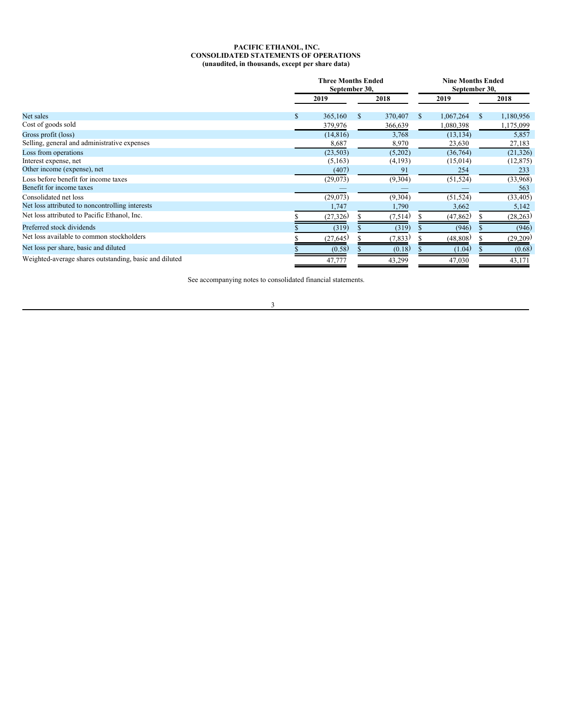### <span id="page-4-0"></span>**PACIFIC ETHANOL, INC. CONSOLIDATED STATEMENTS OF OPERATIONS (unaudited, in thousands, except per share data)**

|                                                        |    | <b>Three Months Ended</b><br>September 30, |     |         | <b>Nine Months Ended</b><br>September 30, |           |   |           |
|--------------------------------------------------------|----|--------------------------------------------|-----|---------|-------------------------------------------|-----------|---|-----------|
|                                                        |    | 2019                                       |     | 2018    |                                           | 2019      |   | 2018      |
| Net sales                                              | S. | 365,160                                    | \$. | 370,407 | <b>S</b>                                  | 1,067,264 | S | 1,180,956 |
| Cost of goods sold                                     |    | 379,976                                    |     | 366,639 |                                           | 1,080,398 |   | 1,175,099 |
| Gross profit (loss)                                    |    | (14, 816)                                  |     | 3,768   |                                           | (13, 134) |   | 5,857     |
| Selling, general and administrative expenses           |    | 8,687                                      |     | 8,970   |                                           | 23,630    |   | 27,183    |
| Loss from operations                                   |    | (23, 503)                                  |     | (5,202) |                                           | (36, 764) |   | (21, 326) |
| Interest expense, net                                  |    | (5,163)                                    |     | (4,193) |                                           | (15,014)  |   | (12, 875) |
| Other income (expense), net                            |    | (407)                                      |     | 91      |                                           | 254       |   | 233       |
| Loss before benefit for income taxes                   |    | (29,073)                                   |     | (9,304) |                                           | (51, 524) |   | (33,968)  |
| Benefit for income taxes                               |    |                                            |     |         |                                           |           |   | 563       |
| Consolidated net loss                                  |    | (29,073)                                   |     | (9,304) |                                           | (51, 524) |   | (33, 405) |
| Net loss attributed to noncontrolling interests        |    | 1,747                                      |     | 1,790   |                                           | 3,662     |   | 5,142     |
| Net loss attributed to Pacific Ethanol, Inc.           |    | (27, 326)                                  |     | (7,514) |                                           | (47, 862) |   | (28, 263) |
| Preferred stock dividends                              |    | (319)                                      |     | (319)   |                                           | (946)     |   | (946)     |
| Net loss available to common stockholders              |    | (27, 645)                                  |     | (7,833) |                                           | (48, 808) |   | (29,209)  |
| Net loss per share, basic and diluted                  |    | (0.58)                                     |     | (0.18)  |                                           | (1.04)    |   | (0.68)    |
| Weighted-average shares outstanding, basic and diluted |    | 47,777                                     |     | 43,299  |                                           | 47,030    |   | 43,171    |

See accompanying notes to consolidated financial statements.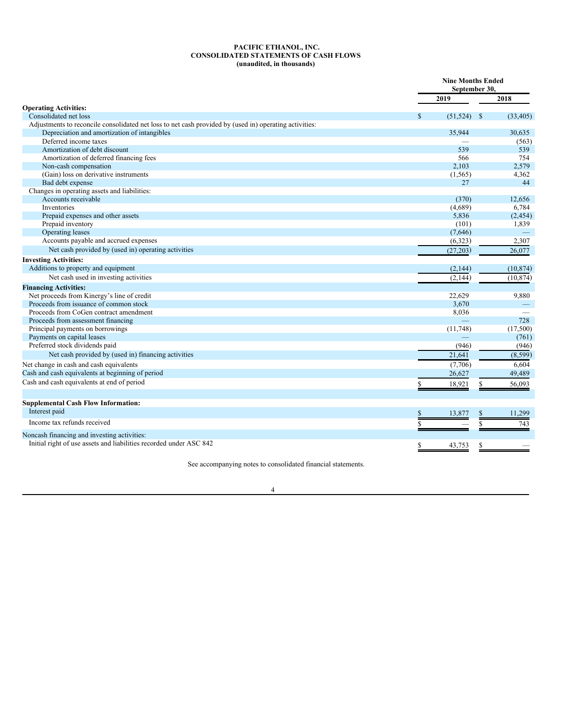# <span id="page-5-0"></span>**PACIFIC ETHANOL, INC. CONSOLIDATED STATEMENTS OF CASH FLOWS (unaudited, in thousands)**

|                                                                                                        | <b>Nine Months Ended</b><br>September 30. |           |               |           |
|--------------------------------------------------------------------------------------------------------|-------------------------------------------|-----------|---------------|-----------|
|                                                                                                        |                                           | 2019      |               | 2018      |
| <b>Operating Activities:</b>                                                                           |                                           |           |               |           |
| Consolidated net loss                                                                                  | S                                         | (51.524)  | <sup>\$</sup> | (33, 405) |
| Adjustments to reconcile consolidated net loss to net cash provided by (used in) operating activities: |                                           |           |               |           |
| Depreciation and amortization of intangibles                                                           |                                           | 35.944    |               | 30,635    |
| Deferred income taxes                                                                                  |                                           |           |               | (563)     |
| Amortization of debt discount                                                                          |                                           | 539       |               | 539       |
| Amortization of deferred financing fees                                                                |                                           | 566       |               | 754       |
| Non-cash compensation                                                                                  |                                           | 2,103     |               | 2,579     |
| (Gain) loss on derivative instruments                                                                  |                                           | (1, 565)  |               | 4,362     |
| Bad debt expense                                                                                       |                                           | 27        |               | 44        |
| Changes in operating assets and liabilities:                                                           |                                           |           |               |           |
| Accounts receivable                                                                                    |                                           | (370)     |               | 12,656    |
| <b>Inventories</b>                                                                                     |                                           | (4,689)   |               | 6,784     |
| Prepaid expenses and other assets                                                                      |                                           | 5,836     |               | (2, 454)  |
| Prepaid inventory<br>Operating leases                                                                  |                                           | (101)     |               | 1,839     |
| Accounts payable and accrued expenses                                                                  |                                           | (7,646)   |               |           |
|                                                                                                        |                                           | (6,323)   |               | 2,307     |
| Net cash provided by (used in) operating activities                                                    |                                           | (27, 203) |               | 26,077    |
| <b>Investing Activities:</b>                                                                           |                                           |           |               |           |
| Additions to property and equipment                                                                    |                                           | (2,144)   |               | (10, 874) |
| Net cash used in investing activities                                                                  |                                           | (2,144)   |               | (10, 874) |
| <b>Financing Activities:</b>                                                                           |                                           |           |               |           |
| Net proceeds from Kinergy's line of credit                                                             |                                           | 22,629    |               | 9,880     |
| Proceeds from issuance of common stock                                                                 |                                           | 3,670     |               |           |
| Proceeds from CoGen contract amendment                                                                 |                                           | 8,036     |               |           |
| Proceeds from assessment financing                                                                     |                                           |           |               | 728       |
| Principal payments on borrowings                                                                       |                                           | (11,748)  |               | (17,500)  |
| Payments on capital leases                                                                             |                                           |           |               | (761)     |
| Preferred stock dividends paid                                                                         |                                           | (946)     |               | (946)     |
| Net cash provided by (used in) financing activities                                                    |                                           | 21,641    |               | (8,599)   |
| Net change in cash and cash equivalents                                                                |                                           | (7,706)   |               | 6.604     |
| Cash and cash equivalents at beginning of period                                                       |                                           | 26,627    |               | 49,489    |
| Cash and cash equivalents at end of period                                                             |                                           | 18,921    | \$            | 56,093    |
|                                                                                                        |                                           |           |               |           |
| <b>Supplemental Cash Flow Information:</b>                                                             |                                           |           |               |           |
| Interest paid                                                                                          | \$                                        | 13,877    | \$            | 11,299    |
| Income tax refunds received                                                                            |                                           |           | \$            | 743       |
| Noncash financing and investing activities:                                                            |                                           |           |               |           |
| Initial right of use assets and liabilities recorded under ASC 842                                     | S                                         | 43,753    | S             |           |

See accompanying notes to consolidated financial statements.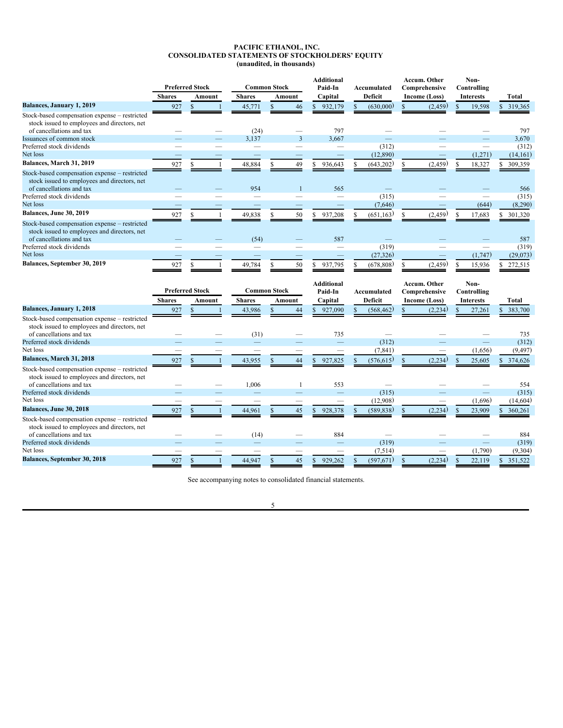# <span id="page-6-0"></span>**PACIFIC ETHANOL, INC. CONSOLIDATED STATEMENTS OF STOCKHOLDERS' EQUITY (unaudited, in thousands)**

|                                                                                                                           | <b>Preferred Stock</b> |                        | <b>Common Stock</b>      |                     | <b>Additional</b><br>Paid-In | Accumulated    | <b>Accum. Other</b><br>Comprehensive | Non-<br>Controlling |                |
|---------------------------------------------------------------------------------------------------------------------------|------------------------|------------------------|--------------------------|---------------------|------------------------------|----------------|--------------------------------------|---------------------|----------------|
|                                                                                                                           | <b>Shares</b>          | <b>Amount</b>          | <b>Shares</b>            | Amount              | Capital                      | <b>Deficit</b> | Income (Loss)                        | <b>Interests</b>    | <b>Total</b>   |
| Balances, January 1, 2019                                                                                                 | 927                    |                        | 45,771                   | 46                  | 932,179<br>S                 | (630,000)      | (2, 459)                             | 19,598              | \$319,365      |
| Stock-based compensation expense – restricted<br>stock issued to employees and directors, net<br>of cancellations and tax |                        |                        |                          |                     | 797                          |                |                                      |                     | 797            |
| Issuances of common stock                                                                                                 |                        |                        | (24)                     | 3                   |                              |                |                                      |                     |                |
| Preferred stock dividends                                                                                                 |                        |                        | 3,137                    |                     | 3,667                        | (312)          |                                      |                     | 3,670<br>(312) |
| Net loss                                                                                                                  |                        |                        |                          |                     |                              |                |                                      |                     |                |
|                                                                                                                           |                        |                        |                          |                     |                              | (12,890)       |                                      | (1,271)             | (14,161)       |
| Balances, March 31, 2019                                                                                                  | 927                    |                        | 48,884                   | 49                  | 936,643                      | (643,202)      | (2, 459)                             | 18,327              | 309,359        |
| Stock-based compensation expense – restricted<br>stock issued to employees and directors, net                             |                        |                        |                          |                     |                              |                |                                      |                     |                |
| of cancellations and tax                                                                                                  |                        |                        | 954                      |                     | 565                          |                |                                      |                     | 566            |
| Preferred stock dividends                                                                                                 |                        |                        |                          |                     |                              | (315)          |                                      |                     | (315)          |
| Net loss                                                                                                                  |                        |                        |                          |                     |                              | (7,646)        |                                      | (644)               | (8,290)        |
| Balances, June 30, 2019                                                                                                   | 927                    |                        | 49,838                   | 50                  | 937,208<br>S                 | (651, 163)     | (2, 459)                             | 17,683              | 301,320        |
| Stock-based compensation expense – restricted<br>stock issued to employees and directors, net<br>of cancellations and tax |                        |                        | (54)                     |                     | 587                          |                |                                      |                     | 587            |
| Preferred stock dividends                                                                                                 |                        |                        | $\overline{\phantom{a}}$ |                     | $\overline{\phantom{0}}$     | (319)          |                                      |                     | (319)          |
| Net loss                                                                                                                  |                        |                        |                          |                     |                              | (27, 326)      |                                      | (1,747)             | (29,073)       |
| Balances, September 30, 2019                                                                                              | 927                    |                        | 49,784                   | 50                  | 937,795<br>£.                | (678, 808)     | (2, 459)                             | 15,936              | 272,515        |
|                                                                                                                           |                        | <b>Preferred Stock</b> |                          | <b>Common Stock</b> | <b>Additional</b><br>Paid-In | Accumulated    | Accum. Other<br>Comprehensive        | Non-<br>Controlling |                |
|                                                                                                                           | <b>Shares</b>          | Amount                 | <b>Shares</b>            | Amount              | Capital                      | Deficit        | Income (Loss)                        | <b>Interests</b>    | Total          |
| <b>Balances, January 1, 2018</b>                                                                                          | 927                    |                        | 43,986                   | 44                  | 927,090                      | (568, 462)     | (2,234)                              | 27,261              | 383,700        |
| Stock-based compensation expense – restricted<br>stock issued to employees and directors, net                             |                        |                        |                          |                     |                              |                |                                      |                     |                |
| of cancellations and tax                                                                                                  |                        |                        | (31)                     |                     | 735                          |                |                                      |                     | 735            |
| Preferred stock dividends                                                                                                 |                        |                        |                          |                     |                              | (312)          |                                      |                     | (312)          |
| Net loss                                                                                                                  |                        |                        |                          |                     |                              | (7, 841)       |                                      | (1.656)             | (9, 497)       |

See accompanying notes to consolidated financial statements.

of cancellations and tax and tax and tax and tax and tax and tax and tax and tax and tax and tax and tax and tax and tax and tax and tax and tax and tax and tax and tax and tax and tax and tax and tax and tax and tax and Preferred stock dividends<br>
Net loss — — — — — — — (315) — — (315) — (1,696) (14,604)<br>
Net loss — (1,696) (14,604) Net loss  $(12,908)$   $(1696)$   $(14,604)$ 

of cancellations and tax and tax and tax and tax and tax and tax and tax and tax and tax and tax and tax and tax and tax and tax and tax and tax and tax and tax and tax and tax and tax and tax and tax and tax and tax and Preferred stock dividends<br>
Net loss — — — — — — — (319) — — — (319) — (1,790) (9,304) Net loss  $(7,514)$   $(1,790)$   $(9,304)$ 

 $(2,234)$ 

 $(2,234)$ 

 $(2,234)$ 

 $\frac{1}{25,605}$  \$ 374,626

 $\overline{)23,909}$   $\overline{)360,261}$ 

 $\frac{$22,119}{$351,522}$ 

**Balances, March 31, 2018** 927 **8** 1 43,955 **8** 44 **8** 927,825 **8** (576,615)

**Balances, June 30, 2018** 927 \$ 1 44,961 \$ 45 \$ 928,378 \$ (589,838)

**Balances, September 30, 2018** 927 \$ 1 44,947 \$ 45 \$ 929,262 \$ (597,671)

Stock-based compensation expense – restricted stock issued to employees and directors, net

Stock-based compensation expense – restricted stock issued to employees and directors, net

| × | ۰. | I<br>I |  |
|---|----|--------|--|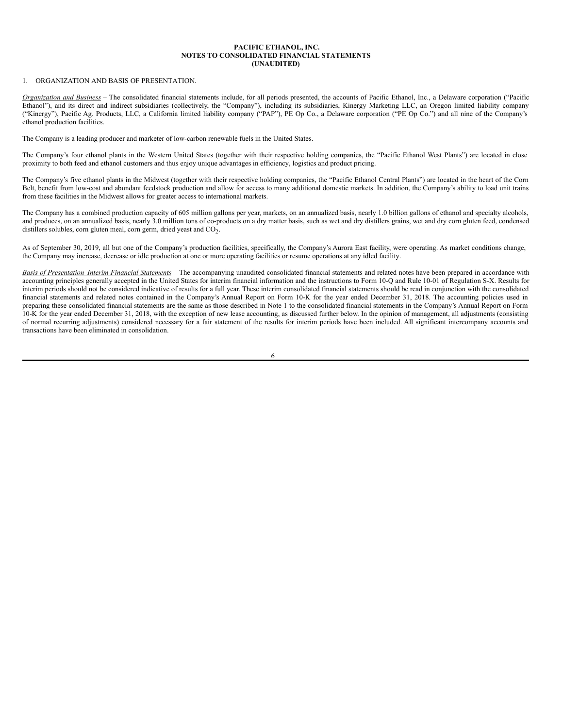### <span id="page-7-0"></span>**PACIFIC ETHANOL, INC. NOTES TO CONSOLIDATED FINANCIAL STATEMENTS (UNAUDITED)**

# 1. ORGANIZATION AND BASIS OF PRESENTATION.

*Organization and Business* – The consolidated financial statements include, for all periods presented, the accounts of Pacific Ethanol, Inc., a Delaware corporation ("Pacific Ethanol"), and its direct and indirect subsidiaries (collectively, the "Company"), including its subsidiaries, Kinergy Marketing LLC, an Oregon limited liability company ("Kinergy"), Pacific Ag. Products, LLC, a California limited liability company ("PAP"), PE Op Co., a Delaware corporation ("PE Op Co.") and all nine of the Company's ethanol production facilities.

The Company is a leading producer and marketer of low-carbon renewable fuels in the United States.

The Company's four ethanol plants in the Western United States (together with their respective holding companies, the "Pacific Ethanol West Plants") are located in close proximity to both feed and ethanol customers and thus enjoy unique advantages in efficiency, logistics and product pricing.

The Company's five ethanol plants in the Midwest (together with their respective holding companies, the "Pacific Ethanol Central Plants") are located in the heart of the Corn Belt, benefit from low-cost and abundant feedstock production and allow for access to many additional domestic markets. In addition, the Company's ability to load unit trains from these facilities in the Midwest allows for greater access to international markets.

The Company has a combined production capacity of 605 million gallons per year, markets, on an annualized basis, nearly 1.0 billion gallons of ethanol and specialty alcohols, and produces, on an annualized basis, nearly 3.0 million tons of co-products on a dry matter basis, such as wet and dry distillers grains, wet and dry corn gluten feed, condensed distillers solubles, corn gluten meal, corn germ, dried yeast and CO<sub>2</sub>.

As of September 30, 2019, all but one of the Company's production facilities, specifically, the Company's Aurora East facility, were operating. As market conditions change, the Company may increase, decrease or idle production at one or more operating facilities or resume operations at any idled facility.

*Basis of Presentation*–*Interim Financial Statements* – The accompanying unaudited consolidated financial statements and related notes have been prepared in accordance with accounting principles generally accepted in the United States for interim financial information and the instructions to Form 10-Q and Rule 10-01 of Regulation S-X. Results for interim periods should not be considered indicative of results for a full year. These interim consolidated financial statements should be read in conjunction with the consolidated financial statements and related notes contained in the Company's Annual Report on Form 10-K for the year ended December 31, 2018. The accounting policies used in preparing these consolidated financial statements are the same as those described in Note 1 to the consolidated financial statements in the Company's Annual Report on Form 10-K for the year ended December 31, 2018, with the exception of new lease accounting, as discussed further below. In the opinion of management, all adjustments (consisting of normal recurring adjustments) considered necessary for a fair statement of the results for interim periods have been included. All significant intercompany accounts and transactions have been eliminated in consolidation.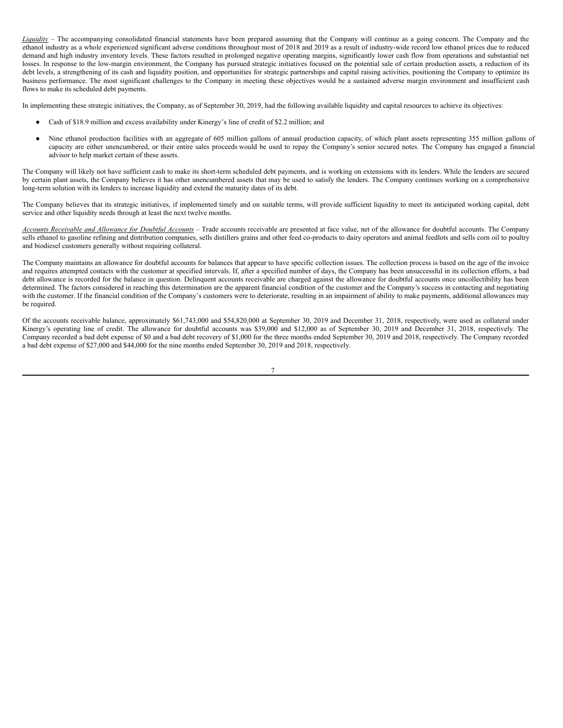*Liquidity* – The accompanying consolidated financial statements have been prepared assuming that the Company will continue as a going concern. The Company and the ethanol industry as a whole experienced significant adverse conditions throughout most of 2018 and 2019 as a result of industry-wide record low ethanol prices due to reduced demand and high industry inventory levels. These factors resulted in prolonged negative operating margins, significantly lower cash flow from operations and substantial net losses. In response to the low-margin environment, the Company has pursued strategic initiatives focused on the potential sale of certain production assets, a reduction of its debt levels, a strengthening of its cash and liquidity position, and opportunities for strategic partnerships and capital raising activities, positioning the Company to optimize its business performance. The most significant challenges to the Company in meeting these objectives would be a sustained adverse margin environment and insufficient cash flows to make its scheduled debt payments.

In implementing these strategic initiatives, the Company, as of September 30, 2019, had the following available liquidity and capital resources to achieve its objectives:

- Cash of \$18.9 million and excess availability under Kinergy's line of credit of \$2.2 million; and
- Nine ethanol production facilities with an aggregate of 605 million gallons of annual production capacity, of which plant assets representing 355 million gallons of capacity are either unencumbered, or their entire sales proceeds would be used to repay the Company's senior secured notes. The Company has engaged a financial advisor to help market certain of these assets.

The Company will likely not have sufficient cash to make its short-term scheduled debt payments, and is working on extensions with its lenders. While the lenders are secured by certain plant assets, the Company believes it has other unencumbered assets that may be used to satisfy the lenders. The Company continues working on a comprehensive long-term solution with its lenders to increase liquidity and extend the maturity dates of its debt.

The Company believes that its strategic initiatives, if implemented timely and on suitable terms, will provide sufficient liquidity to meet its anticipated working capital, debt service and other liquidity needs through at least the next twelve months.

*Accounts Receivable and Allowance for Doubtful Accounts* – Trade accounts receivable are presented at face value, net of the allowance for doubtful accounts. The Company sells ethanol to gasoline refining and distribution companies, sells distillers grains and other feed co-products to dairy operators and animal feedlots and sells corn oil to poultry and biodiesel customers generally without requiring collateral.

The Company maintains an allowance for doubtful accounts for balances that appear to have specific collection issues. The collection process is based on the age of the invoice and requires attempted contacts with the customer at specified intervals. If, after a specified number of days, the Company has been unsuccessful in its collection efforts, a bad debt allowance is recorded for the balance in question. Delinquent accounts receivable are charged against the allowance for doubtful accounts once uncollectibility has been determined. The factors considered in reaching this determination are the apparent financial condition of the customer and the Company's success in contacting and negotiating with the customer. If the financial condition of the Company's customers were to deteriorate, resulting in an impairment of ability to make payments, additional allowances may be required.

Of the accounts receivable balance, approximately \$61,743,000 and \$54,820,000 at September 30, 2019 and December 31, 2018, respectively, were used as collateral under Kinergy's operating line of credit. The allowance for doubtful accounts was \$39,000 and \$12,000 as of September 30, 2019 and December 31, 2018, respectively. The Company recorded a bad debt expense of \$0 and a bad debt recovery of \$1,000 for the three months ended September 30, 2019 and 2018, respectively. The Company recorded a bad debt expense of \$27,000 and \$44,000 for the nine months ended September 30, 2019 and 2018, respectively.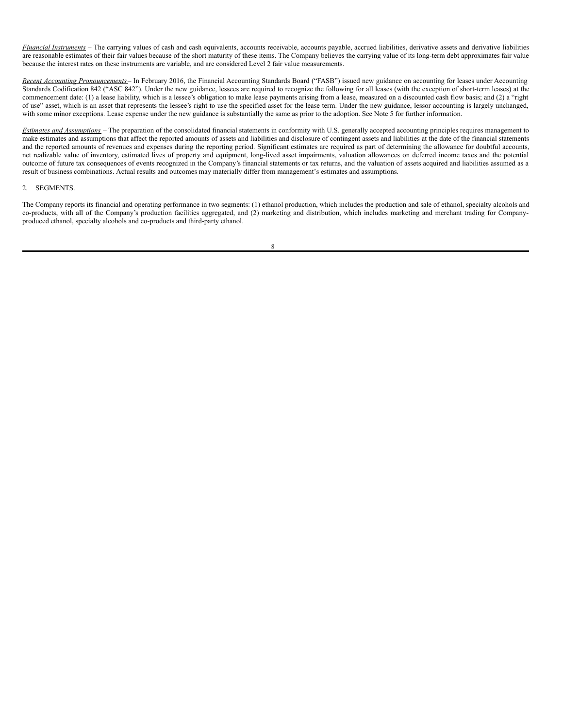*Financial Instruments* – The carrying values of cash and cash equivalents, accounts receivable, accounts payable, accrued liabilities, derivative assets and derivative liabilities are reasonable estimates of their fair values because of the short maturity of these items. The Company believes the carrying value of its long-term debt approximates fair value because the interest rates on these instruments are variable, and are considered Level 2 fair value measurements.

*Recent Accounting Pronouncements* – In February 2016, the Financial Accounting Standards Board ("FASB") issued new guidance on accounting for leases under Accounting Standards Codification 842 ("ASC 842"). Under the new guidance, lessees are required to recognize the following for all leases (with the exception of short-term leases) at the commencement date: (1) a lease liability, which is a lessee's obligation to make lease payments arising from a lease, measured on a discounted cash flow basis; and (2) a "right of use" asset, which is an asset that represents the lessee's right to use the specified asset for the lease term. Under the new guidance, lessor accounting is largely unchanged, with some minor exceptions. Lease expense under the new guidance is substantially the same as prior to the adoption. See Note 5 for further information.

*Estimates and Assumptions* – The preparation of the consolidated financial statements in conformity with U.S. generally accepted accounting principles requires management to make estimates and assumptions that affect the reported amounts of assets and liabilities and disclosure of contingent assets and liabilities at the date of the financial statements and the reported amounts of revenues and expenses during the reporting period. Significant estimates are required as part of determining the allowance for doubtful accounts, net realizable value of inventory, estimated lives of property and equipment, long-lived asset impairments, valuation allowances on deferred income taxes and the potential outcome of future tax consequences of events recognized in the Company's financial statements or tax returns, and the valuation of assets acquired and liabilities assumed as a result of business combinations. Actual results and outcomes may materially differ from management's estimates and assumptions.

# 2. SEGMENTS.

The Company reports its financial and operating performance in two segments: (1) ethanol production, which includes the production and sale of ethanol, specialty alcohols and co-products, with all of the Company's production facilities aggregated, and (2) marketing and distribution, which includes marketing and merchant trading for Companyproduced ethanol, specialty alcohols and co-products and third-party ethanol.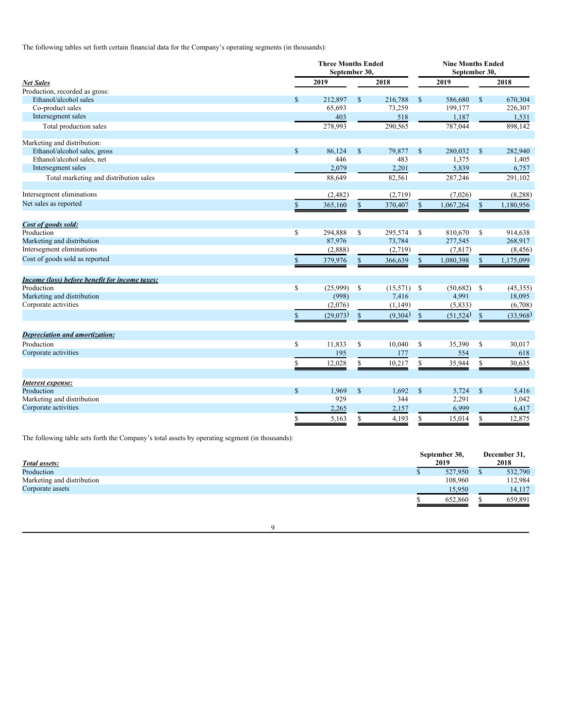The following tables set forth certain financial data for the Company's operating segments (in thousands):

|                                                    |               | <b>Three Months Ended</b><br>September 30, |              |              |               | <b>Nine Months Ended</b><br>September 30, |               |                |  |
|----------------------------------------------------|---------------|--------------------------------------------|--------------|--------------|---------------|-------------------------------------------|---------------|----------------|--|
| <b>Net Sales</b>                                   |               | 2019                                       |              | 2018         |               | 2019                                      |               | 2018           |  |
| Production, recorded as gross:                     |               |                                            |              |              |               |                                           |               |                |  |
| Ethanol/alcohol sales                              | <sup>\$</sup> | 212,897                                    | $\mathbb{S}$ | 216,788      | \$            | 586,680                                   | $\mathbb{S}$  | 670,304        |  |
| Co-product sales                                   |               | 65,693                                     |              | 73,259       |               | 199,177                                   |               | 226,307        |  |
| Intersegment sales                                 |               | 403                                        |              | 518          |               | 1,187                                     |               | 1,531          |  |
| Total production sales                             |               | 278,993                                    |              | 290,565      |               | 787,044                                   |               | 898,142        |  |
| Marketing and distribution:                        |               |                                            |              |              |               |                                           |               |                |  |
| Ethanol/alcohol sales, gross                       | $\mathbb S$   | 86,124                                     | \$           | 79,877       | $\mathsf{\$}$ | 280,032                                   | $\mathsf{\$}$ | 282,940        |  |
| Ethanol/alcohol sales, net                         |               | 446                                        |              | 483          |               | 1,375                                     |               | 1,405          |  |
| Intersegment sales                                 |               | 2,079                                      |              | 2,201        |               | 5,839                                     |               | 6,757          |  |
| Total marketing and distribution sales             |               | 88,649                                     |              | 82,561       |               | 287,246                                   |               | 291,102        |  |
| Intersegment eliminations                          |               | (2, 482)                                   |              | (2,719)      |               | (7,026)                                   |               | (8, 288)       |  |
| Net sales as reported                              | \$            | 365,160                                    | \$           | 370,407      | \$            | 1,067,264                                 | \$            | 1,180,956      |  |
| Cost of goods sold:                                |               |                                            |              |              |               |                                           |               |                |  |
| Production                                         | $\mathbb{S}$  | 294,888                                    | $\mathbb{S}$ | 295,574      | \$            | 810,670                                   | \$            | 914,638        |  |
| Marketing and distribution                         |               | 87,976                                     |              | 73,784       |               | 277,545                                   |               | 268,917        |  |
| Intersegment eliminations                          |               | (2,888)                                    |              | (2,719)      |               | (7, 817)                                  |               | (8, 456)       |  |
| Cost of goods sold as reported                     | \$            | 379,976                                    | \$           | 366,639      | \$            | 1,080,398                                 | \$            | 1,175,099      |  |
| Income (loss) before benefit for income taxes:     |               |                                            |              |              |               |                                           |               |                |  |
| Production                                         | $\mathbb{S}$  | (25,999)                                   | \$           | (15, 571)    | $\mathcal{S}$ | (50,682)                                  | -\$           | (45, 355)      |  |
| Marketing and distribution                         |               | (998)                                      |              | 7,416        |               | 4,991                                     |               | 18,095         |  |
| Corporate activities                               |               | (2,076)                                    |              | (1, 149)     |               | (5,833)                                   |               | (6,708)        |  |
|                                                    | $\mathbf S$   | (29,073)                                   | $\mathbb{S}$ | (9,304)      | $\mathsf{\$}$ | (51, 524)                                 | $\mathsf{\$}$ | (33,968)       |  |
| Depreciation and amortization:                     |               |                                            |              |              |               |                                           |               |                |  |
| Production                                         | $\mathbb{S}$  | 11,833                                     | \$           | 10,040       | $\mathbb{S}$  | 35,390                                    | \$            | 30,017         |  |
| Corporate activities                               |               | 195                                        |              | 177          |               | 554                                       |               | 618            |  |
|                                                    | S             | 12,028                                     | \$           | 10,217       | $\mathbb{S}$  | 35,944                                    | $\mathbf S$   | 30,635         |  |
|                                                    |               |                                            |              |              |               |                                           |               |                |  |
| Interest expense:                                  |               |                                            |              |              |               |                                           |               |                |  |
| Production                                         | $\mathbb{S}$  | 1,969<br>929                               | \$           | 1,692<br>344 | $\mathbb{S}$  | 5,724                                     | $\$$          | 5,416<br>1,042 |  |
| Marketing and distribution<br>Corporate activities |               | 2,265                                      |              | 2,157        |               | 2,291<br>6,999                            |               | 6,417          |  |
|                                                    |               |                                            |              |              |               |                                           |               |                |  |
|                                                    | \$            | 5,163                                      | \$           | 4,193        | \$            | 15,014                                    | \$            | 12,875         |  |

The following table sets forth the Company's total assets by operating segment (in thousands):

| Total assets:              | September 30.<br>2019 | December 31,<br>2018 |
|----------------------------|-----------------------|----------------------|
| Production                 | 527,950               | 532,790              |
| Marketing and distribution | 108,960               | 112,984              |
| Corporate assets           | 15.950                | 14,117               |
|                            | 652,860               | 659.891              |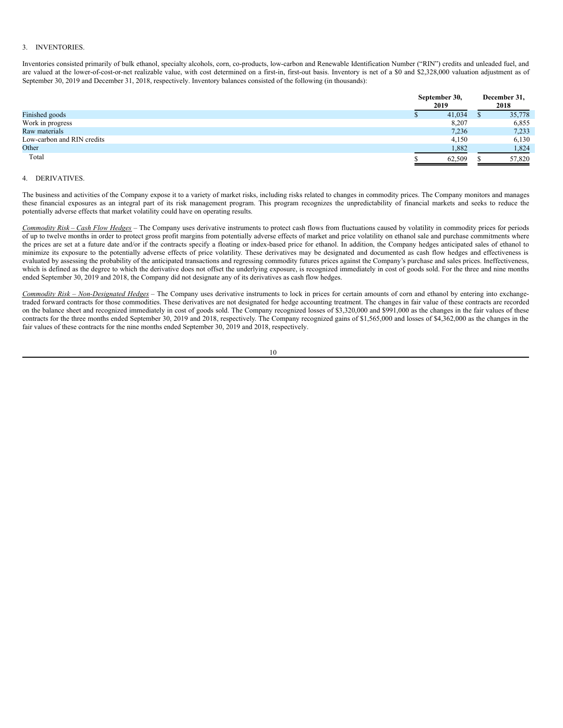# 3. INVENTORIES.

Inventories consisted primarily of bulk ethanol, specialty alcohols, corn, co-products, low-carbon and Renewable Identification Number ("RIN") credits and unleaded fuel, and are valued at the lower-of-cost-or-net realizable value, with cost determined on a first-in, first-out basis. Inventory is net of a \$0 and \$2,328,000 valuation adjustment as of September 30, 2019 and December 31, 2018, respectively. Inventory balances consisted of the following (in thousands):

|                            |  | September 30,<br>2019 | December 31,<br>2018 |        |
|----------------------------|--|-----------------------|----------------------|--------|
| Finished goods             |  | 41,034                |                      | 35,778 |
| Work in progress           |  | 8,207                 |                      | 6,855  |
| Raw materials              |  | 7,236                 |                      | 7,233  |
| Low-carbon and RIN credits |  | 4,150                 |                      | 6,130  |
| Other                      |  | 1,882                 |                      | 1,824  |
| Total                      |  | 62,509                |                      | 57,820 |

## 4. DERIVATIVES.

The business and activities of the Company expose it to a variety of market risks, including risks related to changes in commodity prices. The Company monitors and manages these financial exposures as an integral part of its risk management program. This program recognizes the unpredictability of financial markets and seeks to reduce the potentially adverse effects that market volatility could have on operating results.

*Commodity Risk* – *Cash Flow Hedges* – The Company uses derivative instruments to protect cash flows from fluctuations caused by volatility in commodity prices for periods of up to twelve months in order to protect gross profit margins from potentially adverse effects of market and price volatility on ethanol sale and purchase commitments where the prices are set at a future date and/or if the contracts specify a floating or index-based price for ethanol. In addition, the Company hedges anticipated sales of ethanol to minimize its exposure to the potentially adverse effects of price volatility. These derivatives may be designated and documented as cash flow hedges and effectiveness is evaluated by assessing the probability of the anticipated transactions and regressing commodity futures prices against the Company's purchase and sales prices. Ineffectiveness, which is defined as the degree to which the derivative does not offset the underlying exposure, is recognized immediately in cost of goods sold. For the three and nine months ended September 30, 2019 and 2018, the Company did not designate any of its derivatives as cash flow hedges.

*Commodity Risk – Non-Designated Hedges* – The Company uses derivative instruments to lock in prices for certain amounts of corn and ethanol by entering into exchangetraded forward contracts for those commodities. These derivatives are not designated for hedge accounting treatment. The changes in fair value of these contracts are recorded on the balance sheet and recognized immediately in cost of goods sold. The Company recognized losses of \$3,320,000 and \$991,000 as the changes in the fair values of these contracts for the three months ended September 30, 2019 and 2018, respectively. The Company recognized gains of \$1,565,000 and losses of \$4,362,000 as the changes in the fair values of these contracts for the nine months ended September 30, 2019 and 2018, respectively.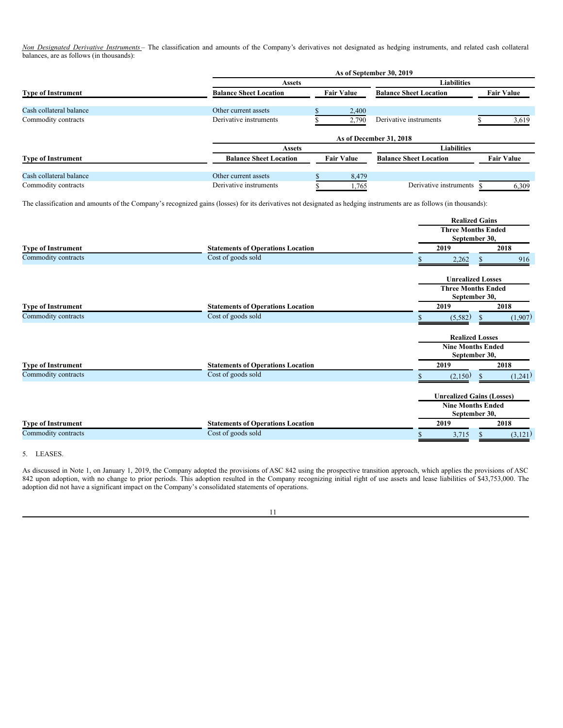*Non Designated Derivative Instruments* – The classification and amounts of the Company's derivatives not designated as hedging instruments, and related cash collateral balances, are as follows (in thousands):

|                           |                               |                   |       | As of September 30, 2019      |                   |  |  |  |  |  |
|---------------------------|-------------------------------|-------------------|-------|-------------------------------|-------------------|--|--|--|--|--|
|                           | <b>Assets</b>                 |                   |       | Liabilities                   |                   |  |  |  |  |  |
| <b>Type of Instrument</b> | <b>Balance Sheet Location</b> | <b>Fair Value</b> |       | <b>Balance Sheet Location</b> | <b>Fair Value</b> |  |  |  |  |  |
| Cash collateral balance   | Other current assets          |                   | 2,400 |                               |                   |  |  |  |  |  |
| Commodity contracts       | Derivative instruments        |                   | 2,790 | Derivative instruments        | 3,619             |  |  |  |  |  |
|                           |                               |                   |       | As of December 31, 2018       |                   |  |  |  |  |  |
|                           | <b>Assets</b>                 |                   |       | <b>Liabilities</b>            |                   |  |  |  |  |  |
| <b>Type of Instrument</b> | <b>Balance Sheet Location</b> | <b>Fair Value</b> |       | <b>Balance Sheet Location</b> | <b>Fair Value</b> |  |  |  |  |  |
| Cash collateral balance   | Other current assets          |                   | 8,479 |                               |                   |  |  |  |  |  |
| Commodity contracts       | Derivative instruments        |                   | 1.765 | Derivative instruments        | 6,309             |  |  |  |  |  |

The classification and amounts of the Company's recognized gains (losses) for its derivatives not designated as hedging instruments are as follows (in thousands):

|                           |                                          |         | <b>Realized Gains</b><br><b>Three Months Ended</b><br>September 30, |
|---------------------------|------------------------------------------|---------|---------------------------------------------------------------------|
| <b>Type of Instrument</b> | <b>Statements of Operations Location</b> | 2019    | 2018                                                                |
| Commodity contracts       | Cost of goods sold                       | 2,262   | 916                                                                 |
|                           |                                          |         | <b>Unrealized Losses</b>                                            |
|                           |                                          |         | <b>Three Months Ended</b><br>September 30,                          |
| <b>Type of Instrument</b> | <b>Statements of Operations Location</b> | 2019    | 2018                                                                |
| Commodity contracts       | Cost of goods sold                       | (5,582) | (1,907)<br>S.                                                       |
|                           |                                          |         | <b>Realized Losses</b>                                              |
|                           |                                          |         | <b>Nine Months Ended</b><br>September 30,                           |
| <b>Type of Instrument</b> | <b>Statements of Operations Location</b> | 2019    | 2018                                                                |
| Commodity contracts       | Cost of goods sold                       | (2,150) | (1,241)                                                             |
|                           |                                          |         | <b>Unrealized Gains (Losses)</b>                                    |
|                           |                                          |         | <b>Nine Months Ended</b>                                            |
|                           |                                          |         | September 30,                                                       |
| <b>Type of Instrument</b> | <b>Statements of Operations Location</b> | 2019    | 2018                                                                |
| Commodity contracts       | Cost of goods sold                       | 3,715   | (3,121)                                                             |

5. LEASES.

As discussed in Note 1, on January 1, 2019, the Company adopted the provisions of ASC 842 using the prospective transition approach, which applies the provisions of ASC 842 upon adoption, with no change to prior periods. This adoption resulted in the Company recognizing initial right of use assets and lease liabilities of \$43,753,000. The adoption did not have a significant impact on the Company's consolidated statements of operations.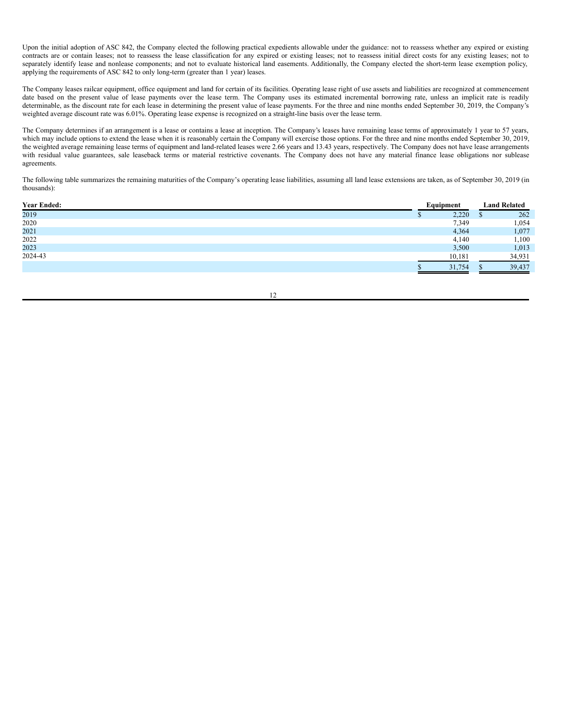Upon the initial adoption of ASC 842, the Company elected the following practical expedients allowable under the guidance: not to reassess whether any expired or existing contracts are or contain leases; not to reassess the lease classification for any expired or existing leases; not to reassess initial direct costs for any existing leases; not to separately identify lease and nonlease components; and not to evaluate historical land easements. Additionally, the Company elected the short-term lease exemption policy, applying the requirements of ASC 842 to only long-term (greater than 1 year) leases.

The Company leases railcar equipment, office equipment and land for certain of its facilities. Operating lease right of use assets and liabilities are recognized at commencement date based on the present value of lease payments over the lease term. The Company uses its estimated incremental borrowing rate, unless an implicit rate is readily determinable, as the discount rate for each lease in determining the present value of lease payments. For the three and nine months ended September 30, 2019, the Company's weighted average discount rate was 6.01%. Operating lease expense is recognized on a straight-line basis over the lease term.

The Company determines if an arrangement is a lease or contains a lease at inception. The Company's leases have remaining lease terms of approximately 1 year to 57 years, which may include options to extend the lease when it is reasonably certain the Company will exercise those options. For the three and nine months ended September 30, 2019, the weighted average remaining lease terms of equipment and land-related leases were 2.66 years and 13.43 years, respectively. The Company does not have lease arrangements with residual value guarantees, sale leaseback terms or material restrictive covenants. The Company does not have any material finance lease obligations nor sublease agreements.

The following table summarizes the remaining maturities of the Company's operating lease liabilities, assuming all land lease extensions are taken, as of September 30, 2019 (in thousands):

| <b>Year Ended:</b> | Equipment |        | <b>Land Related</b> |        |  |
|--------------------|-----------|--------|---------------------|--------|--|
| 2019               |           | 2,220  | ۰D                  | 262    |  |
| 2020               |           | 7,349  |                     | 1,054  |  |
| 2021               |           | 4,364  |                     | 1,077  |  |
| 2022               |           | 4,140  |                     | 1,100  |  |
| 2023               |           | 3,500  |                     | 1,013  |  |
| 2024-43            |           | 10,181 |                     | 34,931 |  |
|                    |           | 31,754 |                     | 39,437 |  |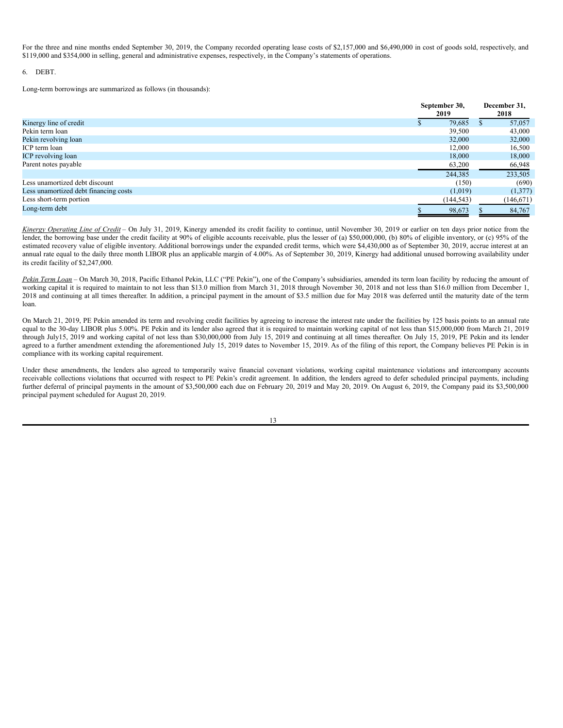For the three and nine months ended September 30, 2019, the Company recorded operating lease costs of \$2,157,000 and \$6,490,000 in cost of goods sold, respectively, and \$119,000 and \$354,000 in selling, general and administrative expenses, respectively, in the Company's statements of operations.

# 6. DEBT.

Long-term borrowings are summarized as follows (in thousands):

|                                       |     | September 30,<br>2019 |   | December 31,<br>2018 |
|---------------------------------------|-----|-----------------------|---|----------------------|
| Kinergy line of credit                | ۰D. | 79,685                | ъ | 57,057               |
| Pekin term loan                       |     | 39,500                |   | 43,000               |
| Pekin revolving loan                  |     | 32,000                |   | 32,000               |
| ICP term loan                         |     | 12,000                |   | 16,500               |
| ICP revolving loan                    |     | 18,000                |   | 18,000               |
| Parent notes payable                  |     | 63,200                |   | 66,948               |
|                                       |     | 244,385               |   | 233,505              |
| Less unamortized debt discount        |     | (150)                 |   | (690)                |
| Less unamortized debt financing costs |     | (1,019)               |   | (1,377)              |
| Less short-term portion               |     | (144, 543)            |   | (146, 671)           |
| Long-term debt                        |     | 98,673                |   | 84,767               |

*Kinergy Operating Line of Credit* – On July 31, 2019, Kinergy amended its credit facility to continue, until November 30, 2019 or earlier on ten days prior notice from the lender, the borrowing base under the credit facility at 90% of eligible accounts receivable, plus the lesser of (a) \$50,000,000, (b) 80% of eligible inventory, or (c) 95% of the estimated recovery value of eligible inventory. Additional borrowings under the expanded credit terms, which were \$4,430,000 as of September 30, 2019, accrue interest at an annual rate equal to the daily three month LIBOR plus an applicable margin of 4.00%. As of September 30, 2019, Kinergy had additional unused borrowing availability under its credit facility of \$2,247,000.

*Pekin Term Loan* – On March 30, 2018, Pacific Ethanol Pekin, LLC ("PE Pekin"), one of the Company's subsidiaries, amended its term loan facility by reducing the amount of working capital it is required to maintain to not less than \$13.0 million from March 31, 2018 through November 30, 2018 and not less than \$16.0 million from December 1, 2018 and continuing at all times thereafter. In addition, a principal payment in the amount of \$3.5 million due for May 2018 was deferred until the maturity date of the term loan.

On March 21, 2019, PE Pekin amended its term and revolving credit facilities by agreeing to increase the interest rate under the facilities by 125 basis points to an annual rate equal to the 30-day LIBOR plus 5.00%. PE Pekin and its lender also agreed that it is required to maintain working capital of not less than \$15,000,000 from March 21, 2019 through July15, 2019 and working capital of not less than \$30,000,000 from July 15, 2019 and continuing at all times thereafter. On July 15, 2019, PE Pekin and its lender agreed to a further amendment extending the aforementioned July 15, 2019 dates to November 15, 2019. As of the filing of this report, the Company believes PE Pekin is in compliance with its working capital requirement.

Under these amendments, the lenders also agreed to temporarily waive financial covenant violations, working capital maintenance violations and intercompany accounts receivable collections violations that occurred with respect to PE Pekin's credit agreement. In addition, the lenders agreed to defer scheduled principal payments, including further deferral of principal payments in the amount of \$3,500,000 each due on February 20, 2019 and May 20, 2019. On August 6, 2019, the Company paid its \$3,500,000 principal payment scheduled for August 20, 2019.

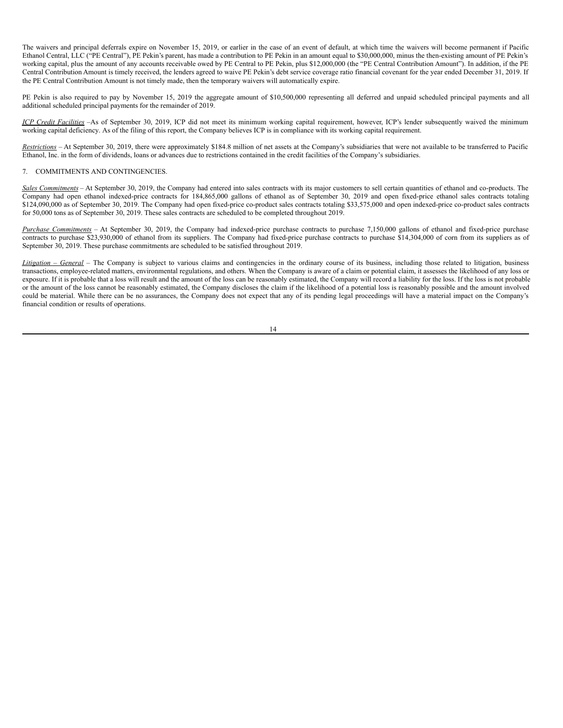The waivers and principal deferrals expire on November 15, 2019, or earlier in the case of an event of default, at which time the waivers will become permanent if Pacific Ethanol Central, LLC ("PE Central"), PE Pekin's parent, has made a contribution to PE Pekin in an amount equal to \$30,000,000, minus the then-existing amount of PE Pekin's working capital, plus the amount of any accounts receivable owed by PE Central to PE Pekin, plus \$12,000,000 (the "PE Central Contribution Amount"). In addition, if the PE Central Contribution Amount is timely received, the lenders agreed to waive PE Pekin's debt service coverage ratio financial covenant for the year ended December 31, 2019. If the PE Central Contribution Amount is not timely made, then the temporary waivers will automatically expire.

PE Pekin is also required to pay by November 15, 2019 the aggregate amount of \$10,500,000 representing all deferred and unpaid scheduled principal payments and all additional scheduled principal payments for the remainder of 2019.

*ICP Credit Facilities* –As of September 30, 2019, ICP did not meet its minimum working capital requirement, however, ICP's lender subsequently waived the minimum working capital deficiency. As of the filing of this report, the Company believes ICP is in compliance with its working capital requirement.

*Restrictions* – At September 30, 2019, there were approximately \$184.8 million of net assets at the Company's subsidiaries that were not available to be transferred to Pacific Ethanol, Inc. in the form of dividends, loans or advances due to restrictions contained in the credit facilities of the Company's subsidiaries.

# 7. COMMITMENTS AND CONTINGENCIES.

Sales Commitments – At September 30, 2019, the Company had entered into sales contracts with its major customers to sell certain quantities of ethanol and co-products. The Company had open ethanol indexed-price contracts for 184,865,000 gallons of ethanol as of September 30, 2019 and open fixed-price ethanol sales contracts totaling \$124,090,000 as of September 30, 2019. The Company had open fixed-price co-product sales contracts totaling \$33,575,000 and open indexed-price co-product sales contracts for 50,000 tons as of September 30, 2019. These sales contracts are scheduled to be completed throughout 2019.

*Purchase Commitments* – At September 30, 2019, the Company had indexed-price purchase contracts to purchase 7,150,000 gallons of ethanol and fixed-price purchase contracts to purchase \$23,930,000 of ethanol from its suppliers. The Company had fixed-price purchase contracts to purchase \$14,304,000 of corn from its suppliers as of September 30, 2019. These purchase commitments are scheduled to be satisfied throughout 2019.

*Litigation* – *General* – The Company is subject to various claims and contingencies in the ordinary course of its business, including those related to litigation, business transactions, employee-related matters, environmental regulations, and others. When the Company is aware of a claim or potential claim, it assesses the likelihood of any loss or exposure. If it is probable that a loss will result and the amount of the loss can be reasonably estimated, the Company will record a liability for the loss. If the loss is not probable or the amount of the loss cannot be reasonably estimated, the Company discloses the claim if the likelihood of a potential loss is reasonably possible and the amount involved could be material. While there can be no assurances, the Company does not expect that any of its pending legal proceedings will have a material impact on the Company's financial condition or results of operations.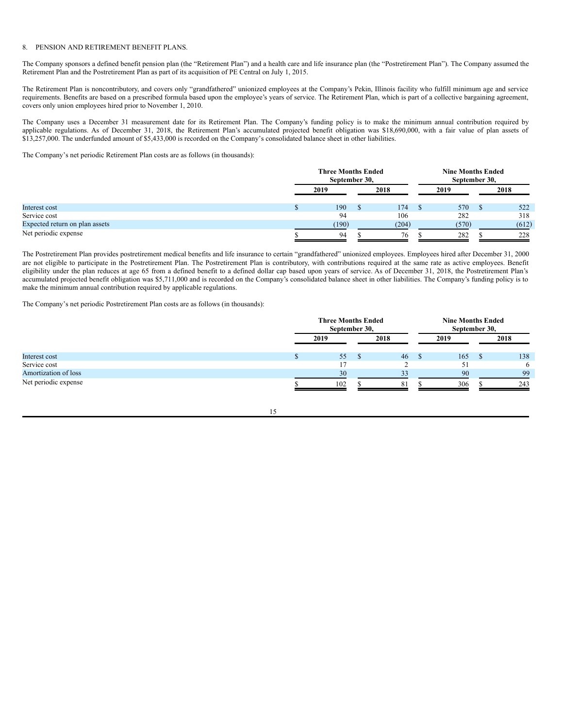# 8. PENSION AND RETIREMENT BENEFIT PLANS.

The Company sponsors a defined benefit pension plan (the "Retirement Plan") and a health care and life insurance plan (the "Postretirement Plan"). The Company assumed the Retirement Plan and the Postretirement Plan as part of its acquisition of PE Central on July 1, 2015.

The Retirement Plan is noncontributory, and covers only "grandfathered" unionized employees at the Company's Pekin, Illinois facility who fulfill minimum age and service requirements. Benefits are based on a prescribed formula based upon the employee's years of service. The Retirement Plan, which is part of a collective bargaining agreement, covers only union employees hired prior to November 1, 2010.

The Company uses a December 31 measurement date for its Retirement Plan. The Company's funding policy is to make the minimum annual contribution required by applicable regulations. As of December 31, 2018, the Retirement Plan's accumulated projected benefit obligation was \$18,690,000, with a fair value of plan assets of \$13,257,000. The underfunded amount of \$5,433,000 is recorded on the Company's consolidated balance sheet in other liabilities.

The Company's net periodic Retirement Plan costs are as follows (in thousands):

|                                | <b>Three Months Ended</b><br>September 30, |  |              |  | <b>Nine Months Ended</b><br>September 30, |      |       |
|--------------------------------|--------------------------------------------|--|--------------|--|-------------------------------------------|------|-------|
|                                | 2019                                       |  | 2018<br>2019 |  |                                           | 2018 |       |
| Interest cost                  | 190                                        |  | 174          |  | 570                                       |      | 522   |
| Service cost                   | 94                                         |  | 106          |  | 282                                       |      | 318   |
| Expected return on plan assets | (190)                                      |  | (204)        |  | (570)                                     |      | (612) |
| Net periodic expense           | 94                                         |  | 76           |  | 282                                       |      | 228   |

The Postretirement Plan provides postretirement medical benefits and life insurance to certain "grandfathered" unionized employees. Employees hired after December 31, 2000 are not eligible to participate in the Postretirement Plan. The Postretirement Plan is contributory, with contributions required at the same rate as active employees. Benefit eligibility under the plan reduces at age 65 from a defined benefit to a defined dollar cap based upon years of service. As of December 31, 2018, the Postretirement Plan's accumulated projected benefit obligation was \$5,711,000 and is recorded on the Company's consolidated balance sheet in other liabilities. The Company's funding policy is to make the minimum annual contribution required by applicable regulations.

The Company's net periodic Postretirement Plan costs are as follows (in thousands):

|                      |      | <b>Three Months Ended</b><br>September 30, |  |              |  | <b>Nine Months Ended</b><br>September 30, |      |     |
|----------------------|------|--------------------------------------------|--|--------------|--|-------------------------------------------|------|-----|
|                      | 2019 |                                            |  | 2018<br>2019 |  |                                           | 2018 |     |
| Interest cost        |      | 55                                         |  | 46           |  | 165                                       |      | 138 |
| Service cost         |      |                                            |  |              |  | 51                                        |      | 6   |
| Amortization of loss |      | 30                                         |  | 33           |  | 90                                        |      | 99  |
| Net periodic expense |      | 102                                        |  | 81           |  | 306                                       |      | 243 |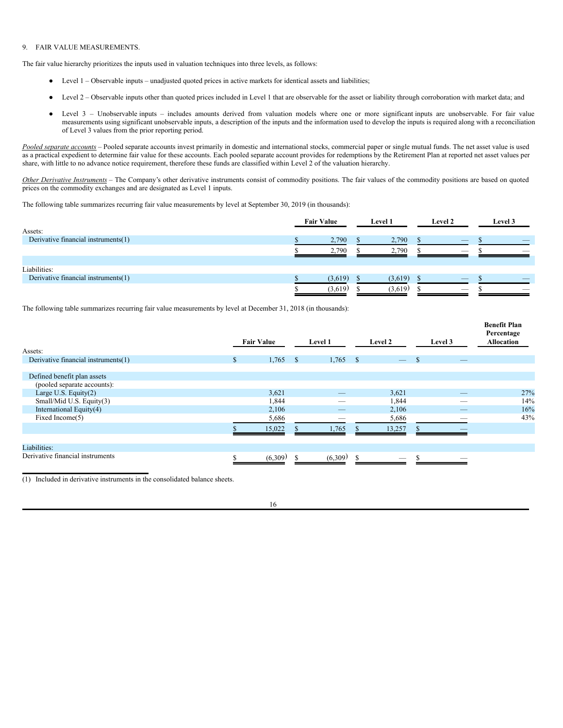# 9. FAIR VALUE MEASUREMENTS.

The fair value hierarchy prioritizes the inputs used in valuation techniques into three levels, as follows:

- Level 1 Observable inputs unadjusted quoted prices in active markets for identical assets and liabilities;
- Level 2 Observable inputs other than quoted prices included in Level 1 that are observable for the asset or liability through corroboration with market data; and
- Level 3 Unobservable inputs includes amounts derived from valuation models where one or more significant inputs are unobservable. For fair value measurements using significant unobservable inputs, a description of the inputs and the information used to develop the inputs is required along with a reconciliation of Level 3 values from the prior reporting period.

*Pooled separate accounts* – Pooled separate accounts invest primarily in domestic and international stocks, commercial paper or single mutual funds. The net asset value is used as a practical expedient to determine fair value for these accounts. Each pooled separate account provides for redemptions by the Retirement Plan at reported net asset values per share, with little to no advance notice requirement, therefore these funds are classified within Level 2 of the valuation hierarchy.

*Other Derivative Instruments* – The Company's other derivative instruments consist of commodity positions. The fair values of the commodity positions are based on quoted prices on the commodity exchanges and are designated as Level 1 inputs.

The following table summarizes recurring fair value measurements by level at September 30, 2019 (in thousands):

|                                     | <b>Fair Value</b> |         | Level 1 | Level 2                         |  | Level 3                  |
|-------------------------------------|-------------------|---------|---------|---------------------------------|--|--------------------------|
| Assets:                             |                   |         |         |                                 |  |                          |
| Derivative financial instruments(1) |                   | 2,790   | 2,790   | $\overline{\phantom{a}}$        |  |                          |
|                                     |                   | 2,790   | 2.790   | $\overline{\phantom{a}}$        |  | $\overline{\phantom{a}}$ |
|                                     |                   |         |         |                                 |  |                          |
| Liabilities:                        |                   |         |         |                                 |  |                          |
| Derivative financial instruments(1) |                   | (3,619) | (3,619) | $\overline{\phantom{a}}$        |  |                          |
|                                     |                   | (3,619) | (3,619) | $\hspace{0.1mm}-\hspace{0.1mm}$ |  | $\overline{\phantom{a}}$ |

The following table summarizes recurring fair value measurements by level at December 31, 2018 (in thousands):

| Assets:                                                    |    | <b>Fair Value</b> |      | Level 1 |      | Level 2 |              | Level 3 | <b>Benefit Plan</b><br>Percentage<br><b>Allocation</b> |
|------------------------------------------------------------|----|-------------------|------|---------|------|---------|--------------|---------|--------------------------------------------------------|
| Derivative financial instruments(1)                        | S. | 1,765             | - \$ | 1,765   | - \$ |         | $\mathbf{s}$ | $-$     |                                                        |
| Defined benefit plan assets<br>(pooled separate accounts): |    |                   |      |         |      |         |              |         |                                                        |
| Large U.S. Equity(2)                                       |    | 3,621             |      |         |      | 3,621   |              |         | 27%                                                    |
| Small/Mid U.S. Equity(3)                                   |    | 1,844             |      |         |      | 1,844   |              |         | 14%                                                    |
| International Equity(4)                                    |    | 2,106             |      |         |      | 2,106   |              |         | 16%                                                    |
| Fixed Income(5)                                            |    | 5,686             |      |         |      | 5,686   |              |         | 43%                                                    |
|                                                            |    | 15,022            |      | 1,765   |      | 13,257  |              |         |                                                        |
|                                                            |    |                   |      |         |      |         |              |         |                                                        |
| Liabilities:                                               |    |                   |      |         |      |         |              |         |                                                        |
| Derivative financial instruments                           |    | (6,309)           |      | (6,309) |      | $-$     |              |         |                                                        |

(1) Included in derivative instruments in the consolidated balance sheets.

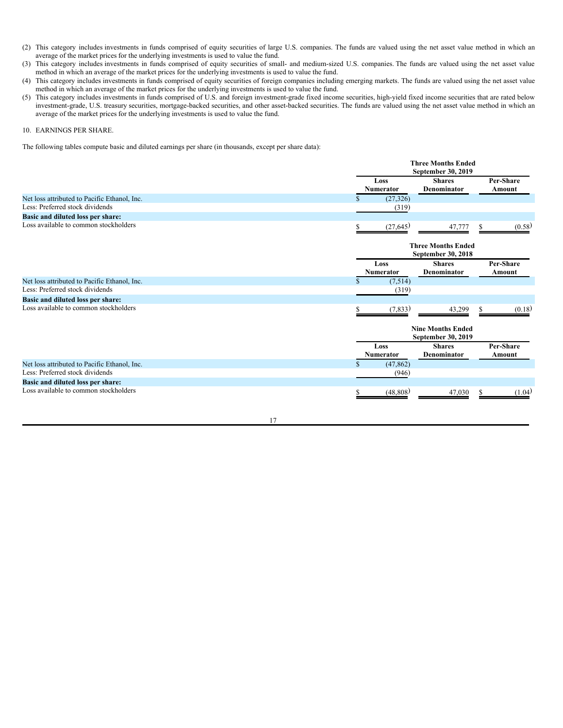- (2) This category includes investments in funds comprised of equity securities of large U.S. companies. The funds are valued using the net asset value method in which an average of the market prices for the underlying investments is used to value the fund.
- (3) This category includes investments in funds comprised of equity securities of small- and medium-sized U.S. companies. The funds are valued using the net asset value method in which an average of the market prices for the underlying investments is used to value the fund.
- (4) This category includes investments in funds comprised of equity securities of foreign companies including emerging markets. The funds are valued using the net asset value method in which an average of the market prices for the underlying investments is used to value the fund.
- (5) This category includes investments in funds comprised of U.S. and foreign investment-grade fixed income securities, high-yield fixed income securities that are rated below investment-grade, U.S. treasury securities, mortgage-backed securities, and other asset-backed securities. The funds are valued using the net asset value method in which an average of the market prices for the underlying investments is used to value the fund.

# 10. EARNINGS PER SHARE.

The following tables compute basic and diluted earnings per share (in thousands, except per share data):

|                                              |                   | <b>Three Months Ended</b><br>September 30, 2019 |                     |  |  |  |
|----------------------------------------------|-------------------|-------------------------------------------------|---------------------|--|--|--|
|                                              | Loss<br>Numerator | <b>Shares</b><br>Denominator                    | Per-Share<br>Amount |  |  |  |
| Net loss attributed to Pacific Ethanol, Inc. | (27, 326)         |                                                 |                     |  |  |  |
| Less: Preferred stock dividends              | (319)             |                                                 |                     |  |  |  |
| <b>Basic and diluted loss per share:</b>     |                   |                                                 |                     |  |  |  |
| Loss available to common stockholders        | (27, 645)         | 47,777                                          | (0.58)<br>S         |  |  |  |
|                                              |                   | <b>Three Months Ended</b><br>September 30, 2018 |                     |  |  |  |
|                                              | Loss              | <b>Shares</b>                                   | Per-Share           |  |  |  |
|                                              | Numerator         | <b>Denominator</b>                              | Amount              |  |  |  |
| Net loss attributed to Pacific Ethanol, Inc. | (7,514)<br>S.     |                                                 |                     |  |  |  |
| Less: Preferred stock dividends              | (319)             |                                                 |                     |  |  |  |
| Basic and diluted loss per share:            |                   |                                                 |                     |  |  |  |
| Loss available to common stockholders        | (7,833)           | 43,299                                          | (0.18)              |  |  |  |
|                                              |                   | <b>Nine Months Ended</b><br>September 30, 2019  |                     |  |  |  |
|                                              | Loss              | <b>Shares</b>                                   | Per-Share           |  |  |  |
|                                              | Numerator         | <b>Denominator</b>                              | Amount              |  |  |  |
| Net loss attributed to Pacific Ethanol. Inc. | \$.<br>(47, 862)  |                                                 |                     |  |  |  |
| Less: Preferred stock dividends              | (946)             |                                                 |                     |  |  |  |
| Basic and diluted loss per share:            |                   |                                                 |                     |  |  |  |
| Loss available to common stockholders        | (48, 808)         | 47,030                                          | (1.04)              |  |  |  |

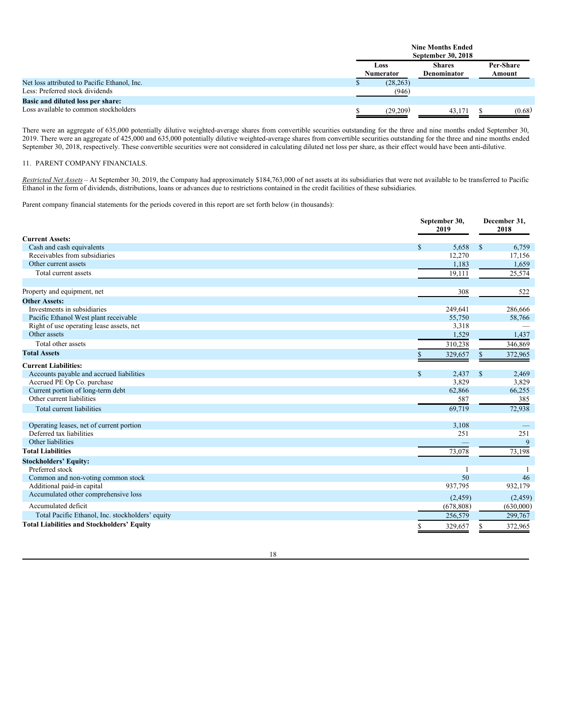|                                              |                          |  |                                     | <b>Nine Months Ended</b><br><b>September 30, 2018</b> |                     |        |
|----------------------------------------------|--------------------------|--|-------------------------------------|-------------------------------------------------------|---------------------|--------|
|                                              | Loss<br><b>Numerator</b> |  | <b>Shares</b><br><b>Denominator</b> |                                                       | Per-Share<br>Amount |        |
| Net loss attributed to Pacific Ethanol, Inc. |                          |  | (28, 263)                           |                                                       |                     |        |
| Less: Preferred stock dividends              |                          |  | (946)                               |                                                       |                     |        |
| <b>Basic and diluted loss per share:</b>     |                          |  |                                     |                                                       |                     |        |
| Loss available to common stockholders        |                          |  | (29,209)                            | 43.171                                                |                     | (0.68) |

There were an aggregate of 635,000 potentially dilutive weighted-average shares from convertible securities outstanding for the three and nine months ended September 30, 2019. There were an aggregate of 425,000 and 635,000 potentially dilutive weighted-average shares from convertible securities outstanding for the three and nine months ended September 30, 2018, respectively. These convertible securities were not considered in calculating diluted net loss per share, as their effect would have been anti-dilutive.

# 11. PARENT COMPANY FINANCIALS.

*Restricted Net Assets –* At September 30, 2019, the Company had approximately \$184,763,000 of net assets at its subsidiaries that were not available to be transferred to Pacific Ethanol in the form of dividends, distributions, loans or advances due to restrictions contained in the credit facilities of these subsidiaries.

Parent company financial statements for the periods covered in this report are set forth below (in thousands):

|                                                   | September 30,<br>2019 | December 31,<br>2018  |
|---------------------------------------------------|-----------------------|-----------------------|
| <b>Current Assets:</b>                            |                       |                       |
| Cash and cash equivalents                         | $\mathbb{S}$<br>5,658 | $\mathbb{S}$<br>6,759 |
| Receivables from subsidiaries                     | 12,270                | 17,156                |
| Other current assets                              | 1,183                 | 1,659                 |
| Total current assets                              | 19,111                | 25,574                |
| Property and equipment, net                       | 308                   | 522                   |
| <b>Other Assets:</b>                              |                       |                       |
| Investments in subsidiaries                       | 249,641               | 286,666               |
| Pacific Ethanol West plant receivable             | 55,750                | 58,766                |
| Right of use operating lease assets, net          | 3,318                 |                       |
| Other assets                                      | 1,529                 | 1,437                 |
| Total other assets                                | 310,238               | 346,869               |
| <b>Total Assets</b>                               | 329,657<br>S.         | 372,965<br>\$         |
| <b>Current Liabilities:</b>                       |                       |                       |
| Accounts payable and accrued liabilities          | $\mathbb{S}$<br>2,437 | $\mathbb{S}$<br>2,469 |
| Accrued PE Op Co. purchase                        | 3,829                 | 3,829                 |
| Current portion of long-term debt                 | 62,866                | 66,255                |
| Other current liabilities                         | 587                   | 385                   |
| Total current liabilities                         | 69,719                | 72,938                |
| Operating leases, net of current portion          | 3,108                 |                       |
| Deferred tax liabilities                          | 251                   | 251                   |
| Other liabilities                                 |                       | $\mathbf{Q}$          |
| <b>Total Liabilities</b>                          | 73,078                | 73,198                |
| <b>Stockholders' Equity:</b>                      |                       |                       |
| Preferred stock                                   |                       |                       |
| Common and non-voting common stock                | 50                    | 46                    |
| Additional paid-in capital                        | 937,795               | 932,179               |
| Accumulated other comprehensive loss              | (2, 459)              | (2, 459)              |
| Accumulated deficit                               | (678, 808)            | (630,000)             |
| Total Pacific Ethanol, Inc. stockholders' equity  | 256,579               | 299,767               |
| <b>Total Liabilities and Stockholders' Equity</b> | 329,657<br>\$         | \$<br>372,965         |

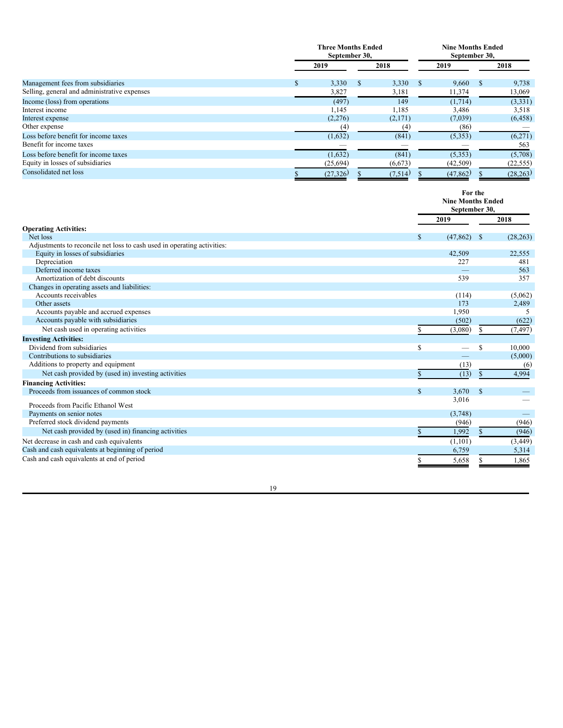|                                              |    | <b>Three Months Ended</b><br>September 30, |      |         |      |           | <b>Nine Months Ended</b><br>September 30, |           |  |  |
|----------------------------------------------|----|--------------------------------------------|------|---------|------|-----------|-------------------------------------------|-----------|--|--|
|                                              |    | 2019                                       | 2018 |         | 2019 |           | 2018                                      |           |  |  |
| Management fees from subsidiaries            | S. | 3,330                                      | \$.  | 3,330   | -8   | 9,660     | S.                                        | 9,738     |  |  |
| Selling, general and administrative expenses |    | 3,827                                      |      | 3,181   |      | 11,374    |                                           | 13,069    |  |  |
| Income (loss) from operations                |    | (497)                                      |      | 149     |      | (1,714)   |                                           | (3,331)   |  |  |
| Interest income                              |    | 1,145                                      |      | 1,185   |      | 3,486     |                                           | 3,518     |  |  |
| Interest expense                             |    | (2,276)                                    |      | (2,171) |      | (7,039)   |                                           | (6, 458)  |  |  |
| Other expense                                |    | (4)                                        |      | (4)     |      | (86)      |                                           |           |  |  |
| Loss before benefit for income taxes         |    | (1,632)                                    |      | (841)   |      | (5,353)   |                                           | (6,271)   |  |  |
| Benefit for income taxes                     |    |                                            |      | _       |      |           |                                           | 563       |  |  |
| Loss before benefit for income taxes         |    | (1,632)                                    |      | (841)   |      | (5,353)   |                                           | (5,708)   |  |  |
| Equity in losses of subsidiaries             |    | (25, 694)                                  |      | (6,673) |      | (42, 509) |                                           | (22, 555) |  |  |
| Consolidated net loss                        |    | (27, 326)                                  |      | (7,514) |      | (47, 862) |                                           | (28, 263) |  |  |

| 2019<br>2018<br>Net loss<br>\$<br>(47, 862)<br>(28, 263)<br><sup>\$</sup><br>Adjustments to reconcile net loss to cash used in operating activities:<br>Equity in losses of subsidiaries<br>42,509<br>22,555<br>Depreciation<br>227<br>481<br>Deferred income taxes<br>563<br>Amortization of debt discounts<br>539<br>357<br>Changes in operating assets and liabilities:<br>Accounts receivables<br>(114)<br>(5,062)<br>173<br>Other assets<br>2,489<br>Accounts payable and accrued expenses<br>1,950<br>5<br>Accounts payable with subsidiaries<br>(502)<br>(622)<br>Net cash used in operating activities<br>(3,080)<br>(7, 497)<br>\$<br><b>Investing Activities:</b><br>Dividend from subsidiaries<br>S<br>\$<br>10.000<br>Contributions to subsidiaries<br>(5,000)<br>Additions to property and equipment<br>(13)<br>(6)<br>Net cash provided by (used in) investing activities<br>4,994<br>(13)<br>\$<br>\$<br>Proceeds from issuances of common stock<br>$\mathbb{S}$<br>3,670<br>\$<br>3,016<br>Proceeds from Pacific Ethanol West<br>Payments on senior notes<br>(3,748)<br>Preferred stock dividend payments<br>(946)<br>(946)<br>Net cash provided by (used in) financing activities<br>1,992<br>(946)<br>\$<br>Net decrease in cash and cash equivalents<br>(1, 101)<br>(3, 449)<br>Cash and cash equivalents at beginning of period<br>6,759<br>5,314<br>Cash and cash equivalents at end of period<br>S<br>5,658<br>1.865<br>\$ |                              | For the<br><b>Nine Months Ended</b><br>September 30, |  |
|--------------------------------------------------------------------------------------------------------------------------------------------------------------------------------------------------------------------------------------------------------------------------------------------------------------------------------------------------------------------------------------------------------------------------------------------------------------------------------------------------------------------------------------------------------------------------------------------------------------------------------------------------------------------------------------------------------------------------------------------------------------------------------------------------------------------------------------------------------------------------------------------------------------------------------------------------------------------------------------------------------------------------------------------------------------------------------------------------------------------------------------------------------------------------------------------------------------------------------------------------------------------------------------------------------------------------------------------------------------------------------------------------------------------------------------------------|------------------------------|------------------------------------------------------|--|
|                                                                                                                                                                                                                                                                                                                                                                                                                                                                                                                                                                                                                                                                                                                                                                                                                                                                                                                                                                                                                                                                                                                                                                                                                                                                                                                                                                                                                                                  |                              |                                                      |  |
|                                                                                                                                                                                                                                                                                                                                                                                                                                                                                                                                                                                                                                                                                                                                                                                                                                                                                                                                                                                                                                                                                                                                                                                                                                                                                                                                                                                                                                                  | <b>Operating Activities:</b> |                                                      |  |
|                                                                                                                                                                                                                                                                                                                                                                                                                                                                                                                                                                                                                                                                                                                                                                                                                                                                                                                                                                                                                                                                                                                                                                                                                                                                                                                                                                                                                                                  |                              |                                                      |  |
|                                                                                                                                                                                                                                                                                                                                                                                                                                                                                                                                                                                                                                                                                                                                                                                                                                                                                                                                                                                                                                                                                                                                                                                                                                                                                                                                                                                                                                                  |                              |                                                      |  |
|                                                                                                                                                                                                                                                                                                                                                                                                                                                                                                                                                                                                                                                                                                                                                                                                                                                                                                                                                                                                                                                                                                                                                                                                                                                                                                                                                                                                                                                  |                              |                                                      |  |
|                                                                                                                                                                                                                                                                                                                                                                                                                                                                                                                                                                                                                                                                                                                                                                                                                                                                                                                                                                                                                                                                                                                                                                                                                                                                                                                                                                                                                                                  |                              |                                                      |  |
|                                                                                                                                                                                                                                                                                                                                                                                                                                                                                                                                                                                                                                                                                                                                                                                                                                                                                                                                                                                                                                                                                                                                                                                                                                                                                                                                                                                                                                                  |                              |                                                      |  |
|                                                                                                                                                                                                                                                                                                                                                                                                                                                                                                                                                                                                                                                                                                                                                                                                                                                                                                                                                                                                                                                                                                                                                                                                                                                                                                                                                                                                                                                  |                              |                                                      |  |
|                                                                                                                                                                                                                                                                                                                                                                                                                                                                                                                                                                                                                                                                                                                                                                                                                                                                                                                                                                                                                                                                                                                                                                                                                                                                                                                                                                                                                                                  |                              |                                                      |  |
|                                                                                                                                                                                                                                                                                                                                                                                                                                                                                                                                                                                                                                                                                                                                                                                                                                                                                                                                                                                                                                                                                                                                                                                                                                                                                                                                                                                                                                                  |                              |                                                      |  |
|                                                                                                                                                                                                                                                                                                                                                                                                                                                                                                                                                                                                                                                                                                                                                                                                                                                                                                                                                                                                                                                                                                                                                                                                                                                                                                                                                                                                                                                  |                              |                                                      |  |
|                                                                                                                                                                                                                                                                                                                                                                                                                                                                                                                                                                                                                                                                                                                                                                                                                                                                                                                                                                                                                                                                                                                                                                                                                                                                                                                                                                                                                                                  |                              |                                                      |  |
|                                                                                                                                                                                                                                                                                                                                                                                                                                                                                                                                                                                                                                                                                                                                                                                                                                                                                                                                                                                                                                                                                                                                                                                                                                                                                                                                                                                                                                                  |                              |                                                      |  |
|                                                                                                                                                                                                                                                                                                                                                                                                                                                                                                                                                                                                                                                                                                                                                                                                                                                                                                                                                                                                                                                                                                                                                                                                                                                                                                                                                                                                                                                  |                              |                                                      |  |
|                                                                                                                                                                                                                                                                                                                                                                                                                                                                                                                                                                                                                                                                                                                                                                                                                                                                                                                                                                                                                                                                                                                                                                                                                                                                                                                                                                                                                                                  |                              |                                                      |  |
|                                                                                                                                                                                                                                                                                                                                                                                                                                                                                                                                                                                                                                                                                                                                                                                                                                                                                                                                                                                                                                                                                                                                                                                                                                                                                                                                                                                                                                                  |                              |                                                      |  |
|                                                                                                                                                                                                                                                                                                                                                                                                                                                                                                                                                                                                                                                                                                                                                                                                                                                                                                                                                                                                                                                                                                                                                                                                                                                                                                                                                                                                                                                  |                              |                                                      |  |
|                                                                                                                                                                                                                                                                                                                                                                                                                                                                                                                                                                                                                                                                                                                                                                                                                                                                                                                                                                                                                                                                                                                                                                                                                                                                                                                                                                                                                                                  |                              |                                                      |  |
|                                                                                                                                                                                                                                                                                                                                                                                                                                                                                                                                                                                                                                                                                                                                                                                                                                                                                                                                                                                                                                                                                                                                                                                                                                                                                                                                                                                                                                                  |                              |                                                      |  |
|                                                                                                                                                                                                                                                                                                                                                                                                                                                                                                                                                                                                                                                                                                                                                                                                                                                                                                                                                                                                                                                                                                                                                                                                                                                                                                                                                                                                                                                  | <b>Financing Activities:</b> |                                                      |  |
|                                                                                                                                                                                                                                                                                                                                                                                                                                                                                                                                                                                                                                                                                                                                                                                                                                                                                                                                                                                                                                                                                                                                                                                                                                                                                                                                                                                                                                                  |                              |                                                      |  |
|                                                                                                                                                                                                                                                                                                                                                                                                                                                                                                                                                                                                                                                                                                                                                                                                                                                                                                                                                                                                                                                                                                                                                                                                                                                                                                                                                                                                                                                  |                              |                                                      |  |
|                                                                                                                                                                                                                                                                                                                                                                                                                                                                                                                                                                                                                                                                                                                                                                                                                                                                                                                                                                                                                                                                                                                                                                                                                                                                                                                                                                                                                                                  |                              |                                                      |  |
|                                                                                                                                                                                                                                                                                                                                                                                                                                                                                                                                                                                                                                                                                                                                                                                                                                                                                                                                                                                                                                                                                                                                                                                                                                                                                                                                                                                                                                                  |                              |                                                      |  |
|                                                                                                                                                                                                                                                                                                                                                                                                                                                                                                                                                                                                                                                                                                                                                                                                                                                                                                                                                                                                                                                                                                                                                                                                                                                                                                                                                                                                                                                  |                              |                                                      |  |
|                                                                                                                                                                                                                                                                                                                                                                                                                                                                                                                                                                                                                                                                                                                                                                                                                                                                                                                                                                                                                                                                                                                                                                                                                                                                                                                                                                                                                                                  |                              |                                                      |  |
|                                                                                                                                                                                                                                                                                                                                                                                                                                                                                                                                                                                                                                                                                                                                                                                                                                                                                                                                                                                                                                                                                                                                                                                                                                                                                                                                                                                                                                                  |                              |                                                      |  |
|                                                                                                                                                                                                                                                                                                                                                                                                                                                                                                                                                                                                                                                                                                                                                                                                                                                                                                                                                                                                                                                                                                                                                                                                                                                                                                                                                                                                                                                  |                              |                                                      |  |
|                                                                                                                                                                                                                                                                                                                                                                                                                                                                                                                                                                                                                                                                                                                                                                                                                                                                                                                                                                                                                                                                                                                                                                                                                                                                                                                                                                                                                                                  |                              |                                                      |  |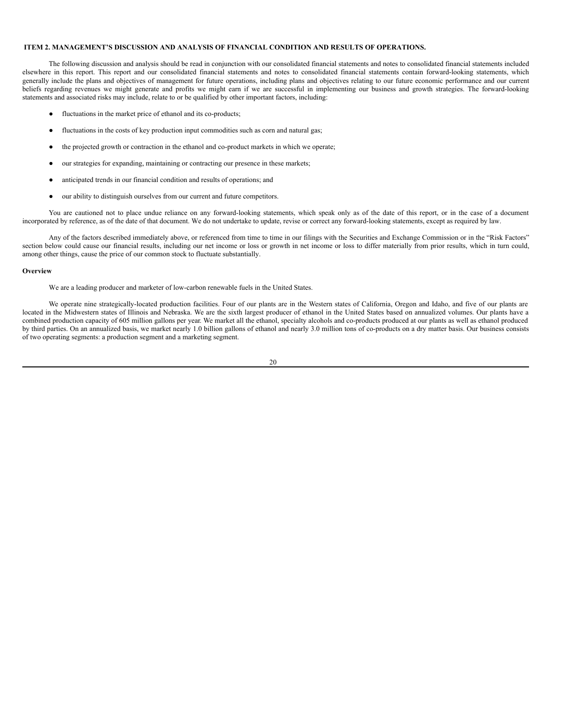# <span id="page-21-0"></span>**ITEM 2. MANAGEMENT'S DISCUSSION AND ANALYSIS OF FINANCIAL CONDITION AND RESULTS OF OPERATIONS.**

The following discussion and analysis should be read in conjunction with our consolidated financial statements and notes to consolidated financial statements included elsewhere in this report. This report and our consolidated financial statements and notes to consolidated financial statements contain forward-looking statements, which generally include the plans and objectives of management for future operations, including plans and objectives relating to our future economic performance and our current beliefs regarding revenues we might generate and profits we might earn if we are successful in implementing our business and growth strategies. The forward-looking statements and associated risks may include, relate to or be qualified by other important factors, including:

- fluctuations in the market price of ethanol and its co-products;
- fluctuations in the costs of key production input commodities such as corn and natural gas;
- the projected growth or contraction in the ethanol and co-product markets in which we operate;
- our strategies for expanding, maintaining or contracting our presence in these markets;
- anticipated trends in our financial condition and results of operations; and
- our ability to distinguish ourselves from our current and future competitors.

You are cautioned not to place undue reliance on any forward-looking statements, which speak only as of the date of this report, or in the case of a document incorporated by reference, as of the date of that document. We do not undertake to update, revise or correct any forward-looking statements, except as required by law.

Any of the factors described immediately above, or referenced from time to time in our filings with the Securities and Exchange Commission or in the "Risk Factors" section below could cause our financial results, including our net income or loss or growth in net income or loss to differ materially from prior results, which in turn could, among other things, cause the price of our common stock to fluctuate substantially.

#### **Overview**

We are a leading producer and marketer of low-carbon renewable fuels in the United States.

We operate nine strategically-located production facilities. Four of our plants are in the Western states of California, Oregon and Idaho, and five of our plants are located in the Midwestern states of Illinois and Nebraska. We are the sixth largest producer of ethanol in the United States based on annualized volumes. Our plants have a combined production capacity of 605 million gallons per year. We market all the ethanol, specialty alcohols and co-products produced at our plants as well as ethanol produced by third parties. On an annualized basis, we market nearly 1.0 billion gallons of ethanol and nearly 3.0 million tons of co-products on a dry matter basis. Our business consists of two operating segments: a production segment and a marketing segment.

| × | I |          |  |
|---|---|----------|--|
| I | × | ۰.<br>۰. |  |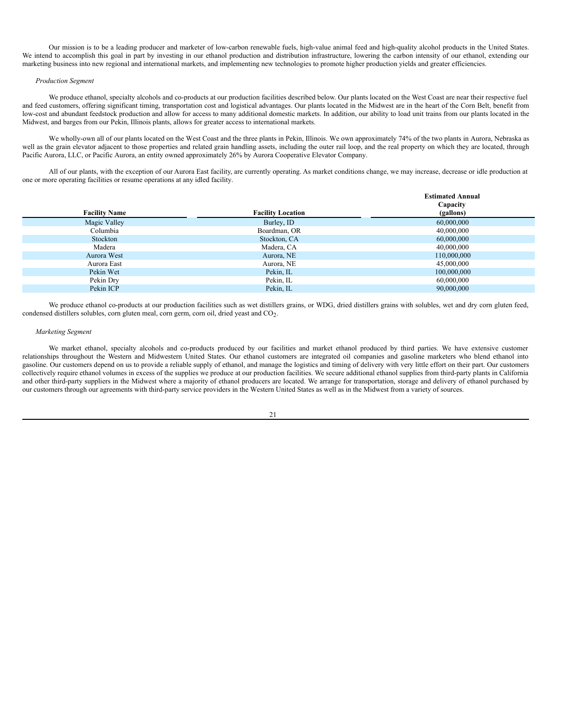Our mission is to be a leading producer and marketer of low-carbon renewable fuels, high-value animal feed and high-quality alcohol products in the United States. We intend to accomplish this goal in part by investing in our ethanol production and distribution infrastructure, lowering the carbon intensity of our ethanol, extending our marketing business into new regional and international markets, and implementing new technologies to promote higher production yields and greater efficiencies.

# *Production Segment*

We produce ethanol, specialty alcohols and co-products at our production facilities described below. Our plants located on the West Coast are near their respective fuel and feed customers, offering significant timing, transportation cost and logistical advantages. Our plants located in the Midwest are in the heart of the Corn Belt, benefit from low-cost and abundant feedstock production and allow for access to many additional domestic markets. In addition, our ability to load unit trains from our plants located in the Midwest, and barges from our Pekin, Illinois plants, allows for greater access to international markets.

We wholly-own all of our plants located on the West Coast and the three plants in Pekin, Illinois. We own approximately 74% of the two plants in Aurora, Nebraska as well as the grain elevator adjacent to those properties and related grain handling assets, including the outer rail loop, and the real property on which they are located, through Pacific Aurora, LLC, or Pacific Aurora, an entity owned approximately 26% by Aurora Cooperative Elevator Company.

All of our plants, with the exception of our Aurora East facility, are currently operating. As market conditions change, we may increase, decrease or idle production at one or more operating facilities or resume operations at any idled facility.

|                      |                          | <b>Estimated Annual</b> |
|----------------------|--------------------------|-------------------------|
|                      |                          | Capacity                |
| <b>Facility Name</b> | <b>Facility Location</b> | (gallons)               |
| Magic Valley         | Burley, ID               | 60,000,000              |
| Columbia             | Boardman, OR             | 40,000,000              |
| Stockton             | Stockton, CA             | 60,000,000              |
| Madera               | Madera, CA               | 40,000,000              |
| Aurora West          | Aurora, NE               | 110,000,000             |
| Aurora East          | Aurora, NE               | 45,000,000              |
| Pekin Wet            | Pekin, IL                | 100,000,000             |
| Pekin Dry            | Pekin, IL                | 60,000,000              |
| Pekin ICP            | Pekin, IL                | 90,000,000              |

We produce ethanol co-products at our production facilities such as wet distillers grains, or WDG, dried distillers grains with solubles, wet and dry corn gluten feed, condensed distillers solubles, corn gluten meal, corn germ, corn oil, dried yeast and  $CO<sub>2</sub>$ .

### *Marketing Segment*

We market ethanol, specialty alcohols and co-products produced by our facilities and market ethanol produced by third parties. We have extensive customer relationships throughout the Western and Midwestern United States. Our ethanol customers are integrated oil companies and gasoline marketers who blend ethanol into gasoline. Our customers depend on us to provide a reliable supply of ethanol, and manage the logistics and timing of delivery with very little effort on their part. Our customers collectively require ethanol volumes in excess of the supplies we produce at our production facilities. We secure additional ethanol supplies from third-party plants in California and other third-party suppliers in the Midwest where a majority of ethanol producers are located. We arrange for transportation, storage and delivery of ethanol purchased by our customers through our agreements with third-party service providers in the Western United States as well as in the Midwest from a variety of sources.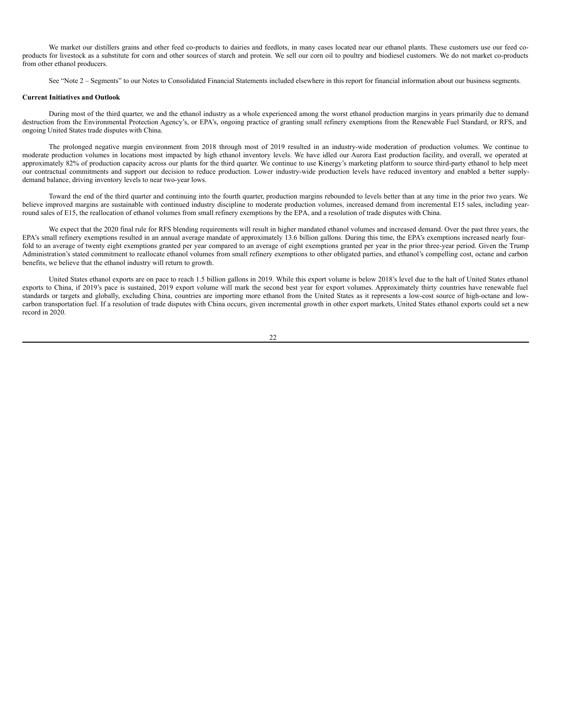We market our distillers grains and other feed co-products to dairies and feedlots, in many cases located near our ethanol plants. These customers use our feed coproducts for livestock as a substitute for corn and other sources of starch and protein. We sell our corn oil to poultry and biodiesel customers. We do not market co-products from other ethanol producers.

See "Note 2 – Segments" to our Notes to Consolidated Financial Statements included elsewhere in this report for financial information about our business segments.

# **Current Initiatives and Outlook**

During most of the third quarter, we and the ethanol industry as a whole experienced among the worst ethanol production margins in years primarily due to demand destruction from the Environmental Protection Agency's, or EPA's, ongoing practice of granting small refinery exemptions from the Renewable Fuel Standard, or RFS, and ongoing United States trade disputes with China.

The prolonged negative margin environment from 2018 through most of 2019 resulted in an industry-wide moderation of production volumes. We continue to moderate production volumes in locations most impacted by high ethanol inventory levels. We have idled our Aurora East production facility, and overall, we operated at approximately 82% of production capacity across our plants for the third quarter. We continue to use Kinergy's marketing platform to source third-party ethanol to help meet our contractual commitments and support our decision to reduce production. Lower industry-wide production levels have reduced inventory and enabled a better supplydemand balance, driving inventory levels to near two-year lows.

Toward the end of the third quarter and continuing into the fourth quarter, production margins rebounded to levels better than at any time in the prior two years. We believe improved margins are sustainable with continued industry discipline to moderate production volumes, increased demand from incremental E15 sales, including yearround sales of E15, the reallocation of ethanol volumes from small refinery exemptions by the EPA, and a resolution of trade disputes with China.

We expect that the 2020 final rule for RFS blending requirements will result in higher mandated ethanol volumes and increased demand. Over the past three years, the EPA's small refinery exemptions resulted in an annual average mandate of approximately 13.6 billion gallons. During this time, the EPA's exemptions increased nearly fourfold to an average of twenty eight exemptions granted per year compared to an average of eight exemptions granted per year in the prior three-year period. Given the Trump Administration's stated commitment to reallocate ethanol volumes from small refinery exemptions to other obligated parties, and ethanol's compelling cost, octane and carbon benefits, we believe that the ethanol industry will return to growth.

United States ethanol exports are on pace to reach 1.5 billion gallons in 2019. While this export volume is below 2018's level due to the halt of United States ethanol exports to China, if 2019's pace is sustained, 2019 export volume will mark the second best year for export volumes. Approximately thirty countries have renewable fuel standards or targets and globally, excluding China, countries are importing more ethanol from the United States as it represents a low-cost source of high-octane and lowcarbon transportation fuel. If a resolution of trade disputes with China occurs, given incremental growth in other export markets, United States ethanol exports could set a new record in 2020.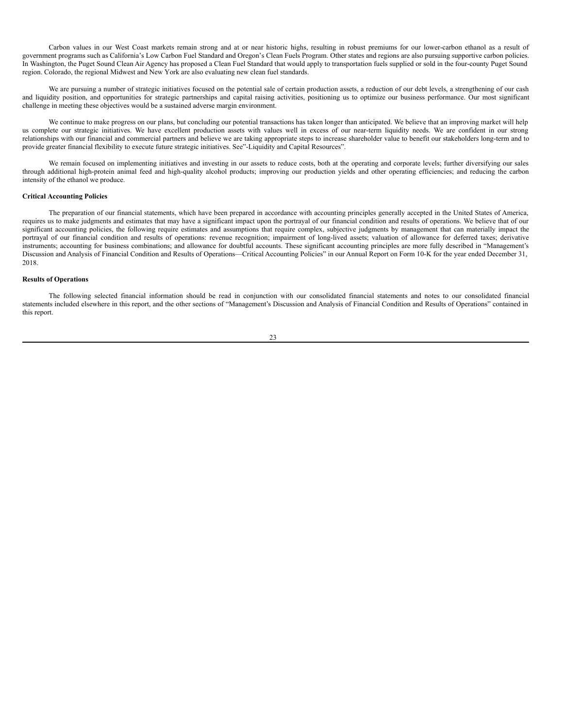Carbon values in our West Coast markets remain strong and at or near historic highs, resulting in robust premiums for our lower-carbon ethanol as a result of government programs such as California's Low Carbon Fuel Standard and Oregon's Clean Fuels Program. Other states and regions are also pursuing supportive carbon policies. In Washington, the Puget Sound Clean Air Agency has proposed a Clean Fuel Standard that would apply to transportation fuels supplied or sold in the four-county Puget Sound region. Colorado, the regional Midwest and New York are also evaluating new clean fuel standards.

We are pursuing a number of strategic initiatives focused on the potential sale of certain production assets, a reduction of our debt levels, a strengthening of our cash and liquidity position, and opportunities for strategic partnerships and capital raising activities, positioning us to optimize our business performance. Our most significant challenge in meeting these objectives would be a sustained adverse margin environment.

We continue to make progress on our plans, but concluding our potential transactions has taken longer than anticipated. We believe that an improving market will help us complete our strategic initiatives. We have excellent production assets with values well in excess of our near-term liquidity needs. We are confident in our strong relationships with our financial and commercial partners and believe we are taking appropriate steps to increase shareholder value to benefit our stakeholders long-term and to provide greater financial flexibility to execute future strategic initiatives. See"-Liquidity and Capital Resources".

We remain focused on implementing initiatives and investing in our assets to reduce costs, both at the operating and corporate levels; further diversifying our sales through additional high-protein animal feed and high-quality alcohol products; improving our production yields and other operating efficiencies; and reducing the carbon intensity of the ethanol we produce.

## **Critical Accounting Policies**

The preparation of our financial statements, which have been prepared in accordance with accounting principles generally accepted in the United States of America, requires us to make judgments and estimates that may have a significant impact upon the portrayal of our financial condition and results of operations. We believe that of our significant accounting policies, the following require estimates and assumptions that require complex, subjective judgments by management that can materially impact the portrayal of our financial condition and results of operations: revenue recognition; impairment of long-lived assets; valuation of allowance for deferred taxes; derivative instruments; accounting for business combinations; and allowance for doubtful accounts. These significant accounting principles are more fully described in "Management's Discussion and Analysis of Financial Condition and Results of Operations—Critical Accounting Policies" in our Annual Report on Form 10-K for the year ended December 31, 2018.

# **Results of Operations**

The following selected financial information should be read in conjunction with our consolidated financial statements and notes to our consolidated financial statements included elsewhere in this report, and the other sections of "Management's Discussion and Analysis of Financial Condition and Results of Operations" contained in this report.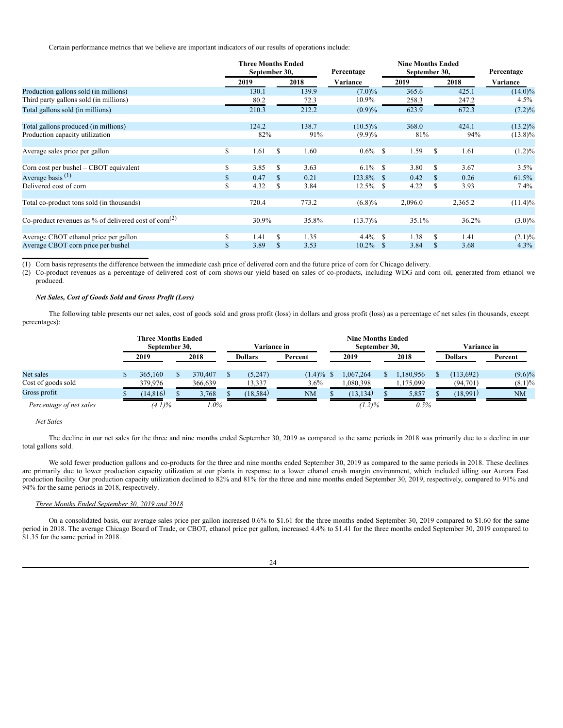Certain performance metrics that we believe are important indicators of our results of operations include:

|                                                                   |    | <b>Three Months Ended</b><br>September 30, |               |       | Percentage   |    | <b>Nine Months Ended</b><br>September 30, | Percentage    |         |            |
|-------------------------------------------------------------------|----|--------------------------------------------|---------------|-------|--------------|----|-------------------------------------------|---------------|---------|------------|
|                                                                   |    | 2019                                       |               | 2018  | Variance     |    | 2019                                      |               | 2018    | Variance   |
| Production gallons sold (in millions)                             |    | 130.1                                      |               | 139.9 | $(7.0)\%$    |    | 365.6                                     |               | 425.1   | $(14.0)\%$ |
| Third party gallons sold (in millions)                            |    | 80.2                                       |               | 72.3  | 10.9%        |    | 258.3                                     |               | 247.2   | $4.5\%$    |
| Total gallons sold (in millions)                                  |    | 210.3                                      |               | 212.2 | (0.9)%       |    | 623.9                                     |               | 672.3   | $(7.2)\%$  |
| Total gallons produced (in millions)                              |    | 124.2                                      |               | 138.7 | $(10.5)\%$   |    | 368.0                                     |               | 424.1   | $(13.2)\%$ |
| Production capacity utilization                                   |    | 82%                                        |               | 91%   | $(9.9)\%$    |    | 81%                                       |               | 94%     | $(13.8)\%$ |
| Average sales price per gallon                                    | \$ | 1.61                                       | S             | 1.60  | $0.6\%$ \$   |    | 1.59                                      | <sup>\$</sup> | 1.61    | $(1.2)\%$  |
| Corn cost per bushel – CBOT equivalent                            | S  | 3.85                                       | \$            | 3.63  | $6.1\%$ \$   |    | 3.80                                      | \$.           | 3.67    | $3.5\%$    |
| Average basis $(1)$                                               | \$ | 0.47                                       | <sup>\$</sup> | 0.21  | $123.8\%$ \$ |    | 0.42                                      | S.            | 0.26    | 61.5%      |
| Delivered cost of corn                                            | S  | 4.32                                       | S             | 3.84  | $12.5\%$ \$  |    | 4.22                                      | S             | 3.93    | $7.4\%$    |
| Total co-product tons sold (in thousands)                         |    | 720.4                                      |               | 773.2 | $(6.8)\%$    |    | 2,096.0                                   |               | 2,365.2 | $(11.4)\%$ |
| Co-product revenues as % of delivered cost of $\text{corn}^{(2)}$ |    | 30.9%                                      |               | 35.8% | $(13.7)\%$   |    | 35.1%                                     |               | 36.2%   | $(3.0)\%$  |
| Average CBOT ethanol price per gallon                             |    | 1.41                                       | S             | 1.35  | $4.4\%$      | -S | 1.38                                      | \$.           | 1.41    | $(2.1)\%$  |
| Average CBOT corn price per bushel                                | \$ | 3.89                                       | \$            | 3.53  | $10.2\%$     | -S | 3.84                                      | <sup>\$</sup> | 3.68    | $4.3\%$    |

(1) Corn basis represents the difference between the immediate cash price of delivered corn and the future price of corn for Chicago delivery.

(2) Co-product revenues as a percentage of delivered cost of corn shows our yield based on sales of co-products, including WDG and corn oil, generated from ethanol we produced.

# *Net Sales, Cost of Goods Sold and Gross Profit (Loss)*

The following table presents our net sales, cost of goods sold and gross profit (loss) in dollars and gross profit (loss) as a percentage of net sales (in thousands, except percentages):

|                         | <b>Three Months Ended</b><br>September 30. |         | <b>Variance in</b> |              | <b>Nine Months Ended</b><br>September 30. |          | Variance in    |           |
|-------------------------|--------------------------------------------|---------|--------------------|--------------|-------------------------------------------|----------|----------------|-----------|
|                         | 2019                                       | 2018    | <b>Dollars</b>     | Percent      | 2019                                      | 2018     | <b>Dollars</b> | Percent   |
| Net sales               | 365,160                                    | 370,407 | (5,247)            | $(1.4)\%$ \$ | 1.067.264                                 | .180.956 | (113, 692)     | $(9.6)\%$ |
| Cost of goods sold      | 379,976                                    | 366,639 | 13,337             | $3.6\%$      | 1,080,398                                 | 175,099  | (94,701)       | $(8.1)\%$ |
| Gross profit            | (14, 816)                                  | 3,768   | (18, 584)          | NM           | (13, 134)                                 | 5,857    | (18,991)       | <b>NM</b> |
| Percentage of net sales | $(4.1)\%$                                  | $.0\%$  |                    |              | $(1.2)\%$                                 | 0.5%     |                |           |

#### *Net Sales*

The decline in our net sales for the three and nine months ended September 30, 2019 as compared to the same periods in 2018 was primarily due to a decline in our total gallons sold.

We sold fewer production gallons and co-products for the three and nine months ended September 30, 2019 as compared to the same periods in 2018. These declines are primarily due to lower production capacity utilization at our plants in response to a lower ethanol crush margin environment, which included idling our Aurora East production facility. Our production capacity utilization declined to 82% and 81% for the three and nine months ended September 30, 2019, respectively, compared to 91% and 94% for the same periods in 2018, respectively.

# *Three Months Ended September 30, 2019 and 2018*

On a consolidated basis, our average sales price per gallon increased 0.6% to \$1.61 for the three months ended September 30, 2019 compared to \$1.60 for the same period in 2018. The average Chicago Board of Trade, or CBOT, ethanol price per gallon, increased 4.4% to \$1.41 for the three months ended September 30, 2019 compared to \$1.35 for the same period in 2018.

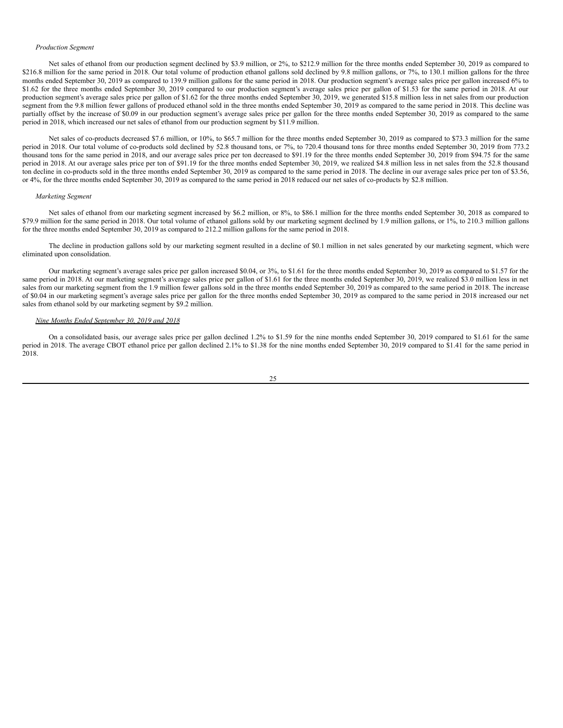#### *Production Segment*

Net sales of ethanol from our production segment declined by \$3.9 million, or 2%, to \$212.9 million for the three months ended September 30, 2019 as compared to \$216.8 million for the same period in 2018. Our total volume of production ethanol gallons sold declined by 9.8 million gallons, or 7%, to 130.1 million gallons for the three months ended September 30, 2019 as compared to 139.9 million gallons for the same period in 2018. Our production segment's average sales price per gallon increased 6% to \$1.62 for the three months ended September 30, 2019 compared to our production segment's average sales price per gallon of \$1.53 for the same period in 2018. At our production segment's average sales price per gallon of \$1.62 for the three months ended September 30, 2019, we generated \$15.8 million less in net sales from our production segment from the 9.8 million fewer gallons of produced ethanol sold in the three months ended September 30, 2019 as compared to the same period in 2018. This decline was partially offset by the increase of \$0.09 in our production segment's average sales price per gallon for the three months ended September 30, 2019 as compared to the same period in 2018, which increased our net sales of ethanol from our production segment by \$11.9 million.

Net sales of co-products decreased \$7.6 million, or 10%, to \$65.7 million for the three months ended September 30, 2019 as compared to \$73.3 million for the same period in 2018. Our total volume of co-products sold declined by 52.8 thousand tons, or 7%, to 720.4 thousand tons for three months ended September 30, 2019 from 773.2 thousand tons for the same period in 2018, and our average sales price per ton decreased to \$91.19 for the three months ended September 30, 2019 from \$94.75 for the same period in 2018. At our average sales price per ton of \$91.19 for the three months ended September 30, 2019, we realized \$4.8 million less in net sales from the 52.8 thousand ton decline in co-products sold in the three months ended September 30, 2019 as compared to the same period in 2018. The decline in our average sales price per ton of \$3.56, or 4%, for the three months ended September 30, 2019 as compared to the same period in 2018 reduced our net sales of co-products by \$2.8 million.

## *Marketing Segment*

Net sales of ethanol from our marketing segment increased by \$6.2 million, or 8%, to \$86.1 million for the three months ended September 30, 2018 as compared to \$79.9 million for the same period in 2018. Our total volume of ethanol gallons sold by our marketing segment declined by 1.9 million gallons, or 1%, to 210.3 million gallons for the three months ended September 30, 2019 as compared to 212.2 million gallons for the same period in 2018.

The decline in production gallons sold by our marketing segment resulted in a decline of \$0.1 million in net sales generated by our marketing segment, which were eliminated upon consolidation.

Our marketing segment's average sales price per gallon increased \$0.04, or 3%, to \$1.61 for the three months ended September 30, 2019 as compared to \$1.57 for the same period in 2018. At our marketing segment's average sales price per gallon of \$1.61 for the three months ended September 30, 2019, we realized \$3.0 million less in net sales from our marketing segment from the 1.9 million fewer gallons sold in the three months ended September 30, 2019 as compared to the same period in 2018. The increase of \$0.04 in our marketing segment's average sales price per gallon for the three months ended September 30, 2019 as compared to the same period in 2018 increased our net sales from ethanol sold by our marketing segment by \$9.2 million.

## *Nine Months Ended September 30, 2019 and 2018*

On a consolidated basis, our average sales price per gallon declined 1.2% to \$1.59 for the nine months ended September 30, 2019 compared to \$1.61 for the same period in 2018. The average CBOT ethanol price per gallon declined 2.1% to \$1.38 for the nine months ended September 30, 2019 compared to \$1.41 for the same period in 2018.

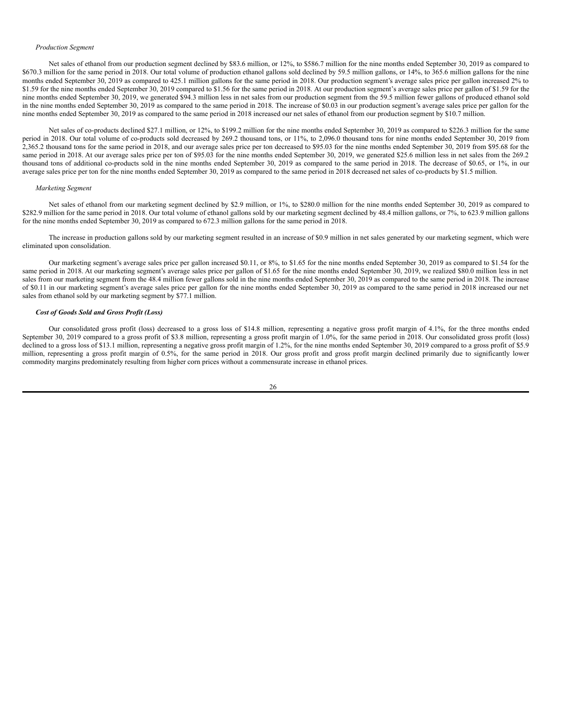#### *Production Segment*

Net sales of ethanol from our production segment declined by \$83.6 million, or 12%, to \$586.7 million for the nine months ended September 30, 2019 as compared to \$670.3 million for the same period in 2018. Our total volume of production ethanol gallons sold declined by 59.5 million gallons, or 14%, to 365.6 million gallons for the nine months ended September 30, 2019 as compared to 425.1 million gallons for the same period in 2018. Our production segment's average sales price per gallon increased 2% to \$1.59 for the nine months ended September 30, 2019 compared to \$1.56 for the same period in 2018. At our production segment's average sales price per gallon of \$1.59 for the nine months ended September 30, 2019, we generated \$94.3 million less in net sales from our production segment from the 59.5 million fewer gallons of produced ethanol sold in the nine months ended September 30, 2019 as compared to the same period in 2018. The increase of \$0.03 in our production segment's average sales price per gallon for the nine months ended September 30, 2019 as compared to the same period in 2018 increased our net sales of ethanol from our production segment by \$10.7 million.

Net sales of co-products declined \$27.1 million, or 12%, to \$199.2 million for the nine months ended September 30, 2019 as compared to \$226.3 million for the same period in 2018. Our total volume of co-products sold decreased by 269.2 thousand tons, or 11%, to 2,096.0 thousand tons for nine months ended September 30, 2019 from  $2,365.2$  thousand tons for the same period in 2018, and our average sales price per ton decreased to \$95.03 for the nine months ended September 30, 2019 from \$95.68 for the same period in 2018. At our average sales price per ton of \$95.03 for the nine months ended September 30, 2019, we generated \$25.6 million less in net sales from the 269.2 thousand tons of additional co-products sold in the nine months ended September 30, 2019 as compared to the same period in 2018. The decrease of \$0.65, or 1%, in our average sales price per ton for the nine months ended September 30, 2019 as compared to the same period in 2018 decreased net sales of co-products by \$1.5 million.

### *Marketing Segment*

Net sales of ethanol from our marketing segment declined by \$2.9 million, or 1%, to \$280.0 million for the nine months ended September 30, 2019 as compared to \$282.9 million for the same period in 2018. Our total volume of ethanol gallons sold by our marketing segment declined by 48.4 million gallons, or 7%, to 623.9 million gallons for the nine months ended September 30, 2019 as compared to 672.3 million gallons for the same period in 2018.

The increase in production gallons sold by our marketing segment resulted in an increase of \$0.9 million in net sales generated by our marketing segment, which were eliminated upon consolidation.

Our marketing segment's average sales price per gallon increased \$0.11, or 8%, to \$1.65 for the nine months ended September 30, 2019 as compared to \$1.54 for the same period in 2018. At our marketing segment's average sales price per gallon of \$1.65 for the nine months ended September 30, 2019, we realized \$80.0 million less in net sales from our marketing segment from the 48.4 million fewer gallons sold in the nine months ended September 30, 2019 as compared to the same period in 2018. The increase of \$0.11 in our marketing segment's average sales price per gallon for the nine months ended September 30, 2019 as compared to the same period in 2018 increased our net sales from ethanol sold by our marketing segment by \$77.1 million.

# *Cost of Goods Sold and Gross Profit (Loss)*

Our consolidated gross profit (loss) decreased to a gross loss of \$14.8 million, representing a negative gross profit margin of 4.1%, for the three months ended September 30, 2019 compared to a gross profit of \$3.8 million, representing a gross profit margin of 1.0%, for the same period in 2018. Our consolidated gross profit (loss) declined to a gross loss of \$13.1 million, representing a negative gross profit margin of 1.2%, for the nine months ended September 30, 2019 compared to a gross profit of \$5.9 million, representing a gross profit margin of 0.5%, for the same period in 2018. Our gross profit and gross profit margin declined primarily due to significantly lower commodity margins predominately resulting from higher corn prices without a commensurate increase in ethanol prices.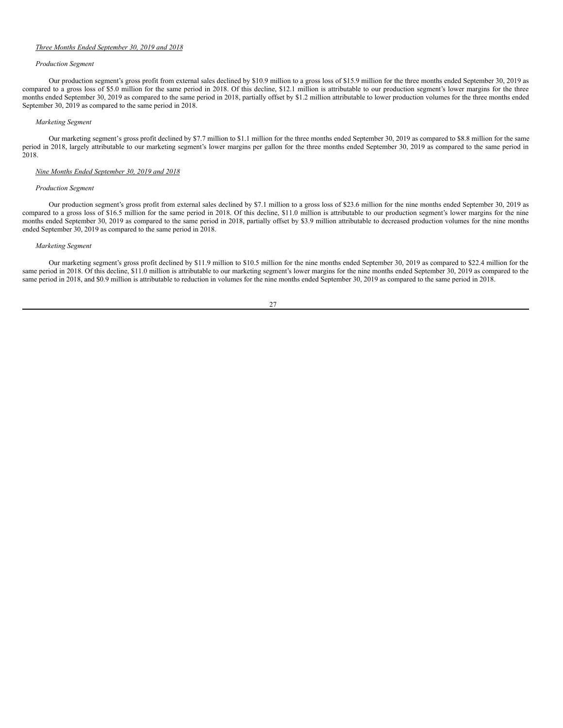#### *Three Months Ended September 30, 2019 and 2018*

### *Production Segment*

Our production segment's gross profit from external sales declined by \$10.9 million to a gross loss of \$15.9 million for the three months ended September 30, 2019 as compared to a gross loss of \$5.0 million for the same period in 2018. Of this decline, \$12.1 million is attributable to our production segment's lower margins for the three months ended September 30, 2019 as compared to the same period in 2018, partially offset by \$1.2 million attributable to lower production volumes for the three months ended September 30, 2019 as compared to the same period in 2018.

# *Marketing Segment*

Our marketing segment's gross profit declined by \$7.7 million to \$1.1 million for the three months ended September 30, 2019 as compared to \$8.8 million for the same period in 2018, largely attributable to our marketing segment's lower margins per gallon for the three months ended September 30, 2019 as compared to the same period in 2018.

# *Nine Months Ended September 30, 2019 and 2018*

#### *Production Segment*

Our production segment's gross profit from external sales declined by \$7.1 million to a gross loss of \$23.6 million for the nine months ended September 30, 2019 as compared to a gross loss of \$16.5 million for the same period in 2018. Of this decline, \$11.0 million is attributable to our production segment's lower margins for the nine months ended September 30, 2019 as compared to the same period in 2018, partially offset by \$3.9 million attributable to decreased production volumes for the nine months ended September 30, 2019 as compared to the same period in 2018.

### *Marketing Segment*

Our marketing segment's gross profit declined by \$11.9 million to \$10.5 million for the nine months ended September 30, 2019 as compared to \$22.4 million for the same period in 2018. Of this decline, \$11.0 million is attributable to our marketing segment's lower margins for the nine months ended September 30, 2019 as compared to the same period in 2018, and \$0.9 million is attributable to reduction in volumes for the nine months ended September 30, 2019 as compared to the same period in 2018.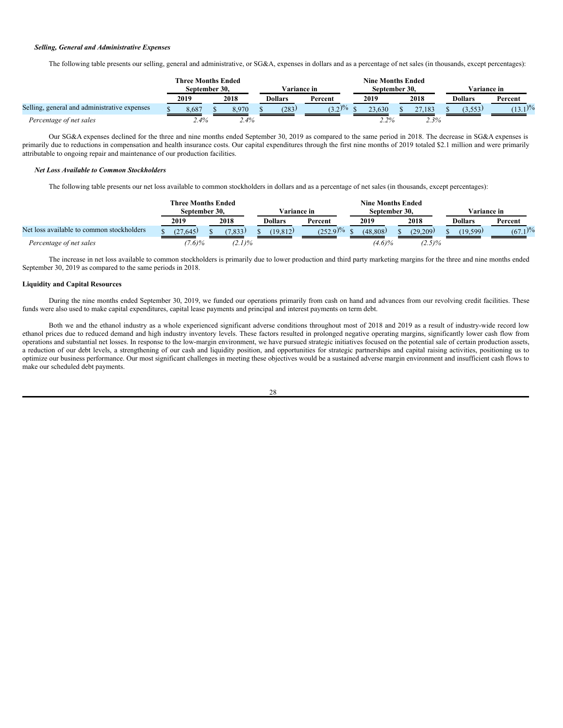### *Selling, General and Administrative Expenses*

The following table presents our selling, general and administrative, or SG&A, expenses in dollars and as a percentage of net sales (in thousands, except percentages):

|                                              | <b>Three Months Ended</b><br>September 30. |       | Variance in |                      | <b>Nine Months Ended</b><br>September 30. |        | Variance in    |            |  |
|----------------------------------------------|--------------------------------------------|-------|-------------|----------------------|-------------------------------------------|--------|----------------|------------|--|
|                                              | 2019                                       | 2018  | Dollars     | Percent              | 2019                                      | 2018   | <b>Dollars</b> | Percent    |  |
| Selling, general and administrative expenses | 8,687                                      | 8,970 | (283)       | $(3.2)$ %<br>، سکہ ف | 23.630                                    | 27,183 | (3,553)        | $(13.1)$ % |  |
| Percentage of net sales                      | $\measuredangle.4\%$                       | 2.4%  |             |                      | $2.2\%$                                   | 2.3%   |                |            |  |

Our SG&A expenses declined for the three and nine months ended September 30, 2019 as compared to the same period in 2018. The decrease in SG&A expenses is primarily due to reductions in compensation and health insurance costs. Our capital expenditures through the first nine months of 2019 totaled \$2.1 million and were primarily attributable to ongoing repair and maintenance of our production facilities.

# *Net Loss Available to Common Stockholders*

The following table presents our net loss available to common stockholders in dollars and as a percentage of net sales (in thousands, except percentages):

|                                           |               | <b>Three Months Ended</b><br>September 30. |          | Variance in | <b>Nine Months Ended</b><br>September 30. |           | Variance in    |            |
|-------------------------------------------|---------------|--------------------------------------------|----------|-------------|-------------------------------------------|-----------|----------------|------------|
|                                           | 2019          | 2018                                       | Dollars  | Percent     | 2019                                      | 2018      | <b>Dollars</b> | Percent    |
| Net loss available to common stockholders | (27)<br>.645. | 7,833                                      | (19.812) | $(252.9)$ % | (48.808)                                  | (29.209)  | (19.599)       | $(67.1)$ % |
| Percentage of net sales                   | 7.6)%         | $(2.1)\%$                                  |          |             | $(4.6)\%$                                 | $(2.5)\%$ |                |            |

The increase in net loss available to common stockholders is primarily due to lower production and third party marketing margins for the three and nine months ended September 30, 2019 as compared to the same periods in 2018.

# **Liquidity and Capital Resources**

During the nine months ended September 30, 2019, we funded our operations primarily from cash on hand and advances from our revolving credit facilities. These funds were also used to make capital expenditures, capital lease payments and principal and interest payments on term debt.

Both we and the ethanol industry as a whole experienced significant adverse conditions throughout most of 2018 and 2019 as a result of industry-wide record low ethanol prices due to reduced demand and high industry inventory levels. These factors resulted in prolonged negative operating margins, significantly lower cash flow from operations and substantial net losses. In response to the low-margin environment, we have pursued strategic initiatives focused on the potential sale of certain production assets, a reduction of our debt levels, a strengthening of our cash and liquidity position, and opportunities for strategic partnerships and capital raising activities, positioning us to optimize our business performance. Our most significant challenges in meeting these objectives would be a sustained adverse margin environment and insufficient cash flows to make our scheduled debt payments.

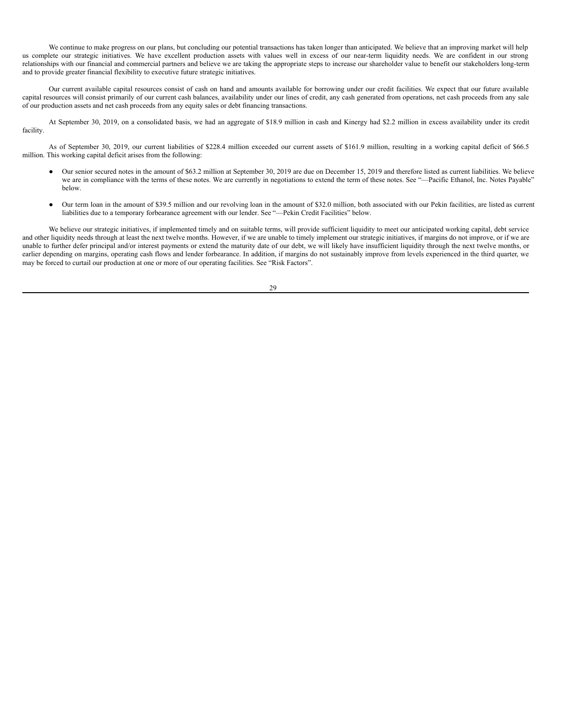We continue to make progress on our plans, but concluding our potential transactions has taken longer than anticipated. We believe that an improving market will help us complete our strategic initiatives. We have excellent production assets with values well in excess of our near-term liquidity needs. We are confident in our strong relationships with our financial and commercial partners and believe we are taking the appropriate steps to increase our shareholder value to benefit our stakeholders long-term and to provide greater financial flexibility to executive future strategic initiatives.

Our current available capital resources consist of cash on hand and amounts available for borrowing under our credit facilities. We expect that our future available capital resources will consist primarily of our current cash balances, availability under our lines of credit, any cash generated from operations, net cash proceeds from any sale of our production assets and net cash proceeds from any equity sales or debt financing transactions.

At September 30, 2019, on a consolidated basis, we had an aggregate of \$18.9 million in cash and Kinergy had \$2.2 million in excess availability under its credit facility.

As of September 30, 2019, our current liabilities of \$228.4 million exceeded our current assets of \$161.9 million, resulting in a working capital deficit of \$66.5 million. This working capital deficit arises from the following:

- Our senior secured notes in the amount of \$63.2 million at September 30, 2019 are due on December 15, 2019 and therefore listed as current liabilities. We believe we are in compliance with the terms of these notes. We are currently in negotiations to extend the term of these notes. See "---Pacific Ethanol, Inc. Notes Payable" below.
- Our term loan in the amount of \$39.5 million and our revolving loan in the amount of \$32.0 million, both associated with our Pekin facilities, are listed as current liabilities due to a temporary forbearance agreement with our lender. See "—Pekin Credit Facilities" below.

We believe our strategic initiatives, if implemented timely and on suitable terms, will provide sufficient liquidity to meet our anticipated working capital, debt service and other liquidity needs through at least the next twelve months. However, if we are unable to timely implement our strategic initiatives, if margins do not improve, or if we are unable to further defer principal and/or interest payments or extend the maturity date of our debt, we will likely have insufficient liquidity through the next twelve months, or earlier depending on margins, operating cash flows and lender forbearance. In addition, if margins do not sustainably improve from levels experienced in the third quarter, we may be forced to curtail our production at one or more of our operating facilities. See "Risk Factors".

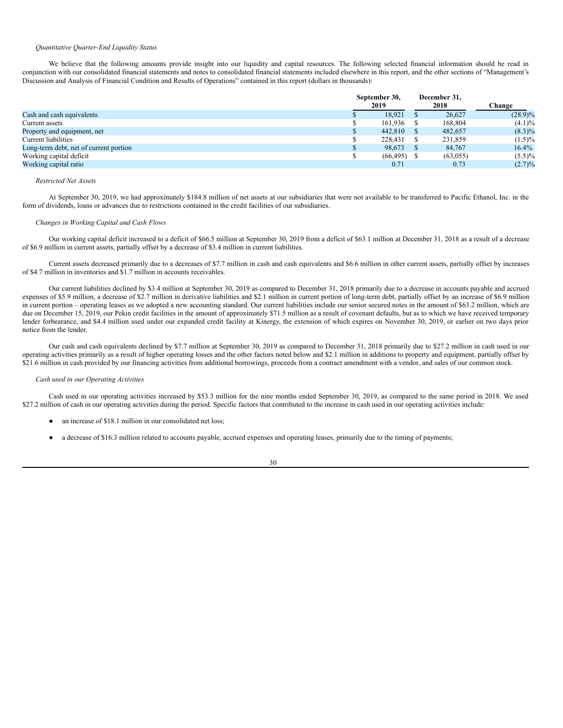### *Quantitative Quarter-End Liquidity Status*

We believe that the following amounts provide insight into our liquidity and capital resources. The following selected financial information should be read in conjunction with our consolidated financial statements and notes to consolidated financial statements included elsewhere in this report, and the other sections of "Management's Discussion and Analysis of Financial Condition and Results of Operations" contained in this report (dollars in thousands):

|                                        |      | September 30, |  | December 31, |            |
|----------------------------------------|------|---------------|--|--------------|------------|
|                                        | 2019 |               |  | 2018         | Change     |
| Cash and cash equivalents              |      | 18.921        |  | 26,627       | $(28.9)\%$ |
| Current assets                         |      | 161.936       |  | 168,804      | $(4.1)\%$  |
| Property and equipment, net            |      | 442,810       |  | 482,657      | $(8.3)\%$  |
| Current liabilities                    |      | 228.431       |  | 231,859      | $(1.5)\%$  |
| Long-term debt, net of current portion |      | 98.673        |  | 84.767       | $16.4\%$   |
| Working capital deficit                |      | (66, 495)     |  | (63, 055)    | $(5.5)\%$  |
| Working capital ratio                  |      | 0.71          |  | 0.73         | $(2.7)\%$  |

# *Restricted Net Assets*

At September 30, 2019, we had approximately \$184.8 million of net assets at our subsidiaries that were not available to be transferred to Pacific Ethanol, Inc. in the form of dividends, loans or advances due to restrictions contained in the credit facilities of our subsidiaries.

### *Changes in Working Capital and Cash Flows*

Our working capital deficit increased to a deficit of \$66.5 million at September 30, 2019 from a deficit of \$63.1 million at December 31, 2018 as a result of a decrease of \$6.9 million in current assets, partially offset by a decrease of \$3.4 million in current liabilities.

Current assets decreased primarily due to a decreases of \$7.7 million in cash and cash equivalents and \$6.6 million in other current assets, partially offset by increases of \$4.7 million in inventories and \$1.7 million in accounts receivables.

Our current liabilities declined by \$3.4 million at September 30, 2019 as compared to December 31, 2018 primarily due to a decrease in accounts payable and accrued expenses of \$5.9 million, a decrease of \$2.7 million in derivative liabilities and \$2.1 million in current portion of long-term debt, partially offset by an increase of \$6.9 million in current portion – operating leases as we adopted a new accounting standard. Our current liabilities include our senior secured notes in the amount of \$63.2 million, which are due on December 15, 2019, our Pekin credit facilities in the amount of approximately \$71.5 million as a result of covenant defaults, but as to which we have received temporary lender forbearance, and \$4.4 million used under our expanded credit facility at Kinergy, the extension of which expires on November 30, 2019, or earlier on two days prior notice from the lender.

Our cash and cash equivalents declined by \$7.7 million at September 30, 2019 as compared to December 31, 2018 primarily due to \$27.2 million in cash used in our operating activities primarily as a result of higher operating losses and the other factors noted below and \$2.1 million in additions to property and equipment, partially offset by \$21.6 million in cash provided by our financing activities from additional borrowings, proceeds from a contract amendment with a vendor, and sales of our common stock.

# *Cash used in our Operating Activities*

Cash used in our operating activities increased by \$53.3 million for the nine months ended September 30, 2019, as compared to the same period in 2018. We used \$27.2 million of cash in our operating activities during the period. Specific factors that contributed to the increase in cash used in our operating activities include:

- an increase of \$18.1 million in our consolidated net loss;
- a decrease of \$16.3 million related to accounts payable, accrued expenses and operating leases, primarily due to the timing of payments;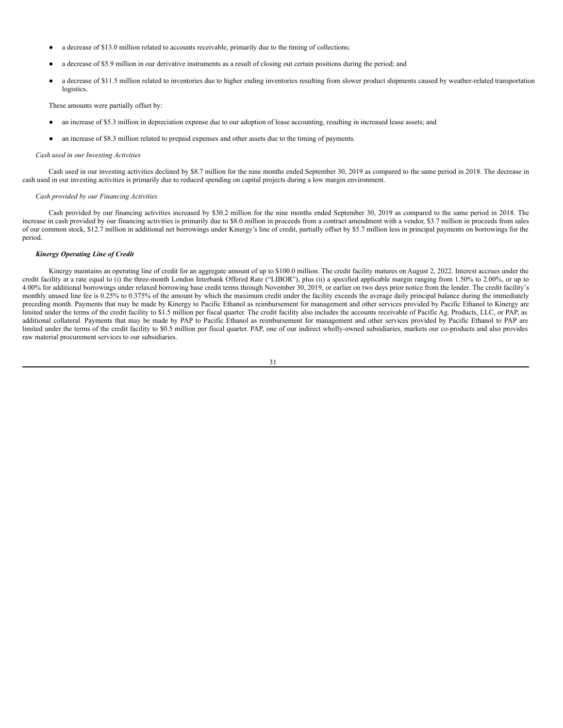- a decrease of \$13.0 million related to accounts receivable, primarily due to the timing of collections;
- a decrease of \$5.9 million in our derivative instruments as a result of closing out certain positions during the period; and
- a decrease of \$11.5 million related to inventories due to higher ending inventories resulting from slower product shipments caused by weather-related transportation logistics.

These amounts were partially offset by:

- an increase of \$5.3 million in depreciation expense due to our adoption of lease accounting, resulting in increased lease assets; and
- an increase of \$8.3 million related to prepaid expenses and other assets due to the timing of payments.

#### *Cash used in our Investing Activities*

Cash used in our investing activities declined by \$8.7 million for the nine months ended September 30, 2019 as compared to the same period in 2018. The decrease in cash used in our investing activities is primarily due to reduced spending on capital projects during a low margin environment.

## *Cash provided by our Financing Activities*

Cash provided by our financing activities increased by \$30.2 million for the nine months ended September 30, 2019 as compared to the same period in 2018. The increase in cash provided by our financing activities is primarily due to \$8.0 million in proceeds from a contract amendment with a vendor, \$3.7 million in proceeds from sales of our common stock, \$12.7 million in additional net borrowings under Kinergy's line of credit, partially offset by \$5.7 million less in principal payments on borrowings for the period.

### *Kinergy Operating Line of Credit*

Kinergy maintains an operating line of credit for an aggregate amount of up to \$100.0 million. The credit facility matures on August 2, 2022. Interest accrues under the credit facility at a rate equal to (i) the three-month London Interbank Offered Rate ("LIBOR"), plus (ii) a specified applicable margin ranging from 1.50% to 2.00%, or up to 4.00% for additional borrowings under relaxed borrowing base credit terms through November 30, 2019, or earlier on two days prior notice from the lender. The credit facility's monthly unused line fee is 0.25% to 0.375% of the amount by which the maximum credit under the facility exceeds the average daily principal balance during the immediately preceding month. Payments that may be made by Kinergy to Pacific Ethanol as reimbursement for management and other services provided by Pacific Ethanol to Kinergy are limited under the terms of the credit facility to \$1.5 million per fiscal quarter. The credit facility also includes the accounts receivable of Pacific Ag. Products, LLC, or PAP, as additional collateral. Payments that may be made by PAP to Pacific Ethanol as reimbursement for management and other services provided by Pacific Ethanol to PAP are limited under the terms of the credit facility to \$0.5 million per fiscal quarter. PAP, one of our indirect wholly-owned subsidiaries, markets our co-products and also provides raw material procurement services to our subsidiaries.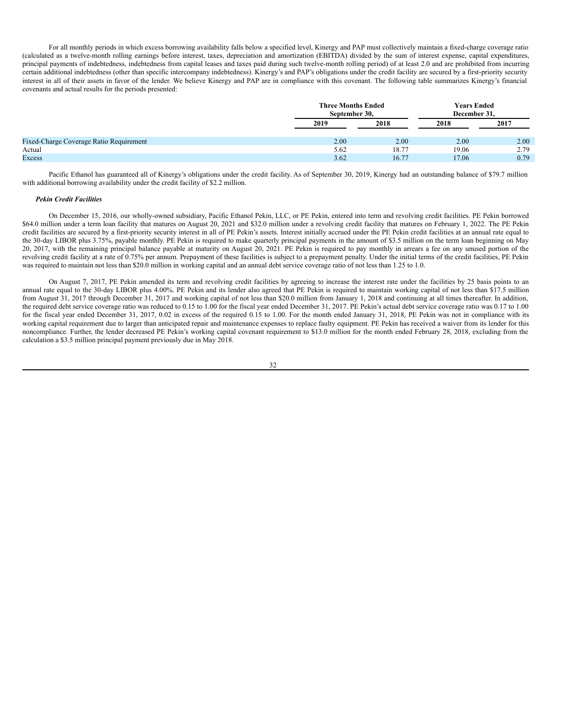For all monthly periods in which excess borrowing availability falls below a specified level, Kinergy and PAP must collectively maintain a fixed-charge coverage ratio (calculated as a twelve-month rolling earnings before interest, taxes, depreciation and amortization (EBITDA) divided by the sum of interest expense, capital expenditures, principal payments of indebtedness, indebtedness from capital leases and taxes paid during such twelve-month rolling period) of at least 2.0 and are prohibited from incurring certain additional indebtedness (other than specific intercompany indebtedness). Kinergy's and PAP's obligations under the credit facility are secured by a first-priority security interest in all of their assets in favor of the lender. We believe Kinergy and PAP are in compliance with this covenant. The following table summarizes Kinergy's financial covenants and actual results for the periods presented:

|                                         |      | <b>Three Months Ended</b><br>September 30, |       |      |  |
|-----------------------------------------|------|--------------------------------------------|-------|------|--|
|                                         | 2019 | 2018                                       | 2018  | 2017 |  |
| Fixed-Charge Coverage Ratio Requirement | 2.00 | 2.00                                       | 2.00  | 2.00 |  |
| Actual                                  | 5.62 | 18.77                                      | 19.06 | 2.79 |  |
| Excess                                  | 3.62 | 16.77                                      | 17.06 | 0.79 |  |

Pacific Ethanol has guaranteed all of Kinergy's obligations under the credit facility. As of September 30, 2019, Kinergy had an outstanding balance of \$79.7 million with additional borrowing availability under the credit facility of \$2.2 million.

### *Pekin Credit Facilities*

On December 15, 2016, our wholly-owned subsidiary, Pacific Ethanol Pekin, LLC, or PE Pekin, entered into term and revolving credit facilities. PE Pekin borrowed \$64.0 million under a term loan facility that matures on August 20, 2021 and \$32.0 million under a revolving credit facility that matures on February 1, 2022. The PE Pekin credit facilities are secured by a first-priority security interest in all of PE Pekin's assets. Interest initially accrued under the PE Pekin credit facilities at an annual rate equal to the 30-day LIBOR plus 3.75%, payable monthly. PE Pekin is required to make quarterly principal payments in the amount of \$3.5 million on the term loan beginning on May 20, 2017, with the remaining principal balance payable at maturity on August 20, 2021. PE Pekin is required to pay monthly in arrears a fee on any unused portion of the revolving credit facility at a rate of 0.75% per annum. Prepayment of these facilities is subject to a prepayment penalty. Under the initial terms of the credit facilities, PE Pekin was required to maintain not less than \$20.0 million in working capital and an annual debt service coverage ratio of not less than 1.25 to 1.0.

On August 7, 2017, PE Pekin amended its term and revolving credit facilities by agreeing to increase the interest rate under the facilities by 25 basis points to an annual rate equal to the 30-day LIBOR plus 4.00%. PE Pekin and its lender also agreed that PE Pekin is required to maintain working capital of not less than \$17.5 million from August 31, 2017 through December 31, 2017 and working capital of not less than \$20.0 million from January 1, 2018 and continuing at all times thereafter. In addition, the required debt service coverage ratio was reduced to 0.15 to 1.00 for the fiscal year ended December 31, 2017. PE Pekin's actual debt service coverage ratio was 0.17 to 1.00 for the fiscal year ended December 31, 2017, 0.02 in excess of the required 0.15 to 1.00. For the month ended January 31, 2018, PE Pekin was not in compliance with its working capital requirement due to larger than anticipated repair and maintenance expenses to replace faulty equipment. PE Pekin has received a waiver from its lender for this noncompliance. Further, the lender decreased PE Pekin's working capital covenant requirement to \$13.0 million for the month ended February 28, 2018, excluding from the calculation a \$3.5 million principal payment previously due in May 2018.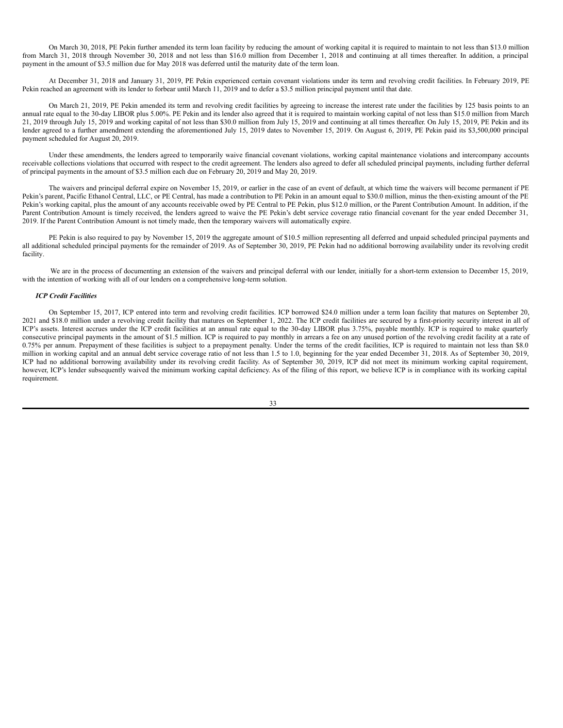On March 30, 2018, PE Pekin further amended its term loan facility by reducing the amount of working capital it is required to maintain to not less than \$13.0 million from March 31, 2018 through November 30, 2018 and not less than \$16.0 million from December 1, 2018 and continuing at all times thereafter. In addition, a principal payment in the amount of \$3.5 million due for May 2018 was deferred until the maturity date of the term loan.

At December 31, 2018 and January 31, 2019, PE Pekin experienced certain covenant violations under its term and revolving credit facilities. In February 2019, PE Pekin reached an agreement with its lender to forbear until March 11, 2019 and to defer a \$3.5 million principal payment until that date.

On March 21, 2019, PE Pekin amended its term and revolving credit facilities by agreeing to increase the interest rate under the facilities by 125 basis points to an annual rate equal to the 30-day LIBOR plus 5.00%. PE Pekin and its lender also agreed that it is required to maintain working capital of not less than \$15.0 million from March 21, 2019 through July 15, 2019 and working capital of not less than \$30.0 million from July 15, 2019 and continuing at all times thereafter. On July 15, 2019, PE Pekin and its lender agreed to a further amendment extending the aforementioned July 15, 2019 dates to November 15, 2019. On August 6, 2019, PE Pekin paid its \$3,500,000 principal payment scheduled for August 20, 2019.

Under these amendments, the lenders agreed to temporarily waive financial covenant violations, working capital maintenance violations and intercompany accounts receivable collections violations that occurred with respect to the credit agreement. The lenders also agreed to defer all scheduled principal payments, including further deferral of principal payments in the amount of \$3.5 million each due on February 20, 2019 and May 20, 2019.

The waivers and principal deferral expire on November 15, 2019, or earlier in the case of an event of default, at which time the waivers will become permanent if PE Pekin's parent, Pacific Ethanol Central, LLC, or PE Central, has made a contribution to PE Pekin in an amount equal to \$30.0 million, minus the then-existing amount of the PE Pekin's working capital, plus the amount of any accounts receivable owed by PE Central to PE Pekin, plus \$12.0 million, or the Parent Contribution Amount. In addition, if the Parent Contribution Amount is timely received, the lenders agreed to waive the PE Pekin's debt service coverage ratio financial covenant for the year ended December 31, 2019. If the Parent Contribution Amount is not timely made, then the temporary waivers will automatically expire.

PE Pekin is also required to pay by November 15, 2019 the aggregate amount of \$10.5 million representing all deferred and unpaid scheduled principal payments and all additional scheduled principal payments for the remainder of 2019. As of September 30, 2019, PE Pekin had no additional borrowing availability under its revolving credit facility.

We are in the process of documenting an extension of the waivers and principal deferral with our lender, initially for a short-term extension to December 15, 2019, with the intention of working with all of our lenders on a comprehensive long-term solution.

### *ICP Credit Facilities*

On September 15, 2017, ICP entered into term and revolving credit facilities. ICP borrowed \$24.0 million under a term loan facility that matures on September 20, 2021 and \$18.0 million under a revolving credit facility that matures on September 1, 2022. The ICP credit facilities are secured by a first-priority security interest in all of ICP's assets. Interest accrues under the ICP credit facilities at an annual rate equal to the 30-day LIBOR plus 3.75%, payable monthly. ICP is required to make quarterly consecutive principal payments in the amount of \$1.5 million. ICP is required to pay monthly in arrears a fee on any unused portion of the revolving credit facility at a rate of 0.75% per annum. Prepayment of these facilities is subject to a prepayment penalty. Under the terms of the credit facilities, ICP is required to maintain not less than \$8.0 million in working capital and an annual debt service coverage ratio of not less than 1.5 to 1.0, beginning for the year ended December 31, 2018. As of September 30, 2019, ICP had no additional borrowing availability under its revolving credit facility. As of September 30, 2019, ICP did not meet its minimum working capital requirement, however, ICP's lender subsequently waived the minimum working capital deficiency. As of the filing of this report, we believe ICP is in compliance with its working capital requirement.

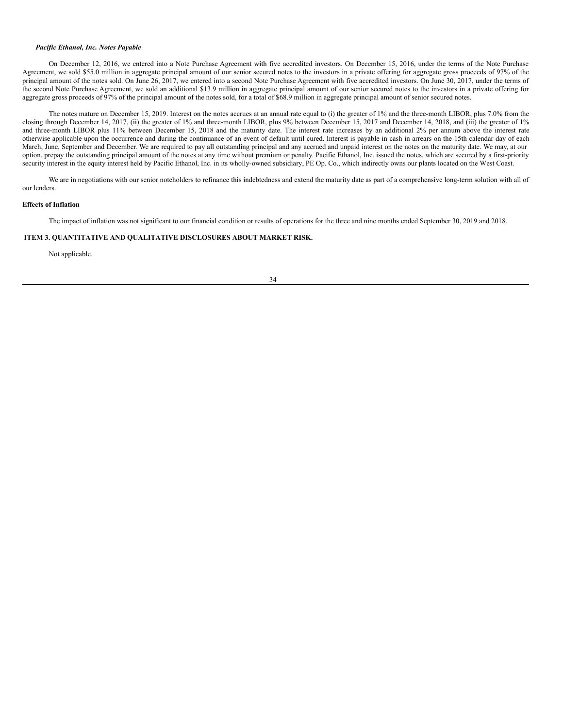### *Pacific Ethanol, Inc. Notes Payable*

On December 12, 2016, we entered into a Note Purchase Agreement with five accredited investors. On December 15, 2016, under the terms of the Note Purchase Agreement, we sold \$55.0 million in aggregate principal amount of our senior secured notes to the investors in a private offering for aggregate gross proceeds of 97% of the principal amount of the notes sold. On June 26, 2017, we entered into a second Note Purchase Agreement with five accredited investors. On June 30, 2017, under the terms of the second Note Purchase Agreement, we sold an additional \$13.9 million in aggregate principal amount of our senior secured notes to the investors in a private offering for aggregate gross proceeds of 97% of the principal amount of the notes sold, for a total of \$68.9 million in aggregate principal amount of senior secured notes.

The notes mature on December 15, 2019. Interest on the notes accrues at an annual rate equal to (i) the greater of 1% and the three-month LIBOR, plus 7.0% from the closing through December 14, 2017, (ii) the greater of 1% and three-month LIBOR, plus 9% between December 15, 2017 and December 14, 2018, and (iii) the greater of 1% and three-month LIBOR plus 11% between December 15, 2018 and the maturity date. The interest rate increases by an additional 2% per annum above the interest rate otherwise applicable upon the occurrence and during the continuance of an event of default until cured. Interest is payable in cash in arrears on the 15th calendar day of each March, June, September and December. We are required to pay all outstanding principal and any accrued and unpaid interest on the notes on the maturity date. We may, at our option, prepay the outstanding principal amount of the notes at any time without premium or penalty. Pacific Ethanol, Inc. issued the notes, which are secured by a first-priority security interest in the equity interest held by Pacific Ethanol, Inc. in its wholly-owned subsidiary, PE Op. Co., which indirectly owns our plants located on the West Coast.

We are in negotiations with our senior noteholders to refinance this indebtedness and extend the maturity date as part of a comprehensive long-term solution with all of our lenders.

# **Effects of Inflation**

The impact of inflation was not significant to our financial condition or results of operations for the three and nine months ended September 30, 2019 and 2018.

# <span id="page-35-0"></span>**ITEM 3. QUANTITATIVE AND QUALITATIVE DISCLOSURES ABOUT MARKET RISK.**

Not applicable.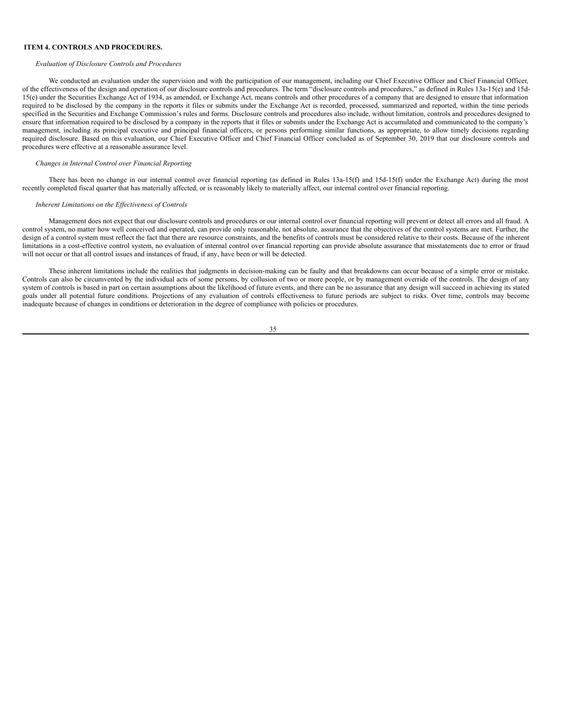# <span id="page-36-0"></span>**ITEM 4. CONTROLS AND PROCEDURES.**

# *Evaluation of Disclosure Controls and Procedures*

We conducted an evaluation under the supervision and with the participation of our management, including our Chief Executive Officer and Chief Financial Officer, of the effectiveness of the design and operation of our disclosure controls and procedures. The term "disclosure controls and procedures," as defined in Rules 13a-15(e) and 15d-15(e) under the Securities Exchange Act of 1934, as amended, or Exchange Act, means controls and other procedures of a company that are designed to ensure that information required to be disclosed by the company in the reports it files or submits under the Exchange Act is recorded, processed, summarized and reported, within the time periods specified in the Securities and Exchange Commission's rules and forms. Disclosure controls and procedures also include, without limitation, controls and procedures designed to ensure that information required to be disclosed by a company in the reports that it files or submits under the Exchange Act is accumulated and communicated to the company's management, including its principal executive and principal financial officers, or persons performing similar functions, as appropriate, to allow timely decisions regarding required disclosure. Based on this evaluation, our Chief Executive Officer and Chief Financial Officer concluded as of September 30, 2019 that our disclosure controls and procedures were effective at a reasonable assurance level.

# *Changes in Internal Control over Financial Reporting*

There has been no change in our internal control over financial reporting (as defined in Rules 13a-15(f) and 15d-15(f) under the Exchange Act) during the most recently completed fiscal quarter that has materially affected, or is reasonably likely to materially affect, our internal control over financial reporting.

# *Inherent Limitations on the Ef ectiveness of Controls*

Management does not expect that our disclosure controls and procedures or our internal control over financial reporting will prevent or detect all errors and all fraud. A control system, no matter how well conceived and operated, can provide only reasonable, not absolute, assurance that the objectives of the control systems are met. Further, the design of a control system must reflect the fact that there are resource constraints, and the benefits of controls must be considered relative to their costs. Because of the inherent limitations in a cost-effective control system, no evaluation of internal control over financial reporting can provide absolute assurance that misstatements due to error or fraud will not occur or that all control issues and instances of fraud, if any, have been or will be detected.

These inherent limitations include the realities that judgments in decision-making can be faulty and that breakdowns can occur because of a simple error or mistake. Controls can also be circumvented by the individual acts of some persons, by collusion of two or more people, or by management override of the controls. The design of any system of controls is based in part on certain assumptions about the likelihood of future events, and there can be no assurance that any design will succeed in achieving its stated goals under all potential future conditions. Projections of any evaluation of controls effectiveness to future periods are subject to risks. Over time, controls may become inadequate because of changes in conditions or deterioration in the degree of compliance with policies or procedures.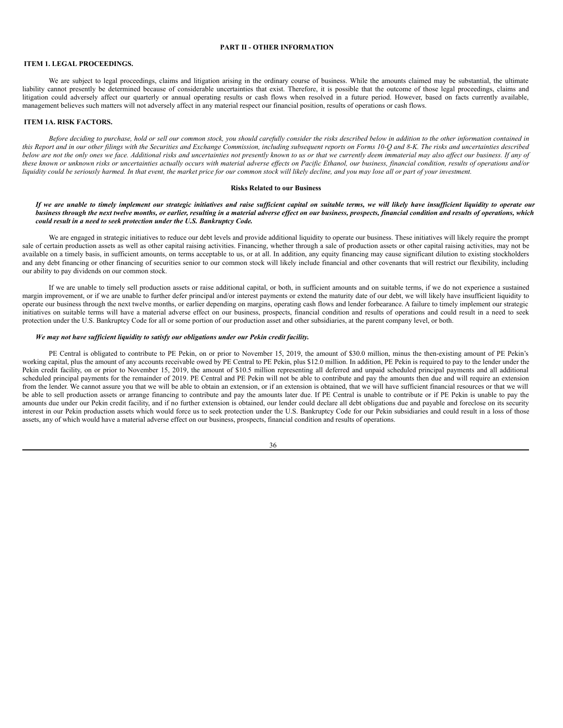# <span id="page-37-0"></span>**PART II - OTHER INFORMATION**

# <span id="page-37-1"></span>**ITEM 1. LEGAL PROCEEDINGS.**

We are subject to legal proceedings, claims and litigation arising in the ordinary course of business. While the amounts claimed may be substantial, the ultimate liability cannot presently be determined because of considerable uncertainties that exist. Therefore, it is possible that the outcome of those legal proceedings, claims and litigation could adversely affect our quarterly or annual operating results or cash flows when resolved in a future period. However, based on facts currently available, management believes such matters will not adversely affect in any material respect our financial position, results of operations or cash flows.

# <span id="page-37-2"></span>**ITEM 1A. RISK FACTORS.**

Before deciding to purchase, hold or sell our common stock, you should carefully consider the risks described below in addition to the other information contained in this Report and in our other filings with the Securities and Exchange Commission, including subsequent reports on Forms 10-O and 8-K. The risks and uncertainties described below are not the only ones we face. Additional risks and uncertainties not presently known to us or that we currently deem immaterial may also affect our business. If any of these known or unknown risks or uncertainties actually occurs with material adverse effects on Pacific Ethanol, our business, financial condition, results of operations and/or liquidity could be seriously harmed. In that event, the market price for our common stock will likely decline, and you may lose all or part of your investment.

# **Risks Related to our Business**

If we are unable to timely implement our strategic initiatives and raise sufficient capital on suitable terms, we will likely have insufficient liquidity to operate our business through the next twelve months, or earlier, resulting in a material adverse effect on our business, prospects, financial condition and results of operations, which *could result in a need to seek protection under the U.S. Bankruptcy Code.*

We are engaged in strategic initiatives to reduce our debt levels and provide additional liquidity to operate our business. These initiatives will likely require the prompt sale of certain production assets as well as other capital raising activities. Financing, whether through a sale of production assets or other capital raising activities, may not be available on a timely basis, in sufficient amounts, on terms acceptable to us, or at all. In addition, any equity financing may cause significant dilution to existing stockholders and any debt financing or other financing of securities senior to our common stock will likely include financial and other covenants that will restrict our flexibility, including our ability to pay dividends on our common stock.

If we are unable to timely sell production assets or raise additional capital, or both, in sufficient amounts and on suitable terms, if we do not experience a sustained margin improvement, or if we are unable to further defer principal and/or interest payments or extend the maturity date of our debt, we will likely have insufficient liquidity to operate our business through the next twelve months, or earlier depending on margins, operating cash flows and lender forbearance. A failure to timely implement our strategic initiatives on suitable terms will have a material adverse effect on our business, prospects, financial condition and results of operations and could result in a need to seek protection under the U.S. Bankruptcy Code for all or some portion of our production asset and other subsidiaries, at the parent company level, or both.

# *We may not have suf icient liquidity to satisfy our obligations under our Pekin credit facility.*

PE Central is obligated to contribute to PE Pekin, on or prior to November 15, 2019, the amount of \$30.0 million, minus the then-existing amount of PE Pekin's working capital, plus the amount of any accounts receivable owed by PE Central to PE Pekin, plus \$12.0 million. In addition, PE Pekin is required to pay to the lender under the Pekin credit facility, on or prior to November 15, 2019, the amount of \$10.5 million representing all deferred and unpaid scheduled principal payments and all additional scheduled principal payments for the remainder of 2019. PE Central and PE Pekin will not be able to contribute and pay the amounts then due and will require an extension from the lender. We cannot assure you that we will be able to obtain an extension, or if an extension is obtained, that we will have sufficient financial resources or that we will be able to sell production assets or arrange financing to contribute and pay the amounts later due. If PE Central is unable to contribute or if PE Pekin is unable to pay the amounts due under our Pekin credit facility, and if no further extension is obtained, our lender could declare all debt obligations due and payable and foreclose on its security interest in our Pekin production assets which would force us to seek protection under the U.S. Bankruptcy Code for our Pekin subsidiaries and could result in a loss of those assets, any of which would have a material adverse effect on our business, prospects, financial condition and results of operations.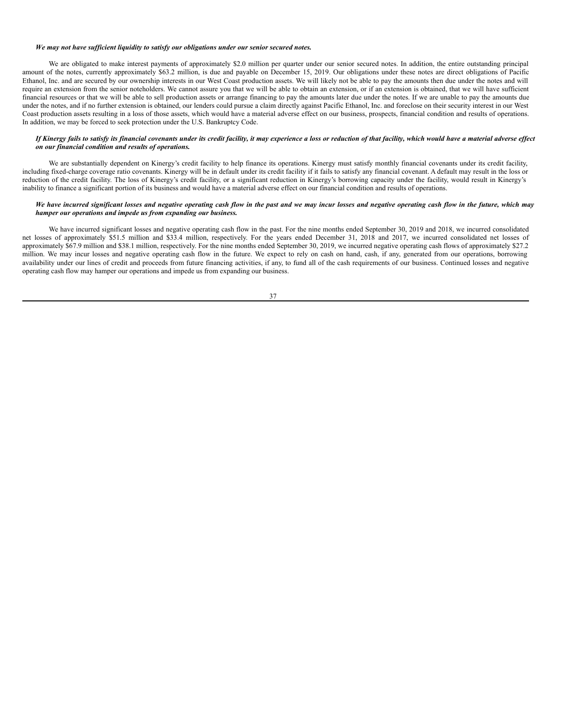#### *We may not have suf icient liquidity to satisfy our obligations under our senior secured notes.*

We are obligated to make interest payments of approximately \$2.0 million per quarter under our senior secured notes. In addition, the entire outstanding principal amount of the notes, currently approximately \$63.2 million, is due and payable on December 15, 2019. Our obligations under these notes are direct obligations of Pacific Ethanol, Inc. and are secured by our ownership interests in our West Coast production assets. We will likely not be able to pay the amounts then due under the notes and will require an extension from the senior noteholders. We cannot assure you that we will be able to obtain an extension, or if an extension is obtained, that we will have sufficient financial resources or that we will be able to sell production assets or arrange financing to pay the amounts later due under the notes. If we are unable to pay the amounts due under the notes, and if no further extension is obtained, our lenders could pursue a claim directly against Pacific Ethanol, Inc. and foreclose on their security interest in our West Coast production assets resulting in a loss of those assets, which would have a material adverse effect on our business, prospects, financial condition and results of operations. In addition, we may be forced to seek protection under the U.S. Bankruptcy Code.

# If Kinergy fails to satisfy its financial covenants under its credit facility, it may experience a loss or reduction of that facility, which would have a material adverse effect *on our financial condition and results of operations.*

We are substantially dependent on Kinergy's credit facility to help finance its operations. Kinergy must satisfy monthly financial covenants under its credit facility, including fixed-charge coverage ratio covenants. Kinergy will be in default under its credit facility if it fails to satisfy any financial covenant. A default may result in the loss or reduction of the credit facility. The loss of Kinergy's credit facility, or a significant reduction in Kinergy's borrowing capacity under the facility, would result in Kinergy's inability to finance a significant portion of its business and would have a material adverse effect on our financial condition and results of operations.

## We have incurred significant losses and negative operating cash flow in the past and we may incur losses and negative operating cash flow in the future, which may *hamper our operations and impede us from expanding our business.*

We have incurred significant losses and negative operating cash flow in the past. For the nine months ended September 30, 2019 and 2018, we incurred consolidated net losses of approximately \$51.5 million and \$33.4 million, respectively. For the years ended December 31, 2018 and 2017, we incurred consolidated net losses of approximately \$67.9 million and \$38.1 million, respectively. For the nine months ended September 30, 2019, we incurred negative operating cash flows of approximately \$27.2 million. We may incur losses and negative operating cash flow in the future. We expect to rely on cash on hand, cash, if any, generated from our operations, borrowing availability under our lines of credit and proceeds from future financing activities, if any, to fund all of the cash requirements of our business. Continued losses and negative operating cash flow may hamper our operations and impede us from expanding our business.

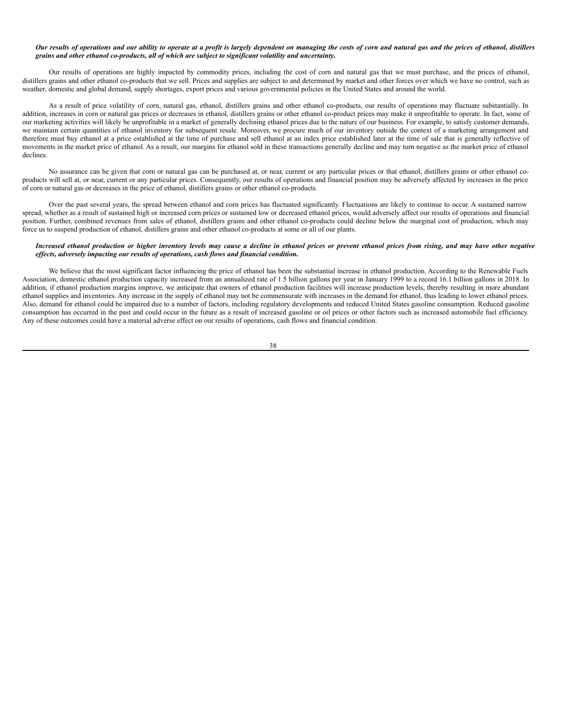### Our results of operations and our ability to operate at a profit is largely dependent on managing the costs of corn and natural gas and the prices of ethanol, distillers *grains and other ethanol co-products, all of which are subject to significant volatility and uncertainty.*

Our results of operations are highly impacted by commodity prices, including the cost of corn and natural gas that we must purchase, and the prices of ethanol, distillers grains and other ethanol co-products that we sell. Prices and supplies are subject to and determined by market and other forces over which we have no control, such as weather, domestic and global demand, supply shortages, export prices and various governmental policies in the United States and around the world.

As a result of price volatility of corn, natural gas, ethanol, distillers grains and other ethanol co-products, our results of operations may fluctuate substantially. In addition, increases in corn or natural gas prices or decreases in ethanol, distillers grains or other ethanol co-product prices may make it unprofitable to operate. In fact, some of our marketing activities will likely be unprofitable in a market of generally declining ethanol prices due to the nature of our business. For example, to satisfy customer demands, we maintain certain quantities of ethanol inventory for subsequent resale. Moreover, we procure much of our inventory outside the context of a marketing arrangement and therefore must buy ethanol at a price established at the time of purchase and sell ethanol at an index price established later at the time of sale that is generally reflective of movements in the market price of ethanol. As a result, our margins for ethanol sold in these transactions generally decline and may turn negative as the market price of ethanol declines.

No assurance can be given that corn or natural gas can be purchased at, or near, current or any particular prices or that ethanol, distillers grains or other ethanol coproducts will sell at, or near, current or any particular prices. Consequently, our results of operations and financial position may be adversely affected by increases in the price of corn or natural gas or decreases in the price of ethanol, distillers grains or other ethanol co-products.

Over the past several years, the spread between ethanol and corn prices has fluctuated significantly. Fluctuations are likely to continue to occur. A sustained narrow spread, whether as a result of sustained high or increased corn prices or sustained low or decreased ethanol prices, would adversely affect our results of operations and financial position. Further, combined revenues from sales of ethanol, distillers grains and other ethanol co-products could decline below the marginal cost of production, which may force us to suspend production of ethanol, distillers grains and other ethanol co-products at some or all of our plants.

### Increased ethanol production or higher inventory levels may cause a decline in ethanol prices or prevent ethanol prices from rising, and may have other negative *ef ects, adversely impacting our results of operations, cash flows and financial condition.*

We believe that the most significant factor influencing the price of ethanol has been the substantial increase in ethanol production. According to the Renewable Fuels Association, domestic ethanol production capacity increased from an annualized rate of 1.5 billion gallons per year in January 1999 to a record 16.1 billion gallons in 2018. In addition, if ethanol production margins improve, we anticipate that owners of ethanol production facilities will increase production levels, thereby resulting in more abundant ethanol supplies and inventories. Any increase in the supply of ethanol may not be commensurate with increases in the demand for ethanol, thus leading to lower ethanol prices. Also, demand for ethanol could be impaired due to a number of factors, including regulatory developments and reduced United States gasoline consumption. Reduced gasoline consumption has occurred in the past and could occur in the future as a result of increased gasoline or oil prices or other factors such as increased automobile fuel efficiency. Any of these outcomes could have a material adverse effect on our results of operations, cash flows and financial condition.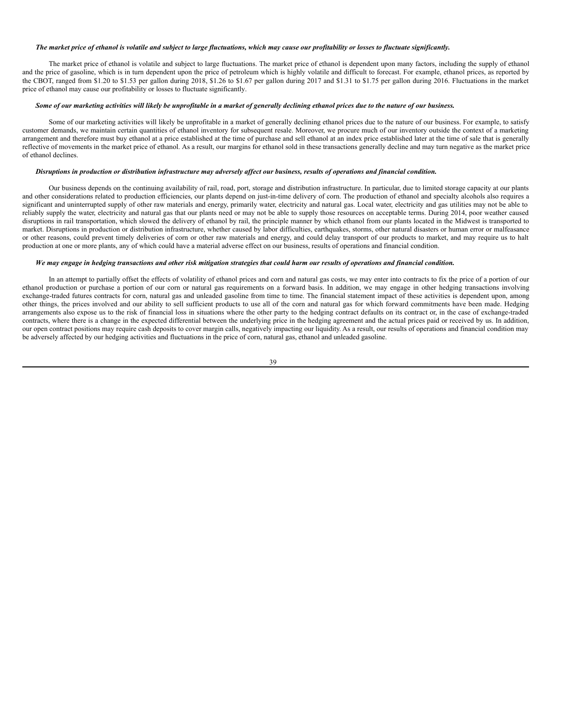### The market price of ethanol is volatile and subject to large fluctuations, which may cause our profitability or losses to fluctuate significantly.

The market price of ethanol is volatile and subject to large fluctuations. The market price of ethanol is dependent upon many factors, including the supply of ethanol and the price of gasoline, which is in turn dependent upon the price of petroleum which is highly volatile and difficult to forecast. For example, ethanol prices, as reported by the CBOT, ranged from \$1.20 to \$1.53 per gallon during 2018, \$1.26 to \$1.67 per gallon during 2017 and \$1.31 to \$1.75 per gallon during 2016. Fluctuations in the market price of ethanol may cause our profitability or losses to fluctuate significantly.

# Some of our marketing activities will likely be unprofitable in a market of generally declining ethanol prices due to the nature of our business.

Some of our marketing activities will likely be unprofitable in a market of generally declining ethanol prices due to the nature of our business. For example, to satisfy customer demands, we maintain certain quantities of ethanol inventory for subsequent resale. Moreover, we procure much of our inventory outside the context of a marketing arrangement and therefore must buy ethanol at a price established at the time of purchase and sell ethanol at an index price established later at the time of sale that is generally reflective of movements in the market price of ethanol. As a result, our margins for ethanol sold in these transactions generally decline and may turn negative as the market price of ethanol declines.

## Disruptions in production or distribution infrastructure may adversely affect our business, results of operations and financial condition.

Our business depends on the continuing availability of rail, road, port, storage and distribution infrastructure. In particular, due to limited storage capacity at our plants and other considerations related to production efficiencies, our plants depend on just-in-time delivery of corn. The production of ethanol and specialty alcohols also requires a significant and uninterrupted supply of other raw materials and energy, primarily water, electricity and natural gas. Local water, electricity and gas utilities may not be able to reliably supply the water, electricity and natural gas that our plants need or may not be able to supply those resources on acceptable terms. During 2014, poor weather caused disruptions in rail transportation, which slowed the delivery of ethanol by rail, the principle manner by which ethanol from our plants located in the Midwest is transported to market. Disruptions in production or distribution infrastructure, whether caused by labor difficulties, earthquakes, storms, other natural disasters or human error or malfeasance or other reasons, could prevent timely deliveries of corn or other raw materials and energy, and could delay transport of our products to market, and may require us to halt production at one or more plants, any of which could have a material adverse effect on our business, results of operations and financial condition.

# We may engage in hedging transactions and other risk mitigation strategies that could harm our results of operations and financial condition.

In an attempt to partially offset the effects of volatility of ethanol prices and corn and natural gas costs, we may enter into contracts to fix the price of a portion of our ethanol production or purchase a portion of our corn or natural gas requirements on a forward basis. In addition, we may engage in other hedging transactions involving exchange-traded futures contracts for corn, natural gas and unleaded gasoline from time to time. The financial statement impact of these activities is dependent upon, among other things, the prices involved and our ability to sell sufficient products to use all of the corn and natural gas for which forward commitments have been made. Hedging arrangements also expose us to the risk of financial loss in situations where the other party to the hedging contract defaults on its contract or, in the case of exchange-traded contracts, where there is a change in the expected differential between the underlying price in the hedging agreement and the actual prices paid or received by us. In addition, our open contract positions may require cash deposits to cover margin calls, negatively impacting our liquidity. As a result, our results of operations and financial condition may be adversely affected by our hedging activities and fluctuations in the price of corn, natural gas, ethanol and unleaded gasoline.

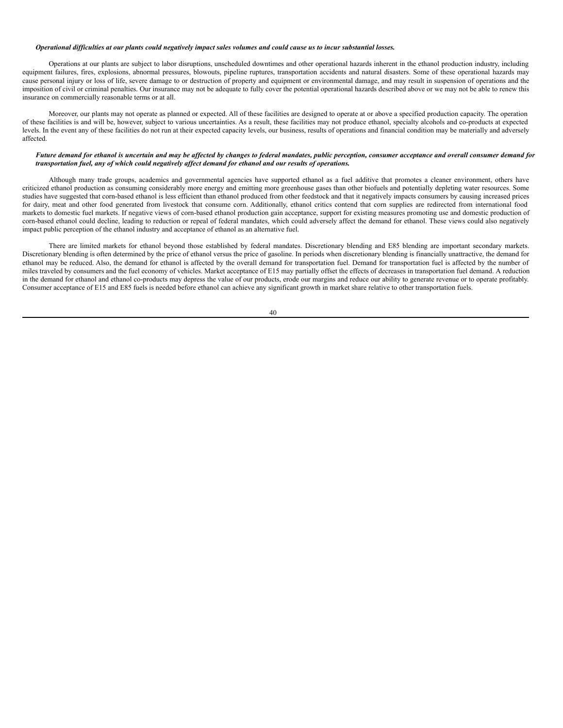#### Operational difficulties at our plants could negatively impact sales volumes and could cause us to incur substantial losses.

Operations at our plants are subject to labor disruptions, unscheduled downtimes and other operational hazards inherent in the ethanol production industry, including equipment failures, fires, explosions, abnormal pressures, blowouts, pipeline ruptures, transportation accidents and natural disasters. Some of these operational hazards may cause personal injury or loss of life, severe damage to or destruction of property and equipment or environmental damage, and may result in suspension of operations and the imposition of civil or criminal penalties. Our insurance may not be adequate to fully cover the potential operational hazards described above or we may not be able to renew this insurance on commercially reasonable terms or at all.

Moreover, our plants may not operate as planned or expected. All of these facilities are designed to operate at or above a specified production capacity. The operation of these facilities is and will be, however, subject to various uncertainties. As a result, these facilities may not produce ethanol, specialty alcohols and co-products at expected levels. In the event any of these facilities do not run at their expected capacity levels, our business, results of operations and financial condition may be materially and adversely affected.

### Future demand for ethanol is uncertain and may be affected by changes to federal mandates, public perception, consumer acceptance and overall consumer demand for transportation fuel, any of which could negatively affect demand for ethanol and our results of operations.

Although many trade groups, academics and governmental agencies have supported ethanol as a fuel additive that promotes a cleaner environment, others have criticized ethanol production as consuming considerably more energy and emitting more greenhouse gases than other biofuels and potentially depleting water resources. Some studies have suggested that corn-based ethanol is less efficient than ethanol produced from other feedstock and that it negatively impacts consumers by causing increased prices for dairy, meat and other food generated from livestock that consume corn. Additionally, ethanol critics contend that corn supplies are redirected from international food markets to domestic fuel markets. If negative views of corn-based ethanol production gain acceptance, support for existing measures promoting use and domestic production of corn-based ethanol could decline, leading to reduction or repeal of federal mandates, which could adversely affect the demand for ethanol. These views could also negatively impact public perception of the ethanol industry and acceptance of ethanol as an alternative fuel.

There are limited markets for ethanol beyond those established by federal mandates. Discretionary blending and E85 blending are important secondary markets. Discretionary blending is often determined by the price of ethanol versus the price of gasoline. In periods when discretionary blending is financially unattractive, the demand for ethanol may be reduced. Also, the demand for ethanol is affected by the overall demand for transportation fuel. Demand for transportation fuel is affected by the number of miles traveled by consumers and the fuel economy of vehicles. Market acceptance of E15 may partially offset the effects of decreases in transportation fuel demand. A reduction in the demand for ethanol and ethanol co-products may depress the value of our products, erode our margins and reduce our ability to generate revenue or to operate profitably. Consumer acceptance of E15 and E85 fuels is needed before ethanol can achieve any significant growth in market share relative to other transportation fuels.

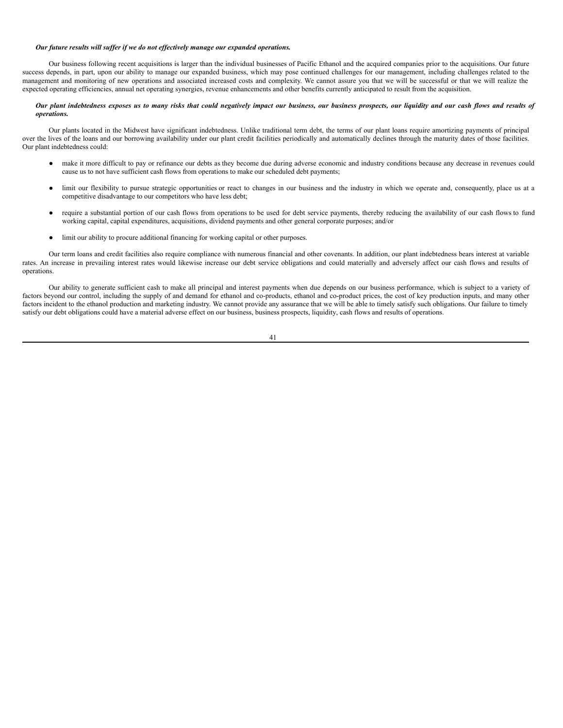### *Our future results will suf er if we do not ef ectively manage our expanded operations.*

Our business following recent acquisitions is larger than the individual businesses of Pacific Ethanol and the acquired companies prior to the acquisitions. Our future success depends, in part, upon our ability to manage our expanded business, which may pose continued challenges for our management, including challenges related to the management and monitoring of new operations and associated increased costs and complexity. We cannot assure you that we will be successful or that we will realize the expected operating efficiencies, annual net operating synergies, revenue enhancements and other benefits currently anticipated to result from the acquisition.

### Our plant indebtedness exposes us to many risks that could negatively impact our business, our business prospects, our liquidity and our cash flows and results of *operations.*

Our plants located in the Midwest have significant indebtedness. Unlike traditional term debt, the terms of our plant loans require amortizing payments of principal over the lives of the loans and our borrowing availability under our plant credit facilities periodically and automatically declines through the maturity dates of those facilities. Our plant indebtedness could:

- make it more difficult to pay or refinance our debts as they become due during adverse economic and industry conditions because any decrease in revenues could cause us to not have sufficient cash flows from operations to make our scheduled debt payments;
- limit our flexibility to pursue strategic opportunities or react to changes in our business and the industry in which we operate and, consequently, place us at a competitive disadvantage to our competitors who have less debt;
- require a substantial portion of our cash flows from operations to be used for debt service payments, thereby reducing the availability of our cash flows to fund working capital, capital expenditures, acquisitions, dividend payments and other general corporate purposes; and/or
- limit our ability to procure additional financing for working capital or other purposes.

Our term loans and credit facilities also require compliance with numerous financial and other covenants. In addition, our plant indebtedness bears interest at variable rates. An increase in prevailing interest rates would likewise increase our debt service obligations and could materially and adversely affect our cash flows and results of operations.

Our ability to generate sufficient cash to make all principal and interest payments when due depends on our business performance, which is subject to a variety of factors beyond our control, including the supply of and demand for ethanol and co-products, ethanol and co-product prices, the cost of key production inputs, and many other factors incident to the ethanol production and marketing industry. We cannot provide any assurance that we will be able to timely satisfy such obligations. Our failure to timely satisfy our debt obligations could have a material adverse effect on our business, business prospects, liquidity, cash flows and results of operations.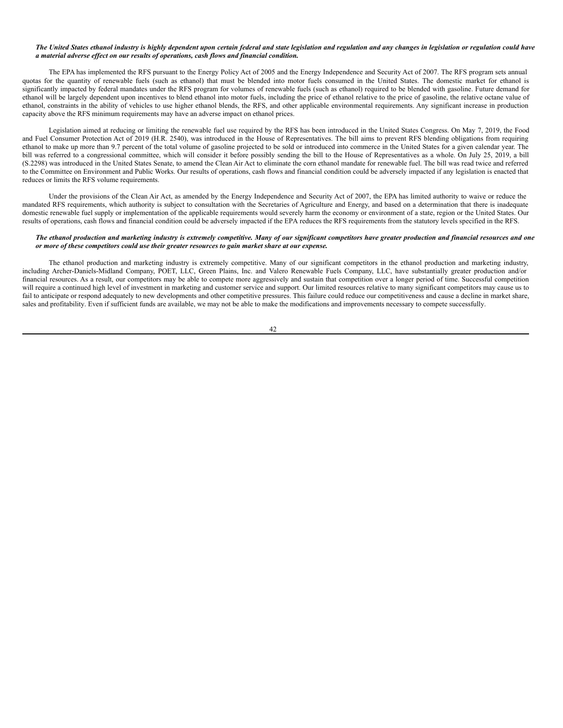### The United States ethanol industry is highly dependent upon certain federal and state legislation and regulation and any changes in legislation or regulation could have *a material adverse ef ect on our results of operations, cash flows and financial condition.*

The EPA has implemented the RFS pursuant to the Energy Policy Act of 2005 and the Energy Independence and Security Act of 2007. The RFS program sets annual quotas for the quantity of renewable fuels (such as ethanol) that must be blended into motor fuels consumed in the United States. The domestic market for ethanol is significantly impacted by federal mandates under the RFS program for volumes of renewable fuels (such as ethanol) required to be blended with gasoline. Future demand for ethanol will be largely dependent upon incentives to blend ethanol into motor fuels, including the price of ethanol relative to the price of gasoline, the relative octane value of ethanol, constraints in the ability of vehicles to use higher ethanol blends, the RFS, and other applicable environmental requirements. Any significant increase in production capacity above the RFS minimum requirements may have an adverse impact on ethanol prices.

Legislation aimed at reducing or limiting the renewable fuel use required by the RFS has been introduced in the United States Congress. On May 7, 2019, the Food and Fuel Consumer Protection Act of 2019 (H.R. 2540), was introduced in the House of Representatives. The bill aims to prevent RFS blending obligations from requiring ethanol to make up more than 9.7 percent of the total volume of gasoline projected to be sold or introduced into commerce in the United States for a given calendar year. The bill was referred to a congressional committee, which will consider it before possibly sending the bill to the House of Representatives as a whole. On July 25, 2019, a bill (S.2298) was introduced in the United States Senate, to amend the Clean Air Act to eliminate the corn ethanol mandate for renewable fuel. The bill was read twice and referred to the Committee on Environment and Public Works. Our results of operations, cash flows and financial condition could be adversely impacted if any legislation is enacted that reduces or limits the RFS volume requirements.

Under the provisions of the Clean Air Act, as amended by the Energy Independence and Security Act of 2007, the EPA has limited authority to waive or reduce the mandated RFS requirements, which authority is subject to consultation with the Secretaries of Agriculture and Energy, and based on a determination that there is inadequate domestic renewable fuel supply or implementation of the applicable requirements would severely harm the economy or environment of a state, region or the United States. Our results of operations, cash flows and financial condition could be adversely impacted if the EPA reduces the RFS requirements from the statutory levels specified in the RFS.

# The ethanol production and marketing industry is extremely competitive. Many of our significant competitors have greater production and financial resources and one *or more of these competitors could use their greater resources to gain market share at our expense.*

The ethanol production and marketing industry is extremely competitive. Many of our significant competitors in the ethanol production and marketing industry, including Archer-Daniels-Midland Company, POET, LLC, Green Plains, Inc. and Valero Renewable Fuels Company, LLC, have substantially greater production and/or financial resources. As a result, our competitors may be able to compete more aggressively and sustain that competition over a longer period of time. Successful competition will require a continued high level of investment in marketing and customer service and support. Our limited resources relative to many significant competitors may cause us to fail to anticipate or respond adequately to new developments and other competitive pressures. This failure could reduce our competitiveness and cause a decline in market share, sales and profitability. Even if sufficient funds are available, we may not be able to make the modifications and improvements necessary to compete successfully.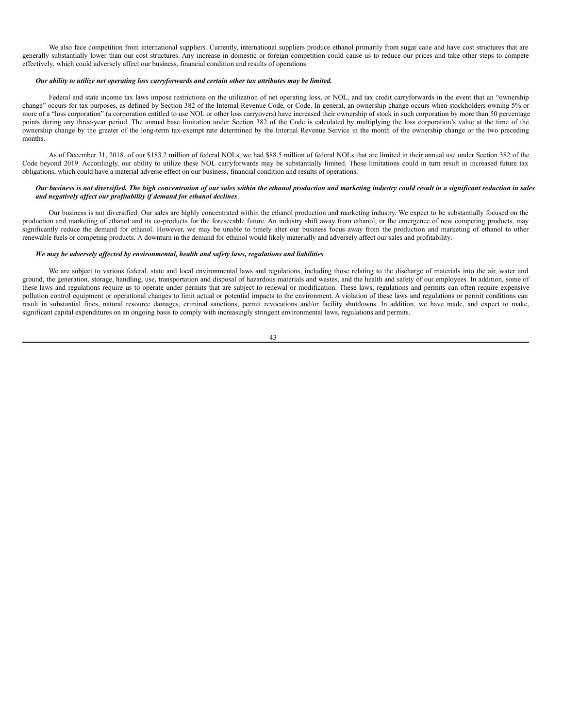We also face competition from international suppliers. Currently, international suppliers produce ethanol primarily from sugar cane and have cost structures that are generally substantially lower than our cost structures. Any increase in domestic or foreign competition could cause us to reduce our prices and take other steps to compete effectively, which could adversely affect our business, financial condition and results of operations.

# *Our ability to utilize net operating loss carryforwards and certain other tax attributes may be limited.*

Federal and state income tax laws impose restrictions on the utilization of net operating loss, or NOL, and tax credit carryforwards in the event that an "ownership change" occurs for tax purposes, as defined by Section 382 of the Internal Revenue Code, or Code. In general, an ownership change occurs when stockholders owning 5% or more of a "loss corporation" (a corporation entitled to use NOL or other loss carryovers) have increased their ownership of stock in such corporation by more than 50 percentage points during any three-year period. The annual base limitation under Section 382 of the Code is calculated by multiplying the loss corporation's value at the time of the ownership change by the greater of the long-term tax-exempt rate determined by the Internal Revenue Service in the month of the ownership change or the two preceding months.

As of December 31, 2018, of our \$183.2 million of federal NOLs, we had \$88.5 million of federal NOLs that are limited in their annual use under Section 382 of the Code beyond 2019. Accordingly, our ability to utilize these NOL carryforwards may be substantially limited. These limitations could in turn result in increased future tax obligations, which could have a material adverse effect on our business, financial condition and results of operations.

# Our business is not diversified. The high concentration of our sales within the ethanol production and marketing industry could result in a significant reduction in sales *and negatively af ect our profitability if demand for ethanol declines*.

Our business is not diversified. Our sales are highly concentrated within the ethanol production and marketing industry. We expect to be substantially focused on the production and marketing of ethanol and its co-products for the foreseeable future. An industry shift away from ethanol, or the emergence of new competing products, may significantly reduce the demand for ethanol. However, we may be unable to timely alter our business focus away from the production and marketing of ethanol to other renewable fuels or competing products. A downturn in the demand for ethanol would likely materially and adversely affect our sales and profitability.

### *We may be adversely af ected by environmental, health and safety laws, regulations and liabilities*.

We are subject to various federal, state and local environmental laws and regulations, including those relating to the discharge of materials into the air, water and ground, the generation, storage, handling, use, transportation and disposal of hazardous materials and wastes, and the health and safety of our employees. In addition, some of these laws and regulations require us to operate under permits that are subject to renewal or modification. These laws, regulations and permits can often require expensive pollution control equipment or operational changes to limit actual or potential impacts to the environment. A violation of these laws and regulations or permit conditions can result in substantial fines, natural resource damages, criminal sanctions, permit revocations and/or facility shutdowns. In addition, we have made, and expect to make, significant capital expenditures on an ongoing basis to comply with increasingly stringent environmental laws, regulations and permits.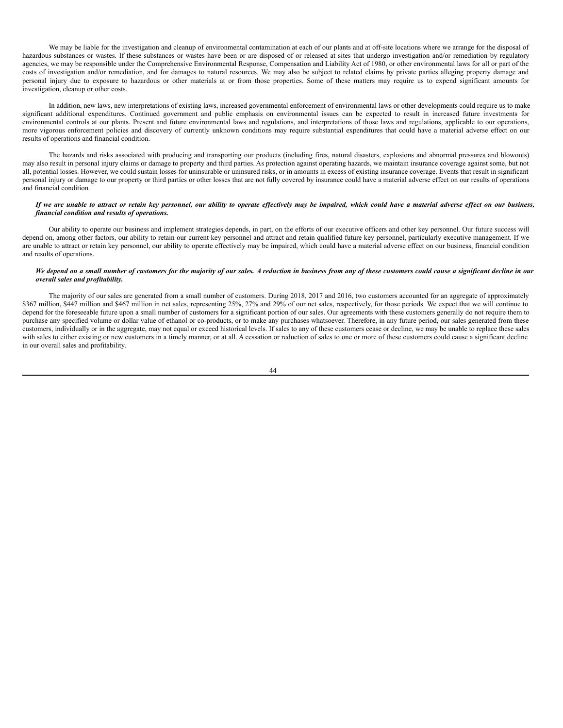We may be liable for the investigation and cleanup of environmental contamination at each of our plants and at off-site locations where we arrange for the disposal of hazardous substances or wastes. If these substances or wastes have been or are disposed of or released at sites that undergo investigation and/or remediation by regulatory agencies, we may be responsible under the Comprehensive Environmental Response, Compensation and Liability Act of 1980, or other environmental laws for all or part of the costs of investigation and/or remediation, and for damages to natural resources. We may also be subject to related claims by private parties alleging property damage and personal injury due to exposure to hazardous or other materials at or from those properties. Some of these matters may require us to expend significant amounts for investigation, cleanup or other costs.

In addition, new laws, new interpretations of existing laws, increased governmental enforcement of environmental laws or other developments could require us to make significant additional expenditures. Continued government and public emphasis on environmental issues can be expected to result in increased future investments for environmental controls at our plants. Present and future environmental laws and regulations, and interpretations of those laws and regulations, applicable to our operations, more vigorous enforcement policies and discovery of currently unknown conditions may require substantial expenditures that could have a material adverse effect on our results of operations and financial condition.

The hazards and risks associated with producing and transporting our products (including fires, natural disasters, explosions and abnormal pressures and blowouts) may also result in personal injury claims or damage to property and third parties. As protection against operating hazards, we maintain insurance coverage against some, but not all, potential losses. However, we could sustain losses for uninsurable or uninsured risks, or in amounts in excess of existing insurance coverage. Events that result in significant personal injury or damage to our property or third parties or other losses that are not fully covered by insurance could have a material adverse effect on our results of operations and financial condition.

## If we are unable to attract or retain key personnel, our ability to operate effectively may be innaired, which could have a material adverse effect on our business. *financial condition and results of operations.*

Our ability to operate our business and implement strategies depends, in part, on the efforts of our executive officers and other key personnel. Our future success will depend on, among other factors, our ability to retain our current key personnel and attract and retain qualified future key personnel, particularly executive management. If we are unable to attract or retain key personnel, our ability to operate effectively may be impaired, which could have a material adverse effect on our business, financial condition and results of operations.

### We depend on a small number of customers for the majority of our sales. A reduction in business from any of these customers could cause a significant decline in our *overall sales and profitability.*

The majority of our sales are generated from a small number of customers. During 2018, 2017 and 2016, two customers accounted for an aggregate of approximately \$367 million, \$447 million and \$467 million in net sales, representing 25%, 27% and 29% of our net sales, respectively, for those periods. We expect that we will continue to depend for the foreseeable future upon a small number of customers for a significant portion of our sales. Our agreements with these customers generally do not require them to purchase any specified volume or dollar value of ethanol or co-products, or to make any purchases whatsoever. Therefore, in any future period, our sales generated from these customers, individually or in the aggregate, may not equal or exceed historical levels. If sales to any of these customers cease or decline, we may be unable to replace these sales with sales to either existing or new customers in a timely manner, or at all. A cessation or reduction of sales to one or more of these customers could cause a significant decline in our overall sales and profitability.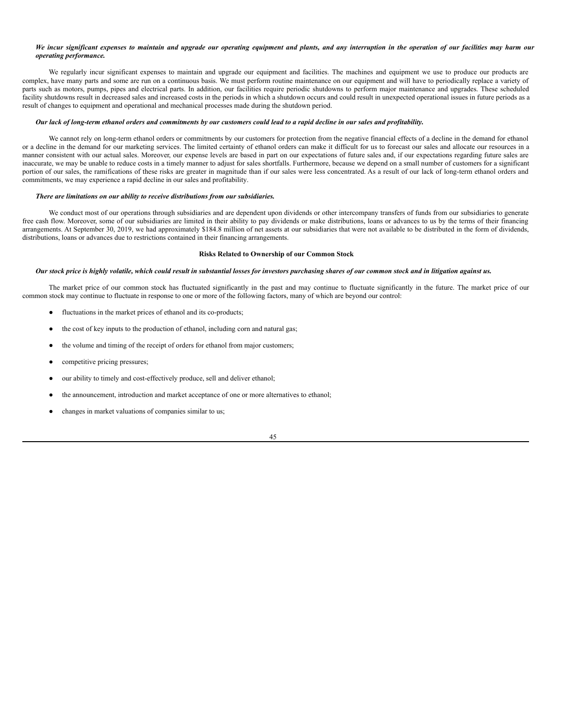# We incur significant expenses to maintain and upgrade our operating equipment and plants, and any interruption in the operation of our facilities may harm our *operating performance.*

We regularly incur significant expenses to maintain and upgrade our equipment and facilities. The machines and equipment we use to produce our products are complex, have many parts and some are run on a continuous basis. We must perform routine maintenance on our equipment and will have to periodically replace a variety of parts such as motors, pumps, pipes and electrical parts. In addition, our facilities require periodic shutdowns to perform major maintenance and upgrades. These scheduled facility shutdowns result in decreased sales and increased costs in the periods in which a shutdown occurs and could result in unexpected operational issues in future periods as a result of changes to equipment and operational and mechanical processes made during the shutdown period.

## Our lack of long-term ethanol orders and commitments by our customers could lead to a rapid decline in our sales and profitability.

We cannot rely on long-term ethanol orders or commitments by our customers for protection from the negative financial effects of a decline in the demand for ethanol or a decline in the demand for our marketing services. The limited certainty of ethanol orders can make it difficult for us to forecast our sales and allocate our resources in a manner consistent with our actual sales. Moreover, our expense levels are based in part on our expectations of future sales and, if our expectations regarding future sales are inaccurate, we may be unable to reduce costs in a timely manner to adjust for sales shortfalls. Furthermore, because we depend on a small number of customers for a significant portion of our sales, the ramifications of these risks are greater in magnitude than if our sales were less concentrated. As a result of our lack of long-term ethanol orders and commitments, we may experience a rapid decline in our sales and profitability.

# *There are limitations on our ability to receive distributions from our subsidiaries.*

We conduct most of our operations through subsidiaries and are dependent upon dividends or other intercompany transfers of funds from our subsidiaries to generate free cash flow. Moreover, some of our subsidiaries are limited in their ability to pay dividends or make distributions, loans or advances to us by the terms of their financing arrangements. At September 30, 2019, we had approximately \$184.8 million of net assets at our subsidiaries that were not available to be distributed in the form of dividends, distributions, loans or advances due to restrictions contained in their financing arrangements.

#### **Risks Related to Ownership of our Common Stock**

### Our stock price is highly volatile, which could result in substantial losses for investors purchasing shares of our common stock and in litigation against us.

The market price of our common stock has fluctuated significantly in the past and may continue to fluctuate significantly in the future. The market price of our common stock may continue to fluctuate in response to one or more of the following factors, many of which are beyond our control:

- fluctuations in the market prices of ethanol and its co-products;
- the cost of key inputs to the production of ethanol, including corn and natural gas;
- the volume and timing of the receipt of orders for ethanol from major customers;
- competitive pricing pressures;
- our ability to timely and cost-effectively produce, sell and deliver ethanol;
- the announcement, introduction and market acceptance of one or more alternatives to ethanol;
- changes in market valuations of companies similar to us;

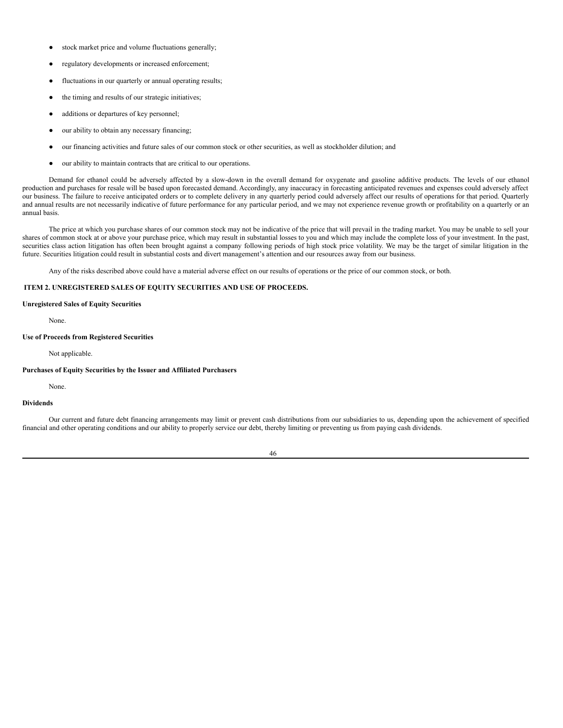- stock market price and volume fluctuations generally;
- regulatory developments or increased enforcement;
- fluctuations in our quarterly or annual operating results;
- the timing and results of our strategic initiatives;
- additions or departures of key personnel;
- our ability to obtain any necessary financing;
- our financing activities and future sales of our common stock or other securities, as well as stockholder dilution; and
- our ability to maintain contracts that are critical to our operations.

Demand for ethanol could be adversely affected by a slow-down in the overall demand for oxygenate and gasoline additive products. The levels of our ethanol production and purchases for resale will be based upon forecasted demand. Accordingly, any inaccuracy in forecasting anticipated revenues and expenses could adversely affect our business. The failure to receive anticipated orders or to complete delivery in any quarterly period could adversely affect our results of operations for that period. Quarterly and annual results are not necessarily indicative of future performance for any particular period, and we may not experience revenue growth or profitability on a quarterly or an annual basis.

The price at which you purchase shares of our common stock may not be indicative of the price that will prevail in the trading market. You may be unable to sell your shares of common stock at or above your purchase price, which may result in substantial losses to you and which may include the complete loss of your investment. In the past, securities class action litigation has often been brought against a company following periods of high stock price volatility. We may be the target of similar litigation in the future. Securities litigation could result in substantial costs and divert management's attention and our resources away from our business.

Any of the risks described above could have a material adverse effect on our results of operations or the price of our common stock, or both.

# <span id="page-47-0"></span>**ITEM 2. UNREGISTERED SALES OF EQUITY SECURITIES AND USE OF PROCEEDS.**

# **Unregistered Sales of Equity Securities**

None.

### **Use of Proceeds from Registered Securities**

Not applicable.

# **Purchases of Equity Securities by the Issuer and Affiliated Purchasers**

None.

### **Dividends**

Our current and future debt financing arrangements may limit or prevent cash distributions from our subsidiaries to us, depending upon the achievement of specified financial and other operating conditions and our ability to properly service our debt, thereby limiting or preventing us from paying cash dividends.

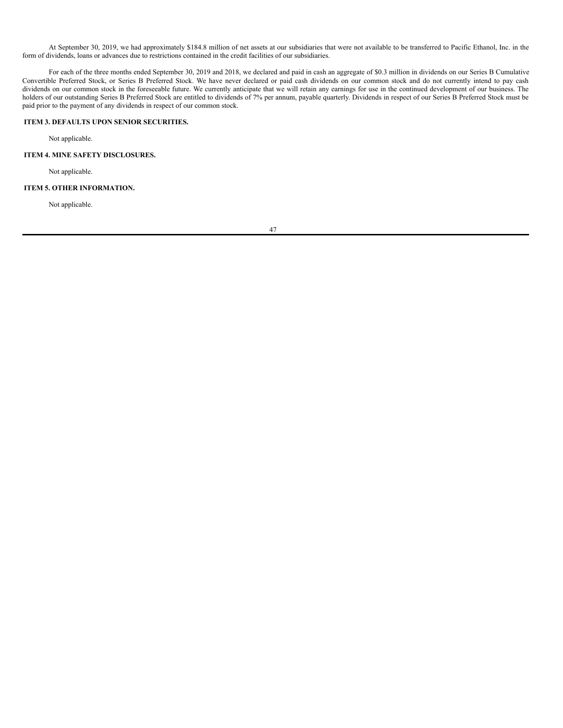At September 30, 2019, we had approximately \$184.8 million of net assets at our subsidiaries that were not available to be transferred to Pacific Ethanol, Inc. in the form of dividends, loans or advances due to restrictions contained in the credit facilities of our subsidiaries.

For each of the three months ended September 30, 2019 and 2018, we declared and paid in cash an aggregate of \$0.3 million in dividends on our Series B Cumulative Convertible Preferred Stock, or Series B Preferred Stock. We have never declared or paid cash dividends on our common stock and do not currently intend to pay cash dividends on our common stock in the foreseeable future. We currently anticipate that we will retain any earnings for use in the continued development of our business. The holders of our outstanding Series B Preferred Stock are entitled to dividends of 7% per annum, payable quarterly. Dividends in respect of our Series B Preferred Stock must be paid prior to the payment of any dividends in respect of our common stock.

# <span id="page-48-0"></span>**ITEM 3. DEFAULTS UPON SENIOR SECURITIES.**

Not applicable.

# <span id="page-48-1"></span>**ITEM 4. MINE SAFETY DISCLOSURES.**

Not applicable.

# <span id="page-48-2"></span>**ITEM 5. OTHER INFORMATION.**

Not applicable.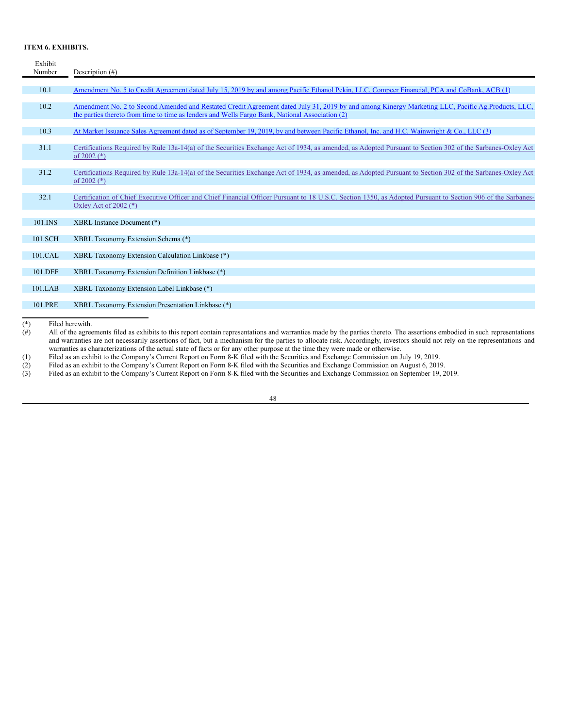# <span id="page-49-0"></span>**ITEM 6. EXHIBITS.**

| Exhibit<br>Number | Description $(\#)$                                                                                                                                                                                                                                    |
|-------------------|-------------------------------------------------------------------------------------------------------------------------------------------------------------------------------------------------------------------------------------------------------|
|                   |                                                                                                                                                                                                                                                       |
| 10.1              | Amendment No. 5 to Credit Agreement dated July 15, 2019 by and among Pacific Ethanol Pekin, LLC, Compeer Financial, PCA and CoBank, ACB (1)                                                                                                           |
| 10.2              | Amendment No. 2 to Second Amended and Restated Credit Agreement dated July 31, 2019 by and among Kinergy Marketing LLC, Pacific Ag, Products, LLC,<br>the parties thereto from time to time as lenders and Wells Fargo Bank, National Association (2) |
| 10.3              | At Market Issuance Sales Agreement dated as of September 19, 2019, by and between Pacific Ethanol, Inc. and H.C. Wainwright & Co., LLC (3)                                                                                                            |
| 31.1              | Certifications Required by Rule 13a-14(a) of the Securities Exchange Act of 1934, as amended, as Adopted Pursuant to Section 302 of the Sarbanes-Oxley Act<br>of 2002 $(*)$                                                                           |
| 31.2              | Certifications Required by Rule 13a-14(a) of the Securities Exchange Act of 1934, as amended, as Adopted Pursuant to Section 302 of the Sarbanes-Oxley Act<br>of 2002 $(*)$                                                                           |
| 32.1              | Certification of Chief Executive Officer and Chief Financial Officer Pursuant to 18 U.S.C. Section 1350, as Adopted Pursuant to Section 906 of the Sarbanes-<br>Oxley Act of 2002 $(*)$                                                               |
| 101.INS           | XBRL Instance Document (*)                                                                                                                                                                                                                            |
| 101.SCH           | XBRL Taxonomy Extension Schema (*)                                                                                                                                                                                                                    |
| 101.CAL           | XBRL Taxonomy Extension Calculation Linkbase (*)                                                                                                                                                                                                      |
| 101.DEF           | XBRL Taxonomy Extension Definition Linkbase (*)                                                                                                                                                                                                       |
| 101.LAB           | XBRL Taxonomy Extension Label Linkbase (*)                                                                                                                                                                                                            |
| 101.PRE           | XBRL Taxonomy Extension Presentation Linkbase (*)                                                                                                                                                                                                     |

(\*) Filed herewith.<br>  $(\#)$  Filed herewith. All of the agreements filed as exhibits to this report contain representations and warranties made by the parties thereto. The assertions embodied in such representations and warranties are not necessarily assertions of fact, but a mechanism for the parties to allocate risk. Accordingly, investors should not rely on the representations and warranties as characterizations of the actual state of facts or for any other purpose at the time they were made or otherwise.

Filed as an exhibit to the Company's Current Report on Form 8-K filed with the Securities and Exchange Commission on July 19, 2019.<br>
Filed as an exhibit to the Company's Current Report on Form 8-K filed with the Securities

(2) Filed as an exhibit to the Company's Current Report on Form 8-K filed with the Securities and Exchange Commission on August 6, 2019.

(3) Filed as an exhibit to the Company's Current Report on Form 8-K filed with the Securities and Exchange Commission on September 19, 2019.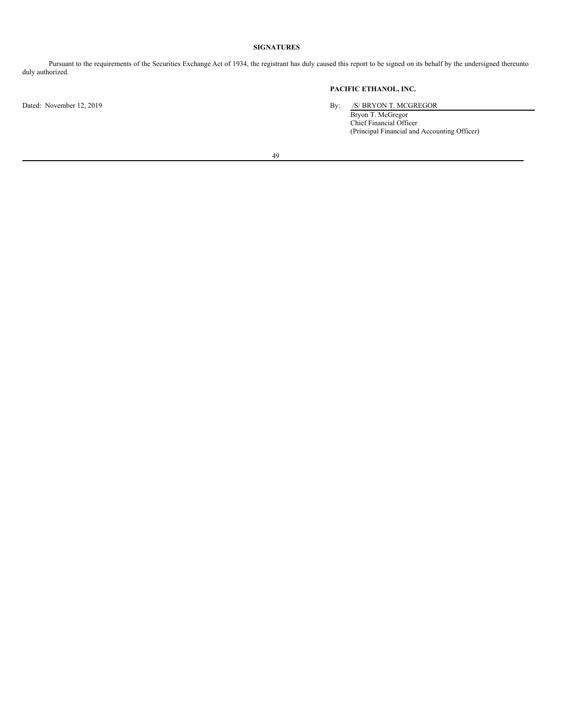# <span id="page-50-0"></span>**SIGNATURES**

Pursuant to the requirements of the Securities Exchange Act of 1934, the registrant has duly caused this report to be signed on its behalf by the undersigned thereunto duly authorized.

# **PACIFIC ETHANOL, INC.**

Dated: November 12, 2019 By: /S/ BRYON T. MCGREGOR

Bryon T. McGregor Chief Financial Officer (Principal Financial and Accounting Officer)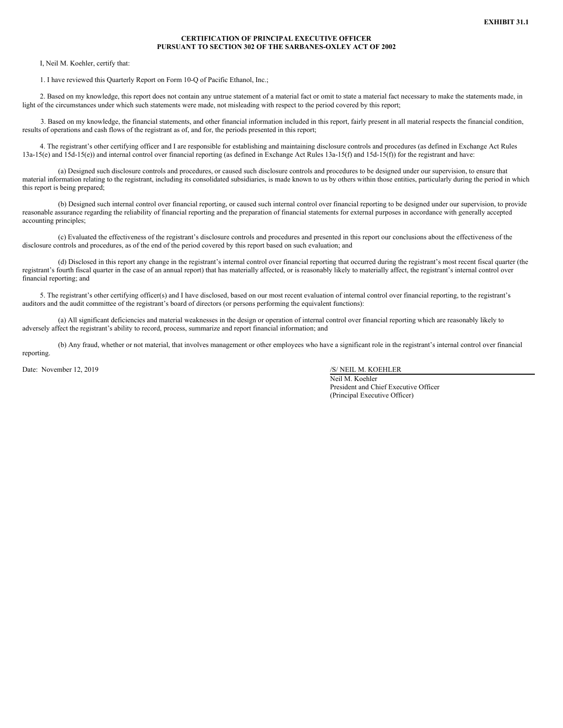# **CERTIFICATION OF PRINCIPAL EXECUTIVE OFFICER PURSUANT TO SECTION 302 OF THE SARBANES-OXLEY ACT OF 2002**

<span id="page-51-0"></span>I, Neil M. Koehler, certify that:

1. I have reviewed this Quarterly Report on Form 10-Q of Pacific Ethanol, Inc.;

2. Based on my knowledge, this report does not contain any untrue statement of a material fact or omit to state a material fact necessary to make the statements made, in light of the circumstances under which such statements were made, not misleading with respect to the period covered by this report;

3. Based on my knowledge, the financial statements, and other financial information included in this report, fairly present in all material respects the financial condition, results of operations and cash flows of the registrant as of, and for, the periods presented in this report;

4. The registrant's other certifying officer and I are responsible for establishing and maintaining disclosure controls and procedures (as defined in Exchange Act Rules 13a-15(e) and 15d-15(e)) and internal control over financial reporting (as defined in Exchange Act Rules 13a-15(f) and 15d-15(f)) for the registrant and have:

(a) Designed such disclosure controls and procedures, or caused such disclosure controls and procedures to be designed under our supervision, to ensure that material information relating to the registrant, including its consolidated subsidiaries, is made known to us by others within those entities, particularly during the period in which this report is being prepared;

(b) Designed such internal control over financial reporting, or caused such internal control over financial reporting to be designed under our supervision, to provide reasonable assurance regarding the reliability of financial reporting and the preparation of financial statements for external purposes in accordance with generally accepted accounting principles;

(c) Evaluated the effectiveness of the registrant's disclosure controls and procedures and presented in this report our conclusions about the effectiveness of the disclosure controls and procedures, as of the end of the period covered by this report based on such evaluation; and

(d) Disclosed in this report any change in the registrant's internal control over financial reporting that occurred during the registrant's most recent fiscal quarter (the registrant's fourth fiscal quarter in the case of an annual report) that has materially affected, or is reasonably likely to materially affect, the registrant's internal control over financial reporting; and

5. The registrant's other certifying officer(s) and I have disclosed, based on our most recent evaluation of internal control over financial reporting, to the registrant's auditors and the audit committee of the registrant's board of directors (or persons performing the equivalent functions):

(a) All significant deficiencies and material weaknesses in the design or operation of internal control over financial reporting which are reasonably likely to adversely affect the registrant's ability to record, process, summarize and report financial information; and

(b) Any fraud, whether or not material, that involves management or other employees who have a significant role in the registrant's internal control over financial reporting.

Date: November 12, 2019 /S/ NEIL M. KOEHLER

Neil M. Koehler President and Chief Executive Officer (Principal Executive Officer)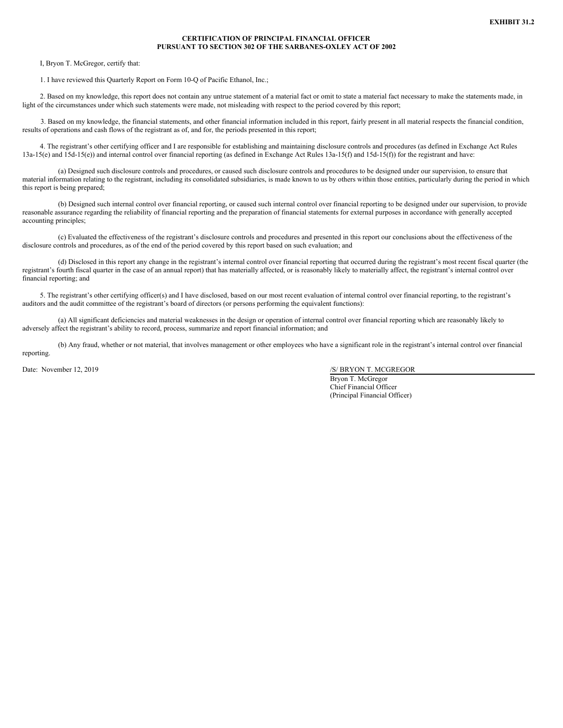# **CERTIFICATION OF PRINCIPAL FINANCIAL OFFICER PURSUANT TO SECTION 302 OF THE SARBANES-OXLEY ACT OF 2002**

<span id="page-52-0"></span>I, Bryon T. McGregor, certify that:

1. I have reviewed this Quarterly Report on Form 10-Q of Pacific Ethanol, Inc.;

2. Based on my knowledge, this report does not contain any untrue statement of a material fact or omit to state a material fact necessary to make the statements made, in light of the circumstances under which such statements were made, not misleading with respect to the period covered by this report;

3. Based on my knowledge, the financial statements, and other financial information included in this report, fairly present in all material respects the financial condition, results of operations and cash flows of the registrant as of, and for, the periods presented in this report;

4. The registrant's other certifying officer and I are responsible for establishing and maintaining disclosure controls and procedures (as defined in Exchange Act Rules 13a-15(e) and 15d-15(e)) and internal control over financial reporting (as defined in Exchange Act Rules 13a-15(f) and 15d-15(f)) for the registrant and have:

(a) Designed such disclosure controls and procedures, or caused such disclosure controls and procedures to be designed under our supervision, to ensure that material information relating to the registrant, including its consolidated subsidiaries, is made known to us by others within those entities, particularly during the period in which this report is being prepared;

(b) Designed such internal control over financial reporting, or caused such internal control over financial reporting to be designed under our supervision, to provide reasonable assurance regarding the reliability of financial reporting and the preparation of financial statements for external purposes in accordance with generally accepted accounting principles;

(c) Evaluated the effectiveness of the registrant's disclosure controls and procedures and presented in this report our conclusions about the effectiveness of the disclosure controls and procedures, as of the end of the period covered by this report based on such evaluation; and

(d) Disclosed in this report any change in the registrant's internal control over financial reporting that occurred during the registrant's most recent fiscal quarter (the registrant's fourth fiscal quarter in the case of an annual report) that has materially affected, or is reasonably likely to materially affect, the registrant's internal control over financial reporting; and

5. The registrant's other certifying officer(s) and I have disclosed, based on our most recent evaluation of internal control over financial reporting, to the registrant's auditors and the audit committee of the registrant's board of directors (or persons performing the equivalent functions):

(a) All significant deficiencies and material weaknesses in the design or operation of internal control over financial reporting which are reasonably likely to adversely affect the registrant's ability to record, process, summarize and report financial information; and

(b) Any fraud, whether or not material, that involves management or other employees who have a significant role in the registrant's internal control over financial reporting.

Date: November 12, 2019 /S/ BRYON T. MCGREGOR

Bryon T. McGregor Chief Financial Officer (Principal Financial Officer)